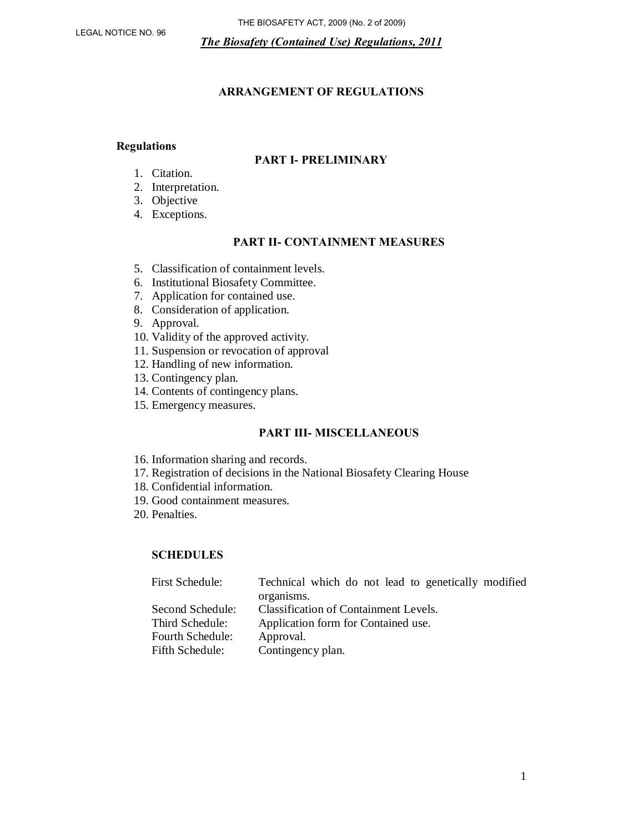## **ARRANGEMENT OF REGULATIONS**

#### **Regulations**

#### **PART I- PRELIMINARY**

- 1. Citation.
- 2. Interpretation.
- 3. Objective
- 4. Exceptions.

#### **PART II- CONTAINMENT MEASURES**

- 5. Classification of containment levels.
- 6. Institutional Biosafety Committee.
- 7. Application for contained use.
- 8. Consideration of application.
- 9. Approval.
- 10. Validity of the approved activity.
- 11. Suspension or revocation of approval
- 12. Handling of new information.
- 13. Contingency plan.
- 14. Contents of contingency plans.
- 15. Emergency measures.

#### **PART III- MISCELLANEOUS**

- 16. Information sharing and records.
- 17. Registration of decisions in the National Biosafety Clearing House
- 18. Confidential information.
- 19. Good containment measures.
- 20. Penalties.

## **SCHEDULES**

| Technical which do not lead to genetically modified<br>organisms. |
|-------------------------------------------------------------------|
|                                                                   |
| <b>Classification of Containment Levels.</b>                      |
| Application form for Contained use.                               |
| Approval.                                                         |
| Contingency plan.                                                 |
|                                                                   |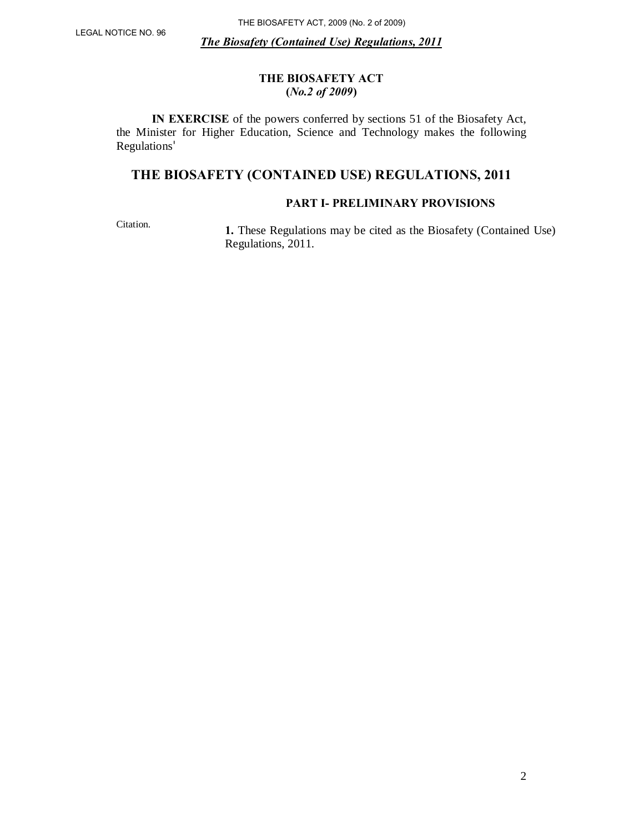## **THE BIOSAFETY ACT (***No.2 of 2009***)**

 **IN EXERCISE** of the powers conferred by sections 51 of the Biosafety Act, the Minister for Higher Education, Science and Technology makes the following Regulations

# **THE BIOSAFETY (CONTAINED USE) REGULATIONS, 2011**

## **PART I- PRELIMINARY PROVISIONS**

Citation.

**1.** These Regulations may be cited as the Biosafety (Contained Use) Regulations, 2011.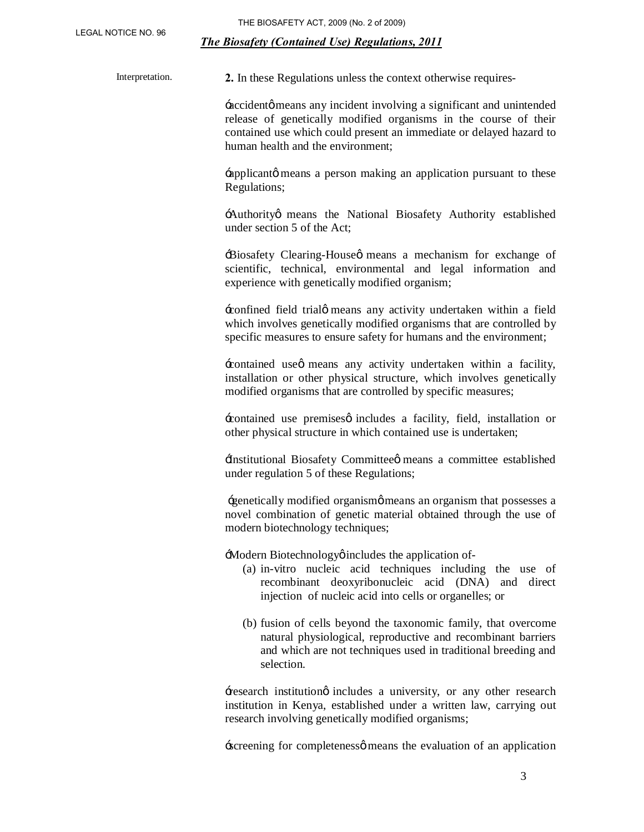Interpretation. **2.** In these Regulations unless the context otherwise requires-

 $\pm$ accident $\phi$  means any incident involving a significant and unintended release of genetically modified organisms in the course of their contained use which could present an immediate or delayed hazard to human health and the environment;

 $\pm$ applicantø means a person making an application pursuant to these Regulations;

:Authority means the National Biosafety Authority established under section 5 of the Act;

'Biosafety Clearing-House' means a mechanism for exchange of scientific, technical, environmental and legal information and experience with genetically modified organism;

'confined field trial' means any activity undertaken within a field which involves genetically modified organisms that are controlled by specific measures to ensure safety for humans and the environment;

'contained use' means any activity undertaken within a facility, installation or other physical structure, which involves genetically modified organisms that are controlled by specific measures;

'contained use premises' includes a facility, field, installation or other physical structure in which contained use is undertaken;

'Institutional Biosafety Committee' means a committee established under regulation 5 of these Regulations;

'genetically modified organism' means an organism that possesses a novel combination of genetic material obtained through the use of modern biotechnology techniques;

: Modern Biotechnology oincludes the application of-

- (a) in-vitro nucleic acid techniques including the use of recombinant deoxyribonucleic acid (DNA) and direct injection of nucleic acid into cells or organelles; or
- (b) fusion of cells beyond the taxonomic family, that overcome natural physiological, reproductive and recombinant barriers and which are not techniques used in traditional breeding and selection.

'research institution' includes a university, or any other research institution in Kenya, established under a written law, carrying out research involving genetically modified organisms;

screening for completenesse means the evaluation of an application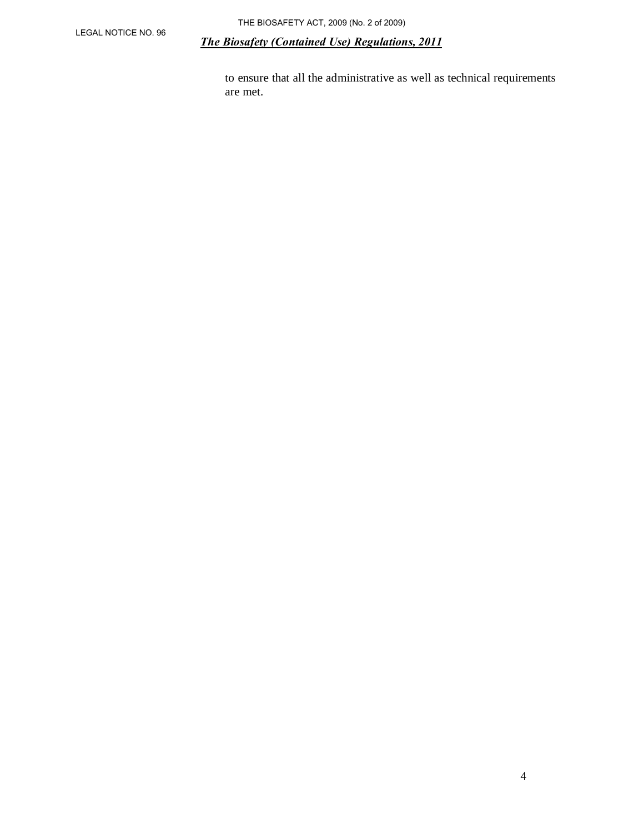to ensure that all the administrative as well as technical requirements are met.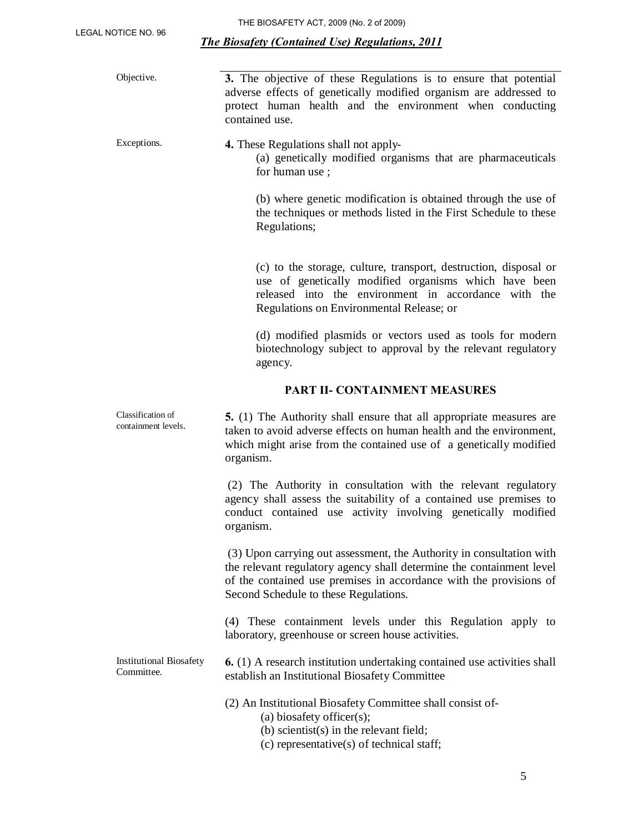| Objective.                                   | 3. The objective of these Regulations is to ensure that potential<br>adverse effects of genetically modified organism are addressed to<br>protect human health and the environment when conducting<br>contained use.                                        |  |  |  |
|----------------------------------------------|-------------------------------------------------------------------------------------------------------------------------------------------------------------------------------------------------------------------------------------------------------------|--|--|--|
| Exceptions.                                  | <b>4.</b> These Regulations shall not apply-<br>(a) genetically modified organisms that are pharmaceuticals<br>for human use;                                                                                                                               |  |  |  |
|                                              | (b) where genetic modification is obtained through the use of<br>the techniques or methods listed in the First Schedule to these<br>Regulations;                                                                                                            |  |  |  |
|                                              | (c) to the storage, culture, transport, destruction, disposal or<br>use of genetically modified organisms which have been<br>released into the environment in accordance with the<br>Regulations on Environmental Release; or                               |  |  |  |
|                                              | (d) modified plasmids or vectors used as tools for modern<br>biotechnology subject to approval by the relevant regulatory<br>agency.                                                                                                                        |  |  |  |
|                                              | PART II- CONTAINMENT MEASURES                                                                                                                                                                                                                               |  |  |  |
| Classification of<br>containment levels.     | <b>5.</b> (1) The Authority shall ensure that all appropriate measures are<br>taken to avoid adverse effects on human health and the environment,<br>which might arise from the contained use of a genetically modified<br>organism.                        |  |  |  |
|                                              | (2) The Authority in consultation with the relevant regulatory<br>agency shall assess the suitability of a contained use premises to<br>conduct contained use activity involving genetically modified<br>organism.                                          |  |  |  |
|                                              | (3) Upon carrying out assessment, the Authority in consultation with<br>the relevant regulatory agency shall determine the containment level<br>of the contained use premises in accordance with the provisions of<br>Second Schedule to these Regulations. |  |  |  |
|                                              | (4) These containment levels under this Regulation apply to<br>laboratory, greenhouse or screen house activities.                                                                                                                                           |  |  |  |
| <b>Institutional Biosafety</b><br>Committee. | <b>6.</b> (1) A research institution undertaking contained use activities shall<br>establish an Institutional Biosafety Committee                                                                                                                           |  |  |  |
|                                              | (2) An Institutional Biosafety Committee shall consist of-<br>(a) biosafety officer(s);<br>(b) scientist(s) in the relevant field;<br>(c) representative(s) of technical staff;                                                                             |  |  |  |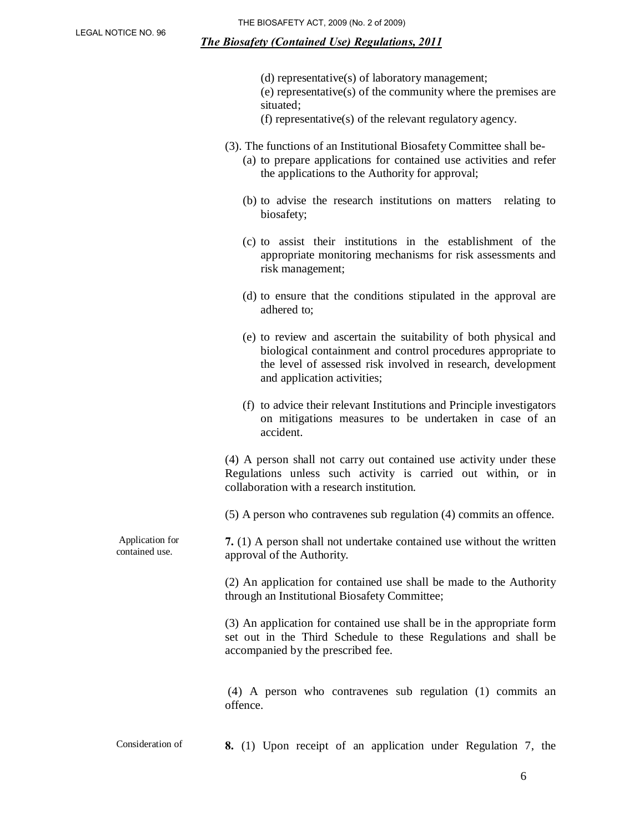|                                   | (d) representative(s) of laboratory management;<br>$(e)$ representative $(s)$ of the community where the premises are<br>situated;<br>(f) representative(s) of the relevant regulatory agency.                                  |
|-----------------------------------|---------------------------------------------------------------------------------------------------------------------------------------------------------------------------------------------------------------------------------|
|                                   | (3). The functions of an Institutional Biosafety Committee shall be-<br>(a) to prepare applications for contained use activities and refer<br>the applications to the Authority for approval;                                   |
|                                   | (b) to advise the research institutions on matters relating to<br>biosafety;                                                                                                                                                    |
|                                   | (c) to assist their institutions in the establishment of the<br>appropriate monitoring mechanisms for risk assessments and<br>risk management;                                                                                  |
|                                   | (d) to ensure that the conditions stipulated in the approval are<br>adhered to;                                                                                                                                                 |
|                                   | (e) to review and ascertain the suitability of both physical and<br>biological containment and control procedures appropriate to<br>the level of assessed risk involved in research, development<br>and application activities; |
|                                   | (f) to advice their relevant Institutions and Principle investigators<br>on mitigations measures to be undertaken in case of an<br>accident.                                                                                    |
|                                   | (4) A person shall not carry out contained use activity under these<br>Regulations unless such activity is carried out within, or in<br>collaboration with a research institution.                                              |
|                                   | (5) A person who contravenes sub regulation (4) commits an offence.                                                                                                                                                             |
| Application for<br>contained use. | 7. (1) A person shall not undertake contained use without the written<br>approval of the Authority.                                                                                                                             |
|                                   | (2) An application for contained use shall be made to the Authority<br>through an Institutional Biosafety Committee;                                                                                                            |
|                                   | (3) An application for contained use shall be in the appropriate form<br>set out in the Third Schedule to these Regulations and shall be<br>accompanied by the prescribed fee.                                                  |
|                                   | (4) A person who contravenes sub regulation (1) commits an<br>offence.                                                                                                                                                          |

Consideration of **8.** (1) Upon receipt of an application under Regulation 7, the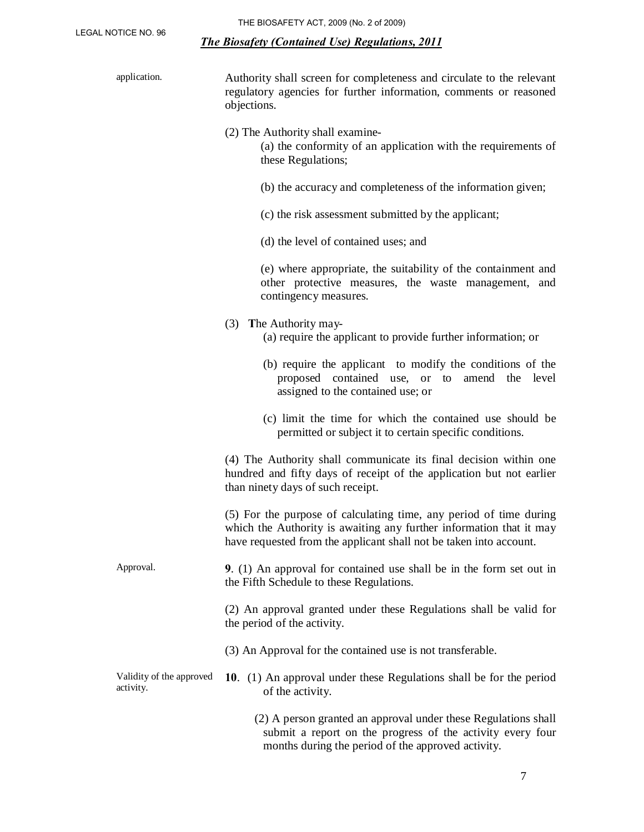| application.                          | Authority shall screen for completeness and circulate to the relevant<br>regulatory agencies for further information, comments or reasoned<br>objections.                                                       |  |  |  |  |
|---------------------------------------|-----------------------------------------------------------------------------------------------------------------------------------------------------------------------------------------------------------------|--|--|--|--|
|                                       | (2) The Authority shall examine-<br>(a) the conformity of an application with the requirements of<br>these Regulations;                                                                                         |  |  |  |  |
|                                       | (b) the accuracy and completeness of the information given;                                                                                                                                                     |  |  |  |  |
|                                       | (c) the risk assessment submitted by the applicant;                                                                                                                                                             |  |  |  |  |
|                                       | (d) the level of contained uses; and                                                                                                                                                                            |  |  |  |  |
|                                       | (e) where appropriate, the suitability of the containment and<br>other protective measures, the waste management, and<br>contingency measures.                                                                  |  |  |  |  |
|                                       | (3) The Authority may-<br>(a) require the applicant to provide further information; or                                                                                                                          |  |  |  |  |
|                                       | (b) require the applicant to modify the conditions of the<br>proposed contained use, or to amend the level<br>assigned to the contained use; or                                                                 |  |  |  |  |
|                                       | (c) limit the time for which the contained use should be<br>permitted or subject it to certain specific conditions.                                                                                             |  |  |  |  |
|                                       | (4) The Authority shall communicate its final decision within one<br>hundred and fifty days of receipt of the application but not earlier<br>than ninety days of such receipt.                                  |  |  |  |  |
|                                       | (5) For the purpose of calculating time, any period of time during<br>which the Authority is awaiting any further information that it may<br>have requested from the applicant shall not be taken into account. |  |  |  |  |
| Approval.                             | 9. $(1)$ An approval for contained use shall be in the form set out in<br>the Fifth Schedule to these Regulations.                                                                                              |  |  |  |  |
|                                       | (2) An approval granted under these Regulations shall be valid for<br>the period of the activity.                                                                                                               |  |  |  |  |
|                                       | (3) An Approval for the contained use is not transferable.                                                                                                                                                      |  |  |  |  |
| Validity of the approved<br>activity. | 10. (1) An approval under these Regulations shall be for the period<br>of the activity.                                                                                                                         |  |  |  |  |
|                                       | (2) A person granted an approval under these Regulations shall<br>submit a report on the progress of the activity every four                                                                                    |  |  |  |  |

months during the period of the approved activity.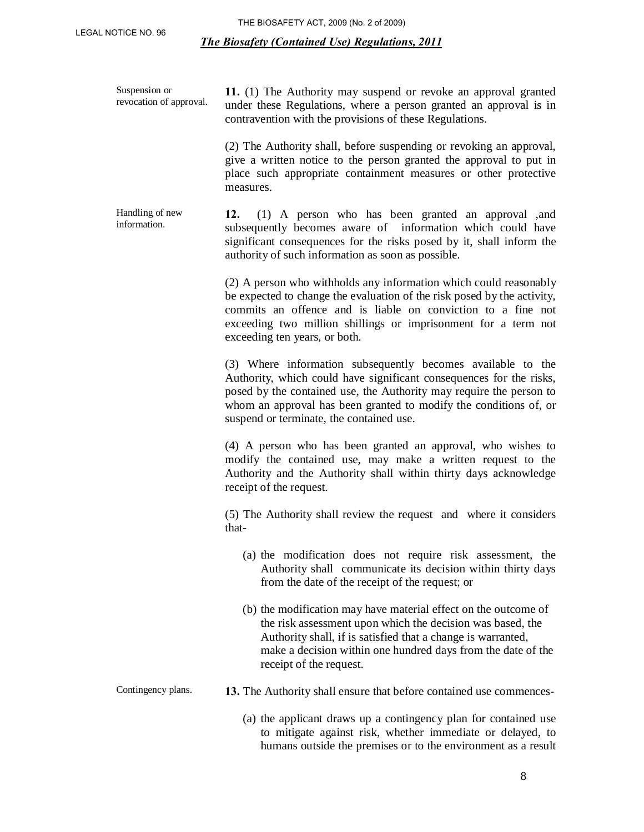Suspension or revocation of approval.

**11.** (1) The Authority may suspend or revoke an approval granted under these Regulations, where a person granted an approval is in contravention with the provisions of these Regulations.

(2) The Authority shall, before suspending or revoking an approval, give a written notice to the person granted the approval to put in place such appropriate containment measures or other protective measures.

Handling of new information. **12.** (1) A person who has been granted an approval ,and subsequently becomes aware of information which could have significant consequences for the risks posed by it, shall inform the authority of such information as soon as possible.

> (2) A person who withholds any information which could reasonably be expected to change the evaluation of the risk posed by the activity, commits an offence and is liable on conviction to a fine not exceeding two million shillings or imprisonment for a term not exceeding ten years, or both.

> (3) Where information subsequently becomes available to the Authority, which could have significant consequences for the risks, posed by the contained use, the Authority may require the person to whom an approval has been granted to modify the conditions of, or suspend or terminate, the contained use.

> (4) A person who has been granted an approval, who wishes to modify the contained use, may make a written request to the Authority and the Authority shall within thirty days acknowledge receipt of the request.

> (5) The Authority shall review the request and where it considers that-

- (a) the modification does not require risk assessment, the Authority shall communicate its decision within thirty days from the date of the receipt of the request; or
- (b) the modification may have material effect on the outcome of the risk assessment upon which the decision was based, the Authority shall, if is satisfied that a change is warranted, make a decision within one hundred days from the date of the receipt of the request.

- Contingency plans. **13.** The Authority shall ensure that before contained use commences-
	- (a) the applicant draws up a contingency plan for contained use to mitigate against risk, whether immediate or delayed, to humans outside the premises or to the environment as a result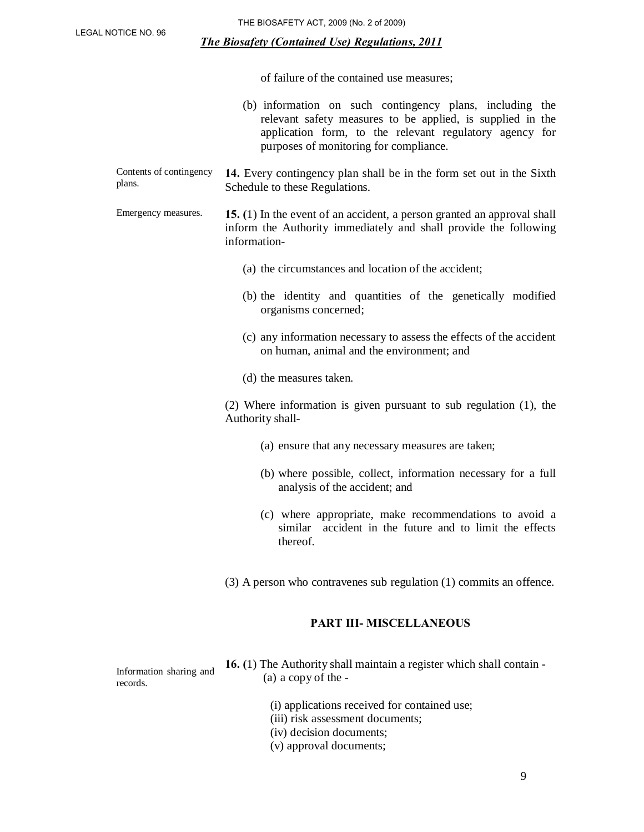plans.

#### *The Biosafety (Contained Use) Regulations, 2011*

of failure of the contained use measures;

- (b) information on such contingency plans, including the relevant safety measures to be applied, is supplied in the application form, to the relevant regulatory agency for purposes of monitoring for compliance. Contents of contingency **14.** Every contingency plan shall be in the form set out in the Sixth Schedule to these Regulations. Emergency measures. **15. (**1) In the event of an accident, a person granted an approval shall inform the Authority immediately and shall provide the following information- (a) the circumstances and location of the accident; (b) the identity and quantities of the genetically modified organisms concerned;
	- (c) any information necessary to assess the effects of the accident on human, animal and the environment; and
	- (d) the measures taken.

(2) Where information is given pursuant to sub regulation (1), the Authority shall-

- (a) ensure that any necessary measures are taken;
- (b) where possible, collect, information necessary for a full analysis of the accident; and
- (c) where appropriate, make recommendations to avoid a similar accident in the future and to limit the effects thereof.
- (3) A person who contravenes sub regulation (1) commits an offence.

#### **PART III- MISCELLANEOUS**

Information sharing and records.

- **16. (**1) The Authority shall maintain a register which shall contain (a) a copy of the -
	- (i) applications received for contained use;
	- (iii) risk assessment documents;
	- (iv) decision documents;
	- (v) approval documents;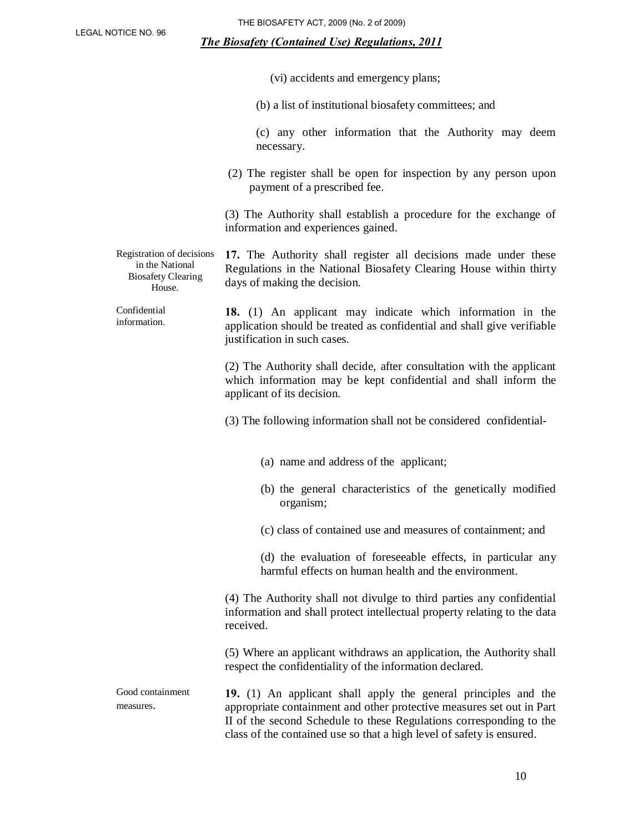Confidential information.

#### *The Biosafety (Contained Use) Regulations, 2011*

|  |  |  |  | (vi) accidents and emergency plans; |  |
|--|--|--|--|-------------------------------------|--|
|--|--|--|--|-------------------------------------|--|

(b) a list of institutional biosafety committees; and

(c) any other information that the Authority may deem necessary.

(2) The register shall be open for inspection by any person upon payment of a prescribed fee.

(3) The Authority shall establish a procedure for the exchange of information and experiences gained.

Registration of decisions in the National Biosafety Clearing House. **17.** The Authority shall register all decisions made under these Regulations in the National Biosafety Clearing House within thirty days of making the decision.

> **18.** (1) An applicant may indicate which information in the application should be treated as confidential and shall give verifiable justification in such cases.

> > (2) The Authority shall decide, after consultation with the applicant which information may be kept confidential and shall inform the applicant of its decision.

(3) The following information shall not be considered confidential-

- (a) name and address of the applicant;
- (b) the general characteristics of the genetically modified organism;
- (c) class of contained use and measures of containment; and

(d) the evaluation of foreseeable effects, in particular any harmful effects on human health and the environment.

(4) The Authority shall not divulge to third parties any confidential information and shall protect intellectual property relating to the data received.

(5) Where an applicant withdraws an application, the Authority shall respect the confidentiality of the information declared.

Good containment Good containment **19.** (1) An applicant shall apply the general principles and the measures. appropriate containment and other protective measures set out in Part II of the second Schedule to these Regulations corresponding to the class of the contained use so that a high level of safety is ensured.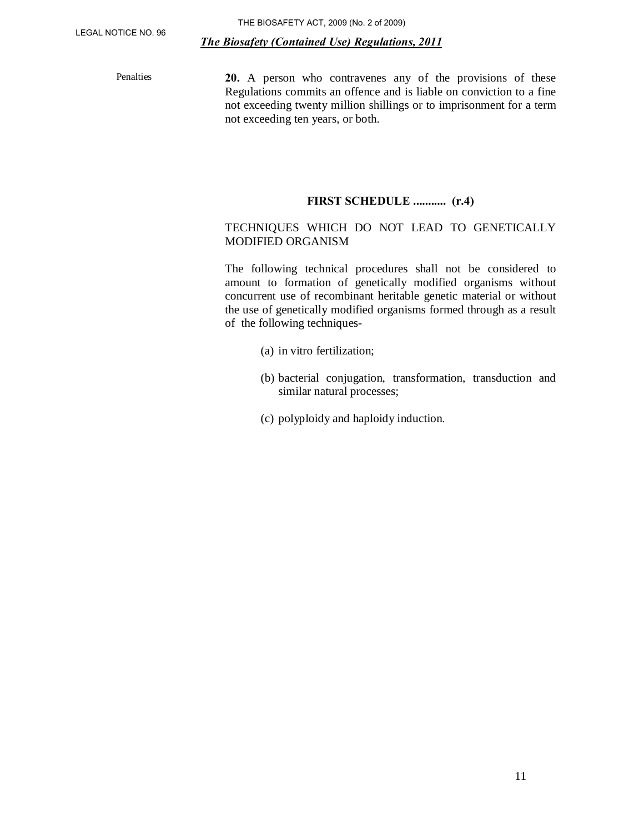Penalties **20.** A person who contravenes any of the provisions of these Regulations commits an offence and is liable on conviction to a fine not exceeding twenty million shillings or to imprisonment for a term not exceeding ten years, or both.

#### **FIRST SCHEDULE ........... (r.4)**

## TECHNIQUES WHICH DO NOT LEAD TO GENETICALLY MODIFIED ORGANISM

The following technical procedures shall not be considered to amount to formation of genetically modified organisms without concurrent use of recombinant heritable genetic material or without the use of genetically modified organisms formed through as a result of the following techniques-

- (a) in vitro fertilization;
- (b) bacterial conjugation, transformation, transduction and similar natural processes;
- (c) polyploidy and haploidy induction.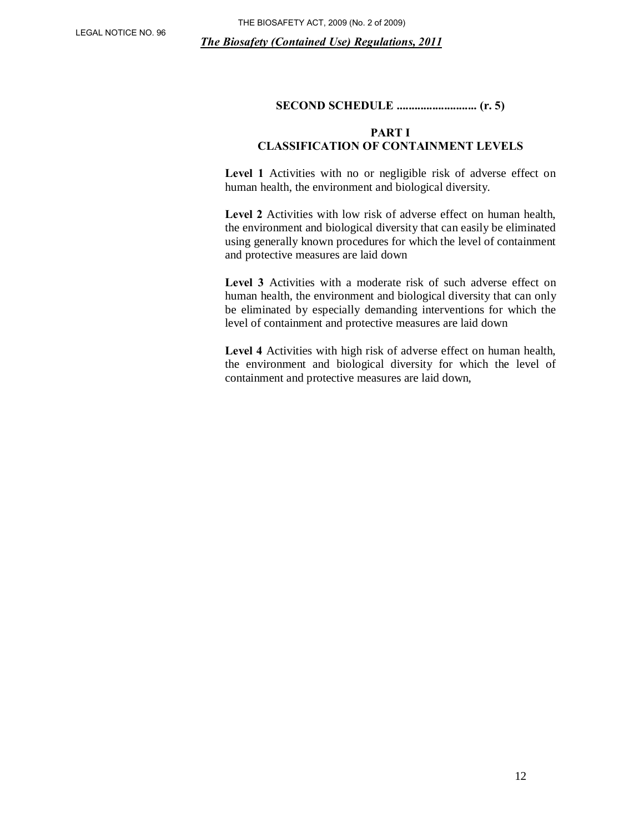# **SECOND SCHEDULE ........................... (r. 5)**

#### **PART I CLASSIFICATION OF CONTAINMENT LEVELS**

Level 1 Activities with no or negligible risk of adverse effect on human health, the environment and biological diversity.

Level 2 Activities with low risk of adverse effect on human health, the environment and biological diversity that can easily be eliminated using generally known procedures for which the level of containment and protective measures are laid down

Level 3 Activities with a moderate risk of such adverse effect on human health, the environment and biological diversity that can only be eliminated by especially demanding interventions for which the level of containment and protective measures are laid down

**Level 4** Activities with high risk of adverse effect on human health, the environment and biological diversity for which the level of containment and protective measures are laid down,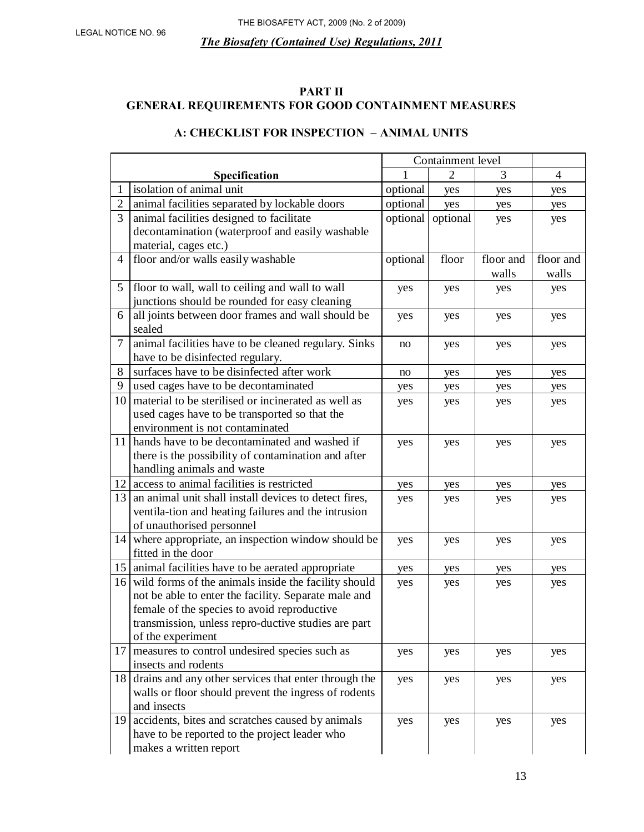## **PART II GENERAL REQUIREMENTS FOR GOOD CONTAINMENT MEASURES**

# **A: CHECKLIST FOR INSPECTION – ANIMAL UNITS**

|                |                                                         | Containment level |          |           |                |
|----------------|---------------------------------------------------------|-------------------|----------|-----------|----------------|
|                | Specification                                           |                   | 2        | 3         | $\overline{4}$ |
|                | isolation of animal unit                                | optional          | yes      | yes       | yes            |
| $\overline{2}$ | animal facilities separated by lockable doors           | optional          | yes      | yes       | yes            |
| 3              | animal facilities designed to facilitate                | optional          | optional | yes       | yes            |
|                | decontamination (waterproof and easily washable         |                   |          |           |                |
|                | material, cages etc.)                                   |                   |          |           |                |
| $\overline{4}$ | floor and/or walls easily washable                      | optional          | floor    | floor and | floor and      |
|                |                                                         |                   |          | walls     | walls          |
| 5              | floor to wall, wall to ceiling and wall to wall         | yes               | yes      | yes       | yes            |
|                | junctions should be rounded for easy cleaning           |                   |          |           |                |
| 6              | all joints between door frames and wall should be       | yes               | yes      | yes       | yes            |
|                | sealed                                                  |                   |          |           |                |
| $\tau$         | animal facilities have to be cleaned regulary. Sinks    | no                | yes      | yes       | yes            |
|                | have to be disinfected regulary.                        |                   |          |           |                |
| 8              | surfaces have to be disinfected after work              | no                | yes      | yes       | yes            |
| 9              | used cages have to be decontaminated                    | yes               | yes      | yes       | yes            |
| 10             | material to be sterilised or incinerated as well as     | yes               | yes      | yes       | yes            |
|                | used cages have to be transported so that the           |                   |          |           |                |
|                | environment is not contaminated                         |                   |          |           |                |
|                | 11 hands have to be decontaminated and washed if        | yes               | yes      | yes       | yes            |
|                | there is the possibility of contamination and after     |                   |          |           |                |
|                | handling animals and waste                              |                   |          |           |                |
| 12             | access to animal facilities is restricted               | yes               | yes      | yes       | yes            |
| 13             | an animal unit shall install devices to detect fires,   | yes               | yes      | yes       | yes            |
|                | ventila-tion and heating failures and the intrusion     |                   |          |           |                |
|                | of unauthorised personnel                               |                   |          |           |                |
| 14             | where appropriate, an inspection window should be       | yes               | yes      | yes       | yes            |
|                | fitted in the door                                      |                   |          |           |                |
|                | 15   animal facilities have to be aerated appropriate   | yes               | yes      | yes       | yes            |
|                | 16 wild forms of the animals inside the facility should | yes               | yes      | yes       | yes            |
|                | not be able to enter the facility. Separate male and    |                   |          |           |                |
|                | female of the species to avoid reproductive             |                   |          |           |                |
|                | transmission, unless repro-ductive studies are part     |                   |          |           |                |
|                | of the experiment                                       |                   |          |           |                |
| 17             | measures to control undesired species such as           | yes               | yes      | yes       | yes            |
|                | insects and rodents                                     |                   |          |           |                |
| 18             | drains and any other services that enter through the    | yes               | yes      | yes       | yes            |
|                | walls or floor should prevent the ingress of rodents    |                   |          |           |                |
|                | and insects                                             |                   |          |           |                |
|                | 19 accidents, bites and scratches caused by animals     | yes               | yes      | yes       | yes            |
|                | have to be reported to the project leader who           |                   |          |           |                |
|                | makes a written report                                  |                   |          |           |                |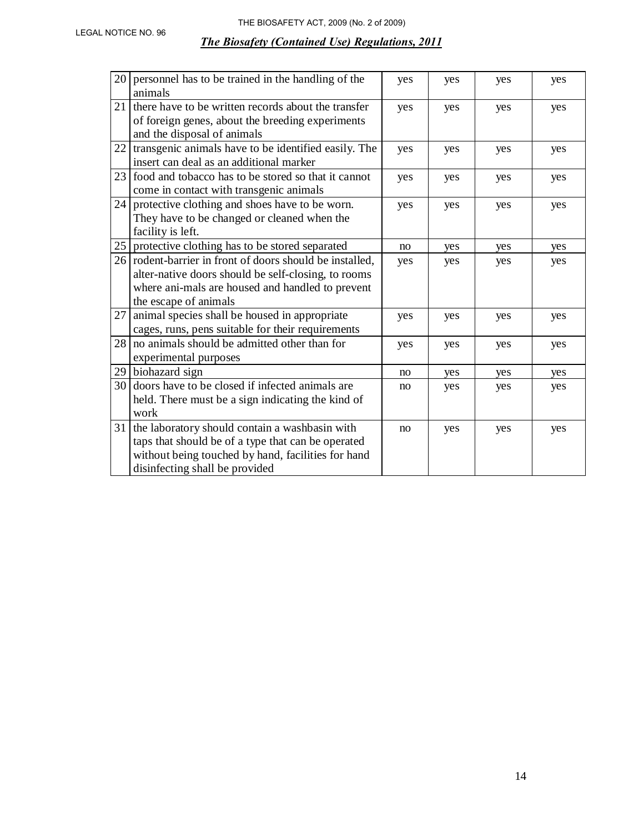| 20 | personnel has to be trained in the handling of the<br>animals                                                                                                                                | yes | yes | yes | yes |
|----|----------------------------------------------------------------------------------------------------------------------------------------------------------------------------------------------|-----|-----|-----|-----|
| 21 | there have to be written records about the transfer<br>of foreign genes, about the breeding experiments<br>and the disposal of animals                                                       | yes | yes | yes | yes |
| 22 | transgenic animals have to be identified easily. The<br>insert can deal as an additional marker                                                                                              | yes | yes | yes | yes |
| 23 | food and tobacco has to be stored so that it cannot<br>come in contact with transgenic animals                                                                                               | yes | yes | yes | yes |
| 24 | protective clothing and shoes have to be worn.<br>They have to be changed or cleaned when the<br>facility is left.                                                                           | yes | yes | yes | yes |
| 25 | protective clothing has to be stored separated                                                                                                                                               | no  | yes | yes | yes |
| 26 | rodent-barrier in front of doors should be installed,<br>alter-native doors should be self-closing, to rooms<br>where ani-mals are housed and handled to prevent<br>the escape of animals    | yes | yes | yes | yes |
| 27 | animal species shall be housed in appropriate<br>cages, runs, pens suitable for their requirements                                                                                           | yes | yes | yes | yes |
| 28 | no animals should be admitted other than for<br>experimental purposes                                                                                                                        | yes | yes | yes | yes |
| 29 | biohazard sign                                                                                                                                                                               | no  | yes | yes | yes |
| 30 | doors have to be closed if infected animals are<br>held. There must be a sign indicating the kind of<br>work                                                                                 | no  | yes | yes | yes |
| 31 | the laboratory should contain a washbasin with<br>taps that should be of a type that can be operated<br>without being touched by hand, facilities for hand<br>disinfecting shall be provided | no  | yes | yes | yes |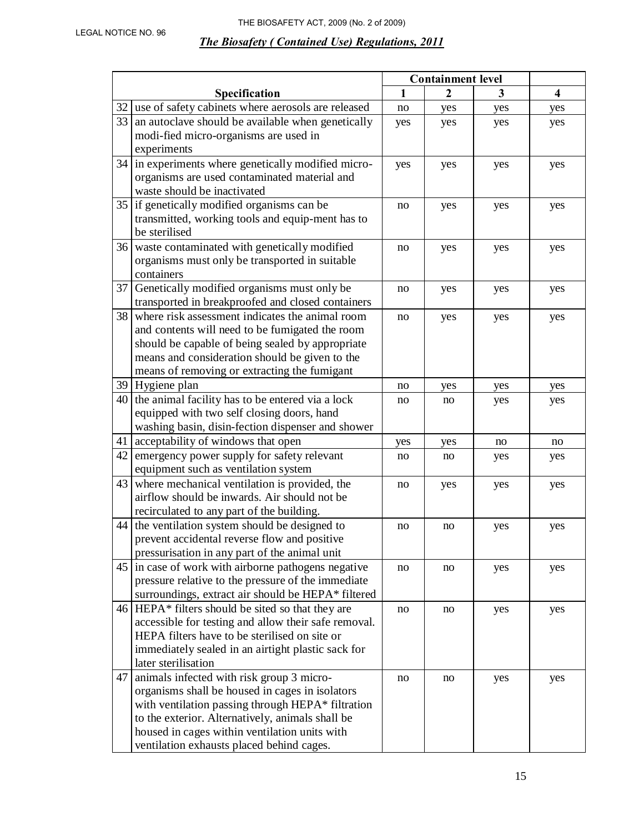|    |                                                                                                | <b>Containment level</b> |                |     |                         |
|----|------------------------------------------------------------------------------------------------|--------------------------|----------------|-----|-------------------------|
|    | Specification                                                                                  | $\mathbf{1}$             | $\overline{2}$ | 3   | $\overline{\mathbf{4}}$ |
| 32 | use of safety cabinets where aerosols are released                                             | no                       | yes            | yes | yes                     |
| 33 | an autoclave should be available when genetically                                              | yes                      | yes            | yes | yes                     |
|    | modi-fied micro-organisms are used in                                                          |                          |                |     |                         |
|    | experiments                                                                                    |                          |                |     |                         |
|    | 34 in experiments where genetically modified micro-                                            | yes                      | yes            | yes | yes                     |
|    | organisms are used contaminated material and                                                   |                          |                |     |                         |
|    | waste should be inactivated                                                                    |                          |                |     |                         |
|    | 35   if genetically modified organisms can be                                                  | no                       | yes            | yes | yes                     |
|    | transmitted, working tools and equip-ment has to                                               |                          |                |     |                         |
|    | be sterilised                                                                                  |                          |                |     |                         |
|    | 36 waste contaminated with genetically modified                                                | no                       | yes            | yes | yes                     |
|    | organisms must only be transported in suitable                                                 |                          |                |     |                         |
|    | containers                                                                                     |                          |                |     |                         |
| 37 | Genetically modified organisms must only be                                                    | no                       | yes            | yes | yes                     |
|    | transported in breakproofed and closed containers                                              |                          |                |     |                         |
| 38 | where risk assessment indicates the animal room                                                | no                       | yes            | yes | yes                     |
|    | and contents will need to be fumigated the room                                                |                          |                |     |                         |
|    | should be capable of being sealed by appropriate                                               |                          |                |     |                         |
|    | means and consideration should be given to the<br>means of removing or extracting the fumigant |                          |                |     |                         |
|    | 39 Hygiene plan                                                                                |                          |                |     |                         |
|    | $40$ the animal facility has to be entered via a lock                                          | no                       | yes            | yes | yes                     |
|    | equipped with two self closing doors, hand                                                     | no                       | no             | yes | yes                     |
|    | washing basin, disin-fection dispenser and shower                                              |                          |                |     |                         |
|    | 41 acceptability of windows that open                                                          | yes                      | yes            | no  | no                      |
| 42 | emergency power supply for safety relevant                                                     | no                       | no             | yes | yes                     |
|    | equipment such as ventilation system                                                           |                          |                |     |                         |
| 43 | where mechanical ventilation is provided, the                                                  | no                       | yes            | yes | yes                     |
|    | airflow should be inwards. Air should not be                                                   |                          |                |     |                         |
|    | recirculated to any part of the building.                                                      |                          |                |     |                         |
| 44 | the ventilation system should be designed to                                                   | no                       | no             | yes | yes                     |
|    | prevent accidental reverse flow and positive                                                   |                          |                |     |                         |
|    | pressurisation in any part of the animal unit                                                  |                          |                |     |                         |
|    | 45 in case of work with airborne pathogens negative                                            | no                       | no             | yes | yes                     |
|    | pressure relative to the pressure of the immediate                                             |                          |                |     |                         |
|    | surroundings, extract air should be HEPA* filtered                                             |                          |                |     |                         |
|    | $46$ HEPA* filters should be sited so that they are                                            | no                       | no             | yes | yes                     |
|    | accessible for testing and allow their safe removal.                                           |                          |                |     |                         |
|    | HEPA filters have to be sterilised on site or                                                  |                          |                |     |                         |
|    | immediately sealed in an airtight plastic sack for                                             |                          |                |     |                         |
|    | later sterilisation                                                                            |                          |                |     |                         |
| 47 | animals infected with risk group 3 micro-                                                      | no                       | no             | yes | yes                     |
|    | organisms shall be housed in cages in isolators                                                |                          |                |     |                         |
|    | with ventilation passing through HEPA* filtration                                              |                          |                |     |                         |
|    | to the exterior. Alternatively, animals shall be                                               |                          |                |     |                         |
|    | housed in cages within ventilation units with                                                  |                          |                |     |                         |
|    | ventilation exhausts placed behind cages.                                                      |                          |                |     |                         |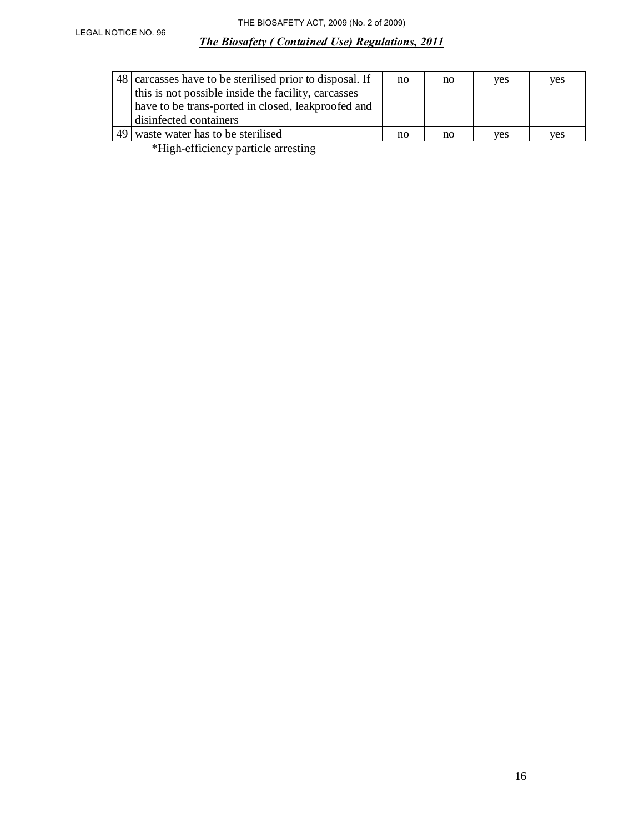| 48 carcasses have to be sterilised prior to disposal. If<br>this is not possible inside the facility, carcasses<br>have to be trans-ported in closed, leakproofed and<br>disinfected containers                                                                                                                                                                                                                                                              | no | no | <b>ves</b> | yes |
|--------------------------------------------------------------------------------------------------------------------------------------------------------------------------------------------------------------------------------------------------------------------------------------------------------------------------------------------------------------------------------------------------------------------------------------------------------------|----|----|------------|-----|
| 49 waste water has to be sterilised                                                                                                                                                                                                                                                                                                                                                                                                                          | no | no | ves        | ves |
| $\mathbf{A} \cdot \mathbf{B} = \mathbf{A} \cdot \mathbf{A} + \mathbf{A} \cdot \mathbf{A} + \mathbf{A} \cdot \mathbf{A} + \mathbf{A} \cdot \mathbf{A} + \mathbf{A} \cdot \mathbf{A} + \mathbf{A} \cdot \mathbf{A} + \mathbf{A} \cdot \mathbf{A} + \mathbf{A} \cdot \mathbf{A} + \mathbf{A} \cdot \mathbf{A} + \mathbf{A} \cdot \mathbf{A} + \mathbf{A} \cdot \mathbf{A} + \mathbf{A} \cdot \mathbf{A} + \mathbf{A} \cdot \mathbf{A} + \mathbf{A} \cdot \math$ |    |    |            |     |

\*High-efficiency particle arresting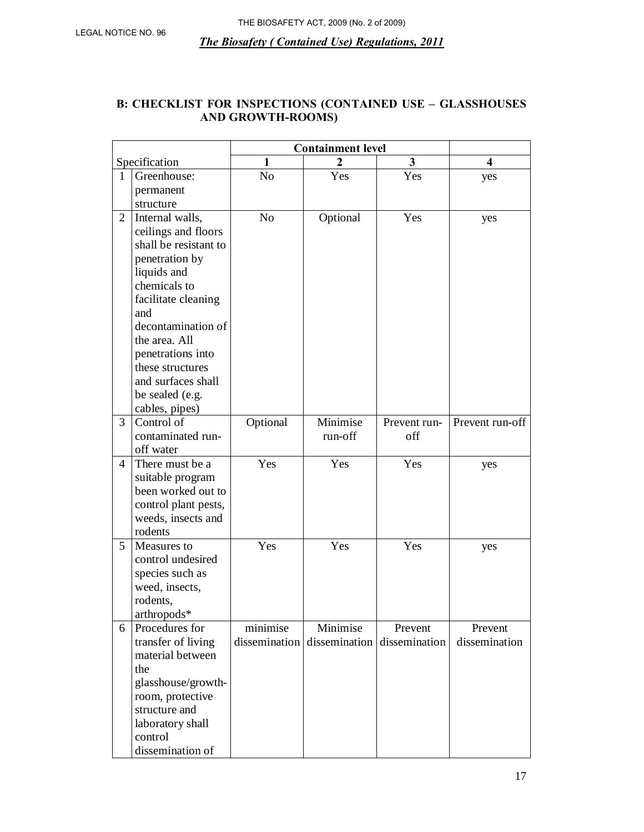# **B: CHECKLIST FOR INSPECTIONS (CONTAINED USE – GLASSHOUSES AND GROWTH-ROOMS)**

|                |                       | <b>Containment level</b> |               |               |                         |
|----------------|-----------------------|--------------------------|---------------|---------------|-------------------------|
|                | Specification         | 1                        |               | 3             | $\overline{\mathbf{4}}$ |
| 1              | Greenhouse:           | N <sub>0</sub>           | Yes           | Yes           | yes                     |
|                | permanent             |                          |               |               |                         |
|                | structure             |                          |               |               |                         |
| $\overline{2}$ | Internal walls,       | N <sub>0</sub>           | Optional      | Yes           | yes                     |
|                | ceilings and floors   |                          |               |               |                         |
|                | shall be resistant to |                          |               |               |                         |
|                | penetration by        |                          |               |               |                         |
|                | liquids and           |                          |               |               |                         |
|                | chemicals to          |                          |               |               |                         |
|                | facilitate cleaning   |                          |               |               |                         |
|                | and                   |                          |               |               |                         |
|                | decontamination of    |                          |               |               |                         |
|                | the area. All         |                          |               |               |                         |
|                | penetrations into     |                          |               |               |                         |
|                | these structures      |                          |               |               |                         |
|                | and surfaces shall    |                          |               |               |                         |
|                | be sealed (e.g.       |                          |               |               |                         |
|                | cables, pipes)        |                          |               |               |                         |
| 3              | Control of            | Optional                 | Minimise      | Prevent run-  | Prevent run-off         |
|                | contaminated run-     |                          | run-off       | off           |                         |
|                | off water             |                          |               |               |                         |
| $\overline{4}$ | There must be a       | Yes                      | Yes           | Yes           | yes                     |
|                | suitable program      |                          |               |               |                         |
|                | been worked out to    |                          |               |               |                         |
|                | control plant pests,  |                          |               |               |                         |
|                | weeds, insects and    |                          |               |               |                         |
|                | rodents               |                          |               |               |                         |
| 5              | Measures to           | Yes                      | Yes           | Yes           | yes                     |
|                | control undesired     |                          |               |               |                         |
|                | species such as       |                          |               |               |                         |
|                | weed, insects,        |                          |               |               |                         |
|                | rodents,              |                          |               |               |                         |
|                | arthropods*           |                          |               |               |                         |
| 6              | Procedures for        | minimise                 | Minimise      | Prevent       | Prevent                 |
|                | transfer of living    | dissemination            | dissemination | dissemination | dissemination           |
|                | material between      |                          |               |               |                         |
|                | the                   |                          |               |               |                         |
|                | glasshouse/growth-    |                          |               |               |                         |
|                | room, protective      |                          |               |               |                         |
|                | structure and         |                          |               |               |                         |
|                | laboratory shall      |                          |               |               |                         |
|                | control               |                          |               |               |                         |
|                | dissemination of      |                          |               |               |                         |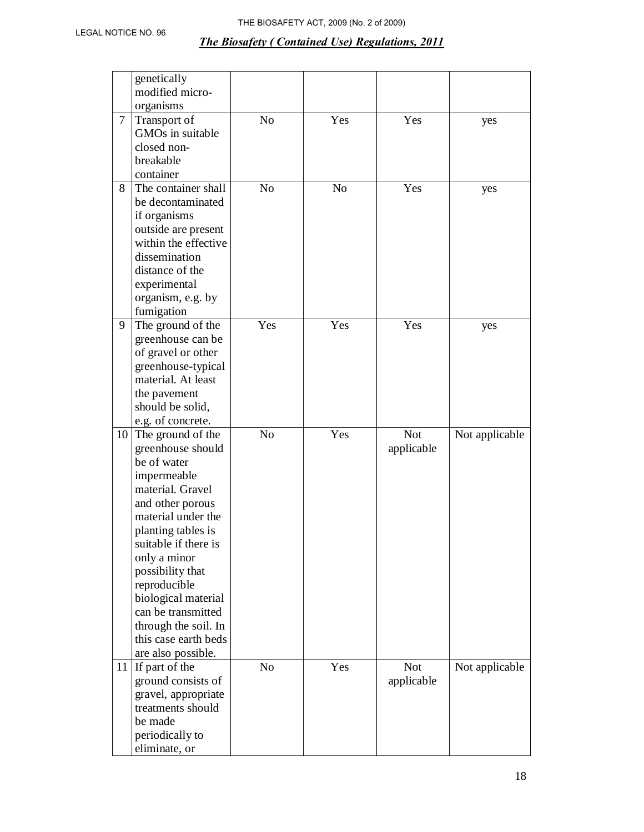|        | genetically          |                |                |            |                |
|--------|----------------------|----------------|----------------|------------|----------------|
|        | modified micro-      |                |                |            |                |
|        | organisms            |                |                |            |                |
| $\tau$ | Transport of         | N <sub>o</sub> | Yes            | Yes        | yes            |
|        | GMOs in suitable     |                |                |            |                |
|        | closed non-          |                |                |            |                |
|        | breakable            |                |                |            |                |
|        | container            |                |                |            |                |
| 8      | The container shall  | N <sub>o</sub> | N <sub>0</sub> | Yes        | yes            |
|        | be decontaminated    |                |                |            |                |
|        | if organisms         |                |                |            |                |
|        | outside are present  |                |                |            |                |
|        | within the effective |                |                |            |                |
|        | dissemination        |                |                |            |                |
|        | distance of the      |                |                |            |                |
|        | experimental         |                |                |            |                |
|        | organism, e.g. by    |                |                |            |                |
|        | fumigation           |                |                |            |                |
| 9      | The ground of the    | Yes            | Yes            | Yes        | yes            |
|        | greenhouse can be    |                |                |            |                |
|        | of gravel or other   |                |                |            |                |
|        | greenhouse-typical   |                |                |            |                |
|        | material. At least   |                |                |            |                |
|        | the pavement         |                |                |            |                |
|        | should be solid,     |                |                |            |                |
|        | e.g. of concrete.    |                |                |            |                |
| 10     | The ground of the    | N <sub>o</sub> | Yes            | <b>Not</b> | Not applicable |
|        | greenhouse should    |                |                | applicable |                |
|        | be of water          |                |                |            |                |
|        | impermeable          |                |                |            |                |
|        | material. Gravel     |                |                |            |                |
|        | and other porous     |                |                |            |                |
|        | material under the   |                |                |            |                |
|        | planting tables is   |                |                |            |                |
|        | suitable if there is |                |                |            |                |
|        | only a minor         |                |                |            |                |
|        | possibility that     |                |                |            |                |
|        | reproducible         |                |                |            |                |
|        | biological material  |                |                |            |                |
|        | can be transmitted   |                |                |            |                |
|        | through the soil. In |                |                |            |                |
|        | this case earth beds |                |                |            |                |
|        | are also possible.   |                |                |            |                |
|        | 11 If part of the    | N <sub>o</sub> | Yes            | <b>Not</b> | Not applicable |
|        | ground consists of   |                |                | applicable |                |
|        | gravel, appropriate  |                |                |            |                |
|        | treatments should    |                |                |            |                |
|        | be made              |                |                |            |                |
|        | periodically to      |                |                |            |                |
|        | eliminate, or        |                |                |            |                |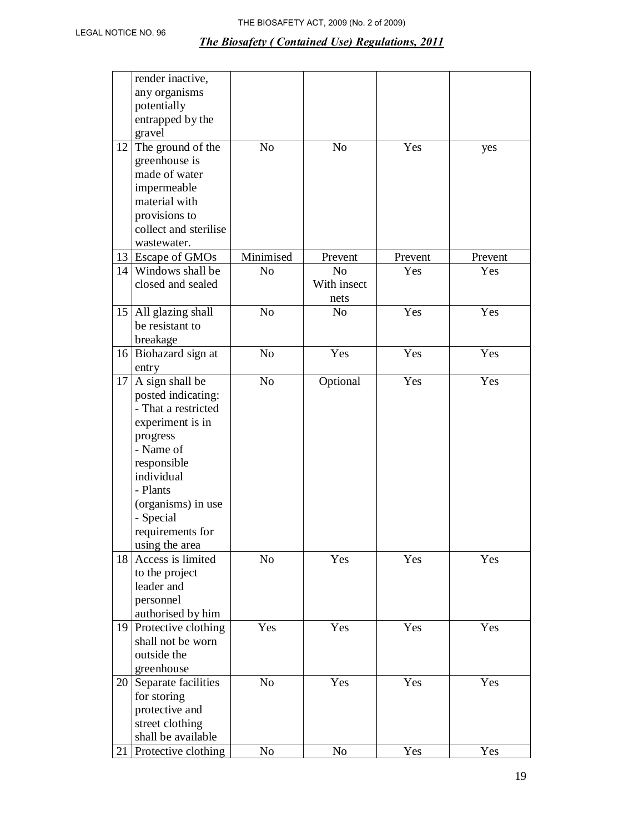|    | render inactive,                    |                |                |         |         |
|----|-------------------------------------|----------------|----------------|---------|---------|
|    | any organisms                       |                |                |         |         |
|    | potentially                         |                |                |         |         |
|    | entrapped by the                    |                |                |         |         |
|    | gravel                              |                |                |         |         |
| 12 | The ground of the                   | N <sub>o</sub> | N <sub>o</sub> | Yes     | yes     |
|    | greenhouse is                       |                |                |         |         |
|    | made of water                       |                |                |         |         |
|    | impermeable                         |                |                |         |         |
|    | material with                       |                |                |         |         |
|    | provisions to                       |                |                |         |         |
|    | collect and sterilise               |                |                |         |         |
|    | wastewater.                         |                |                |         |         |
|    | 13 Escape of GMOs                   | Minimised      | Prevent        | Prevent | Prevent |
|    | 14 Windows shall be                 | N <sub>0</sub> | N <sub>0</sub> | Yes     | Yes     |
|    | closed and sealed                   |                | With insect    |         |         |
|    |                                     |                | nets           |         |         |
|    | 15 All glazing shall                | N <sub>0</sub> | N <sub>o</sub> | Yes     | Yes     |
|    | be resistant to                     |                |                |         |         |
|    | breakage                            |                |                |         |         |
|    |                                     | N <sub>0</sub> | Yes            | Yes     | Yes     |
|    | 16 Biohazard sign at                |                |                |         |         |
|    | entry                               |                |                |         |         |
| 17 | A sign shall be                     | N <sub>0</sub> | Optional       | Yes     | Yes     |
|    | posted indicating:                  |                |                |         |         |
|    | - That a restricted                 |                |                |         |         |
|    | experiment is in                    |                |                |         |         |
|    | progress                            |                |                |         |         |
|    | - Name of                           |                |                |         |         |
|    | responsible                         |                |                |         |         |
|    | individual                          |                |                |         |         |
|    | - Plants                            |                |                |         |         |
|    | (organisms) in use                  |                |                |         |         |
|    | - Special                           |                |                |         |         |
|    | requirements for                    |                |                |         |         |
|    | using the area                      |                |                |         |         |
| 18 | Access is limited                   | N <sub>0</sub> | Yes            | Yes     | Yes     |
|    | to the project                      |                |                |         |         |
|    | leader and                          |                |                |         |         |
|    | personnel                           |                |                |         |         |
|    | authorised by him                   |                |                |         |         |
|    | 19 Protective clothing              | Yes            | Yes            | Yes     | Yes     |
|    | shall not be worn                   |                |                |         |         |
|    | outside the                         |                |                |         |         |
|    | greenhouse                          |                |                |         |         |
|    | $\overline{20}$ Separate facilities | N <sub>o</sub> | Yes            | Yes     | Yes     |
|    | for storing                         |                |                |         |         |
|    | protective and                      |                |                |         |         |
|    | street clothing                     |                |                |         |         |
|    | shall be available                  |                |                |         |         |
| 21 | Protective clothing                 | N <sub>0</sub> | N <sub>0</sub> | Yes     | Yes     |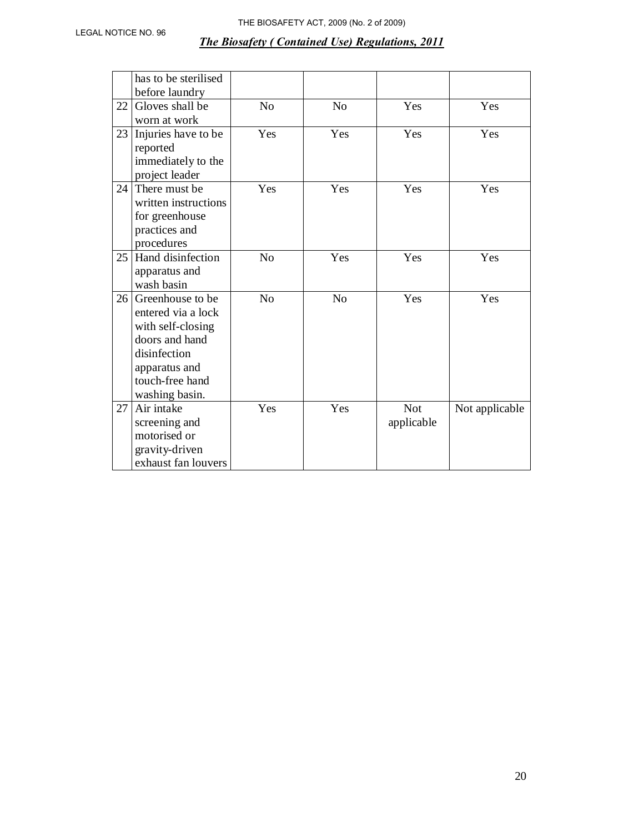|    | has to be sterilised<br>before laundry                                                                                                               |                |                |                          |                |
|----|------------------------------------------------------------------------------------------------------------------------------------------------------|----------------|----------------|--------------------------|----------------|
| 22 | Gloves shall be<br>worn at work                                                                                                                      | N <sub>o</sub> | N <sub>o</sub> | Yes                      | Yes            |
| 23 | Injuries have to be<br>reported<br>immediately to the<br>project leader                                                                              | Yes            | Yes            | Yes                      | Yes            |
| 24 | There must be<br>written instructions<br>for greenhouse<br>practices and<br>procedures                                                               | Yes            | Yes            | Yes                      | Yes            |
| 25 | Hand disinfection<br>apparatus and<br>wash basin                                                                                                     | N <sub>o</sub> | Yes            | Yes                      | Yes            |
| 26 | Greenhouse to be.<br>entered via a lock<br>with self-closing<br>doors and hand<br>disinfection<br>apparatus and<br>touch-free hand<br>washing basin. | N <sub>o</sub> | N <sub>o</sub> | Yes                      | Yes            |
| 27 | Air intake<br>screening and<br>motorised or<br>gravity-driven<br>exhaust fan louvers                                                                 | Yes            | Yes            | <b>Not</b><br>applicable | Not applicable |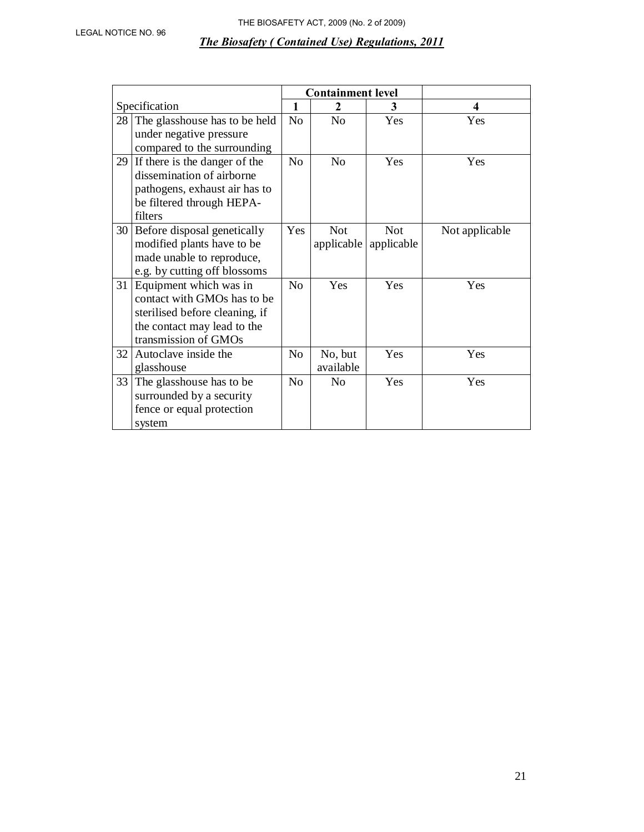|    |                                |                | <b>Containment level</b> |            |                         |
|----|--------------------------------|----------------|--------------------------|------------|-------------------------|
|    | Specification                  | $\mathbf{1}$   | $\mathbf{2}$             | 3          | $\overline{\mathbf{4}}$ |
| 28 | The glasshouse has to be held  | N <sub>o</sub> | N <sub>0</sub>           | Yes        | Yes                     |
|    | under negative pressure        |                |                          |            |                         |
|    | compared to the surrounding    |                |                          |            |                         |
| 29 | If there is the danger of the  | N <sub>o</sub> | N <sub>o</sub>           | Yes        | Yes                     |
|    | dissemination of airborne      |                |                          |            |                         |
|    | pathogens, exhaust air has to  |                |                          |            |                         |
|    | be filtered through HEPA-      |                |                          |            |                         |
|    | filters                        |                |                          |            |                         |
|    | 30 Before disposal genetically | Yes            | <b>Not</b>               | <b>Not</b> | Not applicable          |
|    | modified plants have to be     |                | applicable               | applicable |                         |
|    | made unable to reproduce,      |                |                          |            |                         |
|    | e.g. by cutting off blossoms   |                |                          |            |                         |
|    | 31 Equipment which was in      | N <sub>o</sub> | <b>Yes</b>               | Yes        | Yes                     |
|    | contact with GMOs has to be    |                |                          |            |                         |
|    | sterilised before cleaning, if |                |                          |            |                         |
|    | the contact may lead to the    |                |                          |            |                         |
|    | transmission of GMOs           |                |                          |            |                         |
| 32 | Autoclave inside the           | N <sub>o</sub> | No, but                  | Yes        | Yes                     |
|    | glasshouse                     |                | available                |            |                         |
| 33 | The glasshouse has to be       | No             | N <sub>0</sub>           | Yes        | Yes                     |
|    | surrounded by a security       |                |                          |            |                         |
|    | fence or equal protection      |                |                          |            |                         |
|    | system                         |                |                          |            |                         |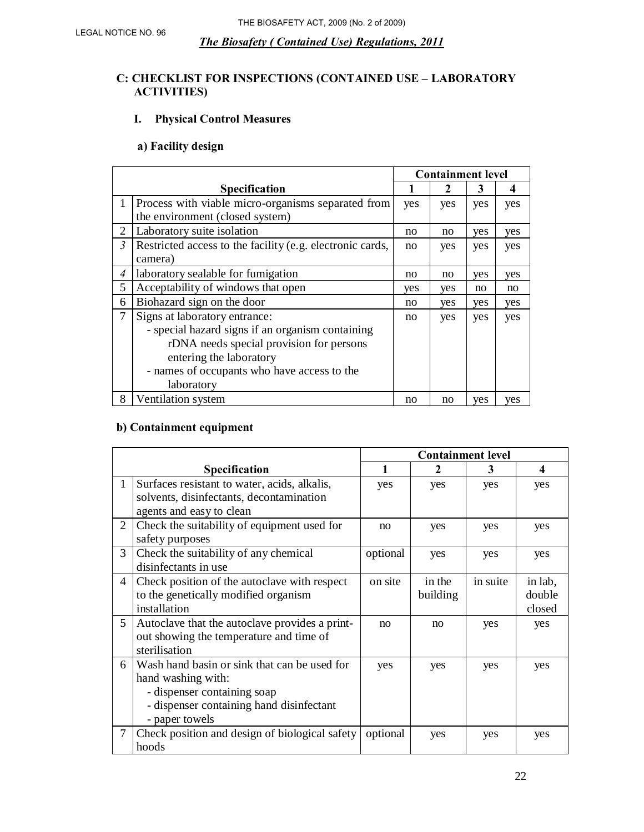# **C: CHECKLIST FOR INSPECTIONS (CONTAINED USE – LABORATORY ACTIVITIES)**

# **I. Physical Control Measures**

# **a) Facility design**

|                |                                                                                                                                                                                                                       | <b>Containment level</b> |     |     |     |
|----------------|-----------------------------------------------------------------------------------------------------------------------------------------------------------------------------------------------------------------------|--------------------------|-----|-----|-----|
|                | <b>Specification</b>                                                                                                                                                                                                  |                          | 2   | 3   | 4   |
| $\mathbf{1}$   | Process with viable micro-organisms separated from<br>the environment (closed system)                                                                                                                                 | yes                      | yes | yes | yes |
| $\overline{2}$ | Laboratory suite isolation                                                                                                                                                                                            | no                       | no  | yes | yes |
| $\mathfrak{Z}$ | Restricted access to the facility (e.g. electronic cards,<br>camera)                                                                                                                                                  | no                       | yes | yes | yes |
| $\overline{A}$ | laboratory sealable for fumigation                                                                                                                                                                                    | no                       | no  | yes | yes |
| 5              | Acceptability of windows that open                                                                                                                                                                                    | yes                      | yes | no  | no  |
| 6              | Biohazard sign on the door                                                                                                                                                                                            | no                       | yes | yes | yes |
| 7              | Signs at laboratory entrance:<br>- special hazard signs if an organism containing<br>rDNA needs special provision for persons<br>entering the laboratory<br>- names of occupants who have access to the<br>laboratory | no                       | yes | yes | yes |
| 8              | Ventilation system                                                                                                                                                                                                    | no                       | no  | yes | yes |

## **b) Containment equipment**

|   |                                                                                                                                                                 | <b>Containment level</b> |                    |          |                             |  |
|---|-----------------------------------------------------------------------------------------------------------------------------------------------------------------|--------------------------|--------------------|----------|-----------------------------|--|
|   | Specification                                                                                                                                                   | 1                        | 2                  | 3        | 4                           |  |
| 1 | Surfaces resistant to water, acids, alkalis,<br>solvents, disinfectants, decontamination<br>agents and easy to clean                                            | yes                      | yes                | yes      | yes                         |  |
| 2 | Check the suitability of equipment used for<br>safety purposes                                                                                                  | no                       | yes                | yes      | yes                         |  |
| 3 | Check the suitability of any chemical<br>disinfectants in use                                                                                                   | optional                 | yes                | yes      | yes                         |  |
| 4 | Check position of the autoclave with respect<br>to the genetically modified organism<br>installation                                                            | on site                  | in the<br>building | in suite | in lab,<br>double<br>closed |  |
| 5 | Autoclave that the autoclave provides a print-<br>out showing the temperature and time of<br>sterilisation                                                      | no                       | no                 | yes      | yes                         |  |
| 6 | Wash hand basin or sink that can be used for<br>hand washing with:<br>- dispenser containing soap<br>- dispenser containing hand disinfectant<br>- paper towels | yes                      | yes                | yes      | yes                         |  |
| 7 | Check position and design of biological safety<br>hoods                                                                                                         | optional                 | yes                | yes      | yes                         |  |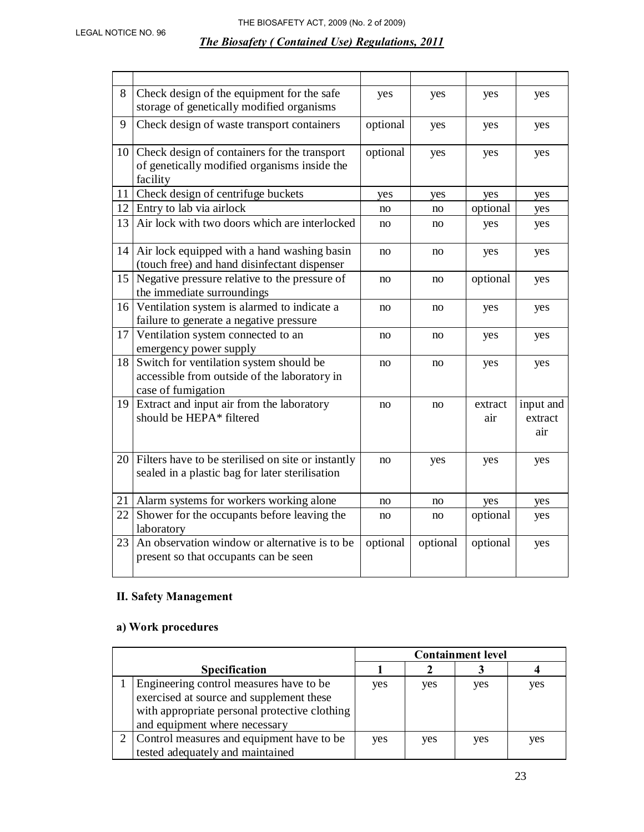| 8               | Check design of the equipment for the safe<br>storage of genetically modified organisms                       | yes      | yes      | yes            | yes                         |
|-----------------|---------------------------------------------------------------------------------------------------------------|----------|----------|----------------|-----------------------------|
| 9               | Check design of waste transport containers                                                                    | optional | yes      | yes            | yes                         |
| 10 <sup>1</sup> | Check design of containers for the transport<br>of genetically modified organisms inside the<br>facility      | optional | yes      | yes            | yes                         |
| 11              | Check design of centrifuge buckets                                                                            | yes      | yes      | yes            | yes                         |
| 12 <sub>1</sub> | Entry to lab via airlock                                                                                      | no       | no       | optional       | yes                         |
| 13              | Air lock with two doors which are interlocked                                                                 | no       | no       | yes            | yes                         |
|                 | 14   Air lock equipped with a hand washing basin<br>(touch free) and hand disinfectant dispenser              | no       | no       | yes            | yes                         |
| 15              | Negative pressure relative to the pressure of<br>the immediate surroundings                                   | no       | no       | optional       | yes                         |
| 16              | Ventilation system is alarmed to indicate a<br>failure to generate a negative pressure                        | no       | no       | yes            | yes                         |
| 17              | Ventilation system connected to an<br>emergency power supply                                                  | no       | no       | yes            | yes                         |
| 18              | Switch for ventilation system should be<br>accessible from outside of the laboratory in<br>case of fumigation | no       | no       | yes            | yes                         |
| 19              | Extract and input air from the laboratory<br>should be HEPA* filtered                                         | no       | no       | extract<br>air | input and<br>extract<br>air |
| 20              | Filters have to be sterilised on site or instantly<br>sealed in a plastic bag for later sterilisation         | no       | yes      | yes            | yes                         |
| 21              | Alarm systems for workers working alone                                                                       | no       | no       | yes            | yes                         |
| 22              | Shower for the occupants before leaving the<br>laboratory                                                     | no       | no       | optional       | yes                         |
| 23              | An observation window or alternative is to be<br>present so that occupants can be seen                        | optional | optional | optional       | yes                         |

# **II. Safety Management**

# **a) Work procedures**

|                                               | <b>Containment level</b> |     |     |     |
|-----------------------------------------------|--------------------------|-----|-----|-----|
| <b>Specification</b>                          |                          |     |     |     |
| Engineering control measures have to be       | yes                      | yes | yes | yes |
| exercised at source and supplement these      |                          |     |     |     |
| with appropriate personal protective clothing |                          |     |     |     |
| and equipment where necessary                 |                          |     |     |     |
| Control measures and equipment have to be     | yes                      | yes | yes | yes |
| tested adequately and maintained              |                          |     |     |     |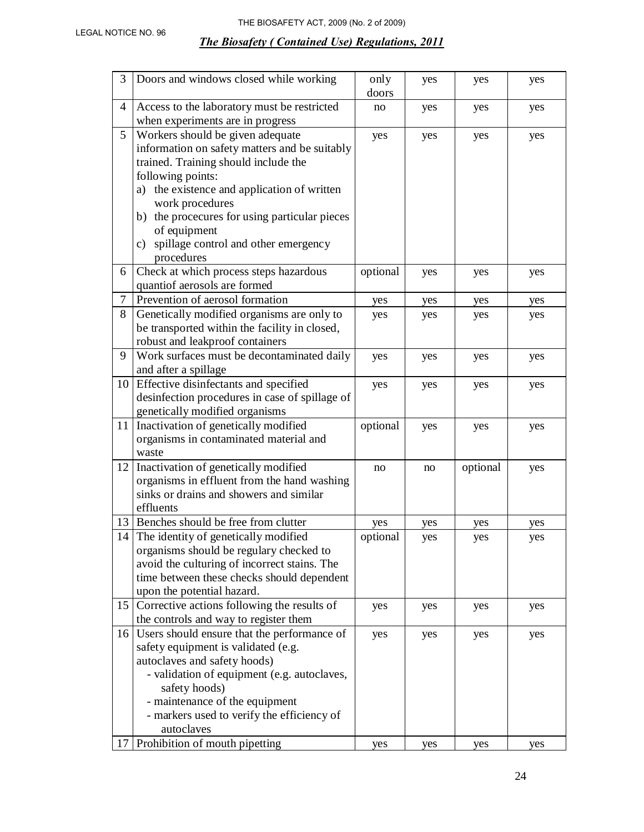| 3  | Doors and windows closed while working                                          | only     | yes | yes      | yes |
|----|---------------------------------------------------------------------------------|----------|-----|----------|-----|
|    |                                                                                 | doors    |     |          |     |
| 4  | Access to the laboratory must be restricted<br>when experiments are in progress | no       | yes | yes      | yes |
| 5  | Workers should be given adequate                                                | yes      | yes | yes      | yes |
|    | information on safety matters and be suitably                                   |          |     |          |     |
|    | trained. Training should include the                                            |          |     |          |     |
|    | following points:                                                               |          |     |          |     |
|    | a) the existence and application of written                                     |          |     |          |     |
|    | work procedures                                                                 |          |     |          |     |
|    | b) the procecures for using particular pieces                                   |          |     |          |     |
|    | of equipment                                                                    |          |     |          |     |
|    | spillage control and other emergency<br>c)                                      |          |     |          |     |
|    | procedures                                                                      |          |     |          |     |
| 6  | Check at which process steps hazardous                                          | optional | yes | yes      | yes |
|    | quantiof aerosols are formed                                                    |          |     |          |     |
| 7  | Prevention of aerosol formation                                                 | yes      | yes | yes      | yes |
| 8  | Genetically modified organisms are only to                                      | yes      | yes | yes      | yes |
|    | be transported within the facility in closed,                                   |          |     |          |     |
|    | robust and leakproof containers                                                 |          |     |          |     |
| 9  | Work surfaces must be decontaminated daily                                      | yes      | yes | yes      | yes |
|    | and after a spillage                                                            |          |     |          |     |
|    | 10 Effective disinfectants and specified                                        | yes      | yes | yes      | yes |
|    | desinfection procedures in case of spillage of                                  |          |     |          |     |
|    | genetically modified organisms                                                  |          |     |          |     |
| 11 | Inactivation of genetically modified                                            | optional | yes | yes      | yes |
|    | organisms in contaminated material and                                          |          |     |          |     |
|    | waste                                                                           |          |     |          |     |
| 12 | Inactivation of genetically modified                                            | no       | no  | optional | yes |
|    | organisms in effluent from the hand washing                                     |          |     |          |     |
|    | sinks or drains and showers and similar                                         |          |     |          |     |
|    | effluents                                                                       |          |     |          |     |
|    | 13 Benches should be free from clutter                                          | yes      | yes | yes      | yes |
|    | 14 The identity of genetically modified                                         | optional | yes | yes      | yes |
|    | organisms should be regulary checked to                                         |          |     |          |     |
|    | avoid the culturing of incorrect stains. The                                    |          |     |          |     |
|    | time between these checks should dependent                                      |          |     |          |     |
|    | upon the potential hazard.                                                      |          |     |          |     |
| 15 | Corrective actions following the results of                                     | yes      | yes | yes      | yes |
|    | the controls and way to register them                                           |          |     |          |     |
| 16 | Users should ensure that the performance of                                     | yes      | yes | yes      | yes |
|    | safety equipment is validated (e.g.                                             |          |     |          |     |
|    | autoclaves and safety hoods)                                                    |          |     |          |     |
|    | - validation of equipment (e.g. autoclaves,                                     |          |     |          |     |
|    | safety hoods)<br>- maintenance of the equipment                                 |          |     |          |     |
|    | - markers used to verify the efficiency of                                      |          |     |          |     |
|    | autoclaves                                                                      |          |     |          |     |
| 17 | Prohibition of mouth pipetting                                                  | yes      | yes | yes      | yes |
|    |                                                                                 |          |     |          |     |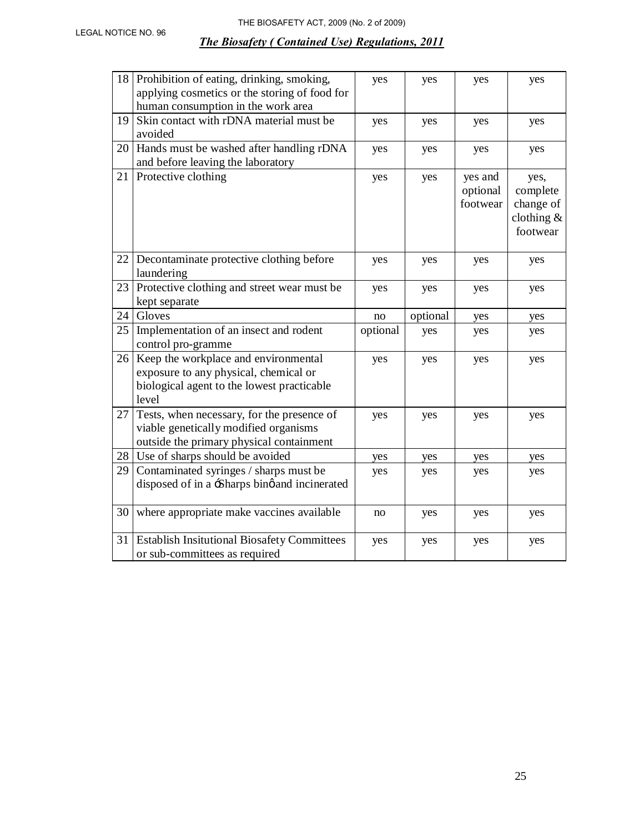| 18 | Prohibition of eating, drinking, smoking,<br>applying cosmetics or the storing of food for<br>human consumption in the work area     | yes      | yes      | yes                             | yes                                                       |
|----|--------------------------------------------------------------------------------------------------------------------------------------|----------|----------|---------------------------------|-----------------------------------------------------------|
| 19 | Skin contact with rDNA material must be<br>avoided                                                                                   | yes      | yes      | yes                             | yes                                                       |
| 20 | Hands must be washed after handling rDNA<br>and before leaving the laboratory                                                        | yes      | yes      | yes                             | yes                                                       |
| 21 | Protective clothing                                                                                                                  | yes      | yes      | yes and<br>optional<br>footwear | yes,<br>complete<br>change of<br>clothing $&$<br>footwear |
| 22 | Decontaminate protective clothing before<br>laundering                                                                               | yes      | yes      | yes                             | yes                                                       |
| 23 | Protective clothing and street wear must be<br>kept separate                                                                         | yes      | yes      | yes                             | yes                                                       |
| 24 | Gloves                                                                                                                               | no       | optional | yes                             | yes                                                       |
| 25 | Implementation of an insect and rodent<br>control pro-gramme                                                                         | optional | yes      | yes                             | yes                                                       |
| 26 | Keep the workplace and environmental<br>exposure to any physical, chemical or<br>biological agent to the lowest practicable<br>level | yes      | yes      | yes                             | yes                                                       |
| 27 | Tests, when necessary, for the presence of<br>viable genetically modified organisms<br>outside the primary physical containment      | yes      | yes      | yes                             | yes                                                       |
| 28 | Use of sharps should be avoided                                                                                                      | yes      | yes      | yes                             | yes                                                       |
| 29 | Contaminated syringes / sharps must be<br>disposed of in a -Sharps binø and incinerated                                              | yes      | yes      | yes                             | yes                                                       |
| 30 | where appropriate make vaccines available                                                                                            | no       | yes      | yes                             | yes                                                       |
| 31 | <b>Establish Insitutional Biosafety Committees</b><br>or sub-committees as required                                                  | yes      | yes      | yes                             | yes                                                       |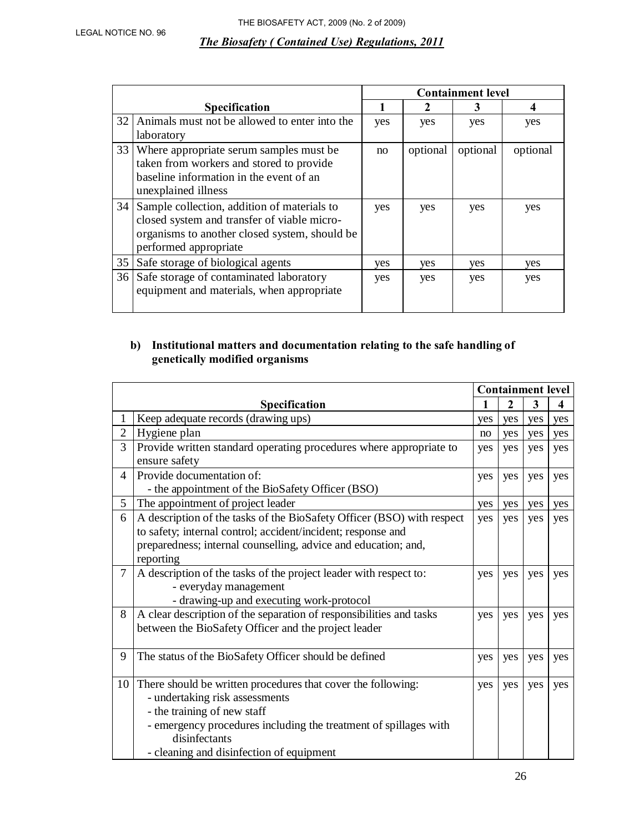|    |                                               |     |          | <b>Containment level</b> |          |
|----|-----------------------------------------------|-----|----------|--------------------------|----------|
|    | <b>Specification</b>                          |     |          | 3                        | 4        |
| 32 | Animals must not be allowed to enter into the | yes | yes      | yes                      | yes      |
|    | laboratory                                    |     |          |                          |          |
| 33 | Where appropriate serum samples must be       | no  | optional | optional                 | optional |
|    | taken from workers and stored to provide      |     |          |                          |          |
|    | baseline information in the event of an       |     |          |                          |          |
|    | unexplained illness                           |     |          |                          |          |
| 34 | Sample collection, addition of materials to   | yes | yes      | yes                      | yes      |
|    | closed system and transfer of viable micro-   |     |          |                          |          |
|    | organisms to another closed system, should be |     |          |                          |          |
|    | performed appropriate                         |     |          |                          |          |
| 35 | Safe storage of biological agents             | ves | yes.     | yes                      | ves      |
|    | 36 Safe storage of contaminated laboratory    | yes | yes      | yes                      | yes      |
|    | equipment and materials, when appropriate     |     |          |                          |          |
|    |                                               |     |          |                          |          |

## **b) Institutional matters and documentation relating to the safe handling of genetically modified organisms**

|                |                                                                                                                                                                                                                                                                | <b>Containment level</b> |                |     |     |
|----------------|----------------------------------------------------------------------------------------------------------------------------------------------------------------------------------------------------------------------------------------------------------------|--------------------------|----------------|-----|-----|
|                | Specification                                                                                                                                                                                                                                                  | 1                        | $\overline{2}$ | 3   | 4   |
| 1              | Keep adequate records (drawing ups)                                                                                                                                                                                                                            | yes                      | yes            | yes | yes |
| $\overline{2}$ | Hygiene plan                                                                                                                                                                                                                                                   | no                       | yes            | yes | yes |
| 3              | Provide written standard operating procedures where appropriate to<br>ensure safety                                                                                                                                                                            | yes                      | yes            | yes | yes |
| $\overline{4}$ | Provide documentation of:<br>- the appointment of the BioSafety Officer (BSO)                                                                                                                                                                                  | yes                      | yes            | yes | yes |
| 5              | The appointment of project leader                                                                                                                                                                                                                              | yes                      | yes            | yes | yes |
| 6              | A description of the tasks of the BioSafety Officer (BSO) with respect<br>to safety; internal control; accident/incident; response and<br>preparedness; internal counselling, advice and education; and,<br>reporting                                          | yes                      | yes            | yes | yes |
| $\tau$         | A description of the tasks of the project leader with respect to:<br>- everyday management<br>- drawing-up and executing work-protocol                                                                                                                         | yes                      | yes            | yes | yes |
| 8              | A clear description of the separation of responsibilities and tasks<br>between the BioSafety Officer and the project leader                                                                                                                                    | yes                      | yes            | yes | yes |
| 9              | The status of the BioSafety Officer should be defined                                                                                                                                                                                                          | yes                      | yes            | yes | yes |
| 10             | There should be written procedures that cover the following:<br>- undertaking risk assessments<br>- the training of new staff<br>- emergency procedures including the treatment of spillages with<br>disinfectants<br>- cleaning and disinfection of equipment | yes                      | yes            | yes | yes |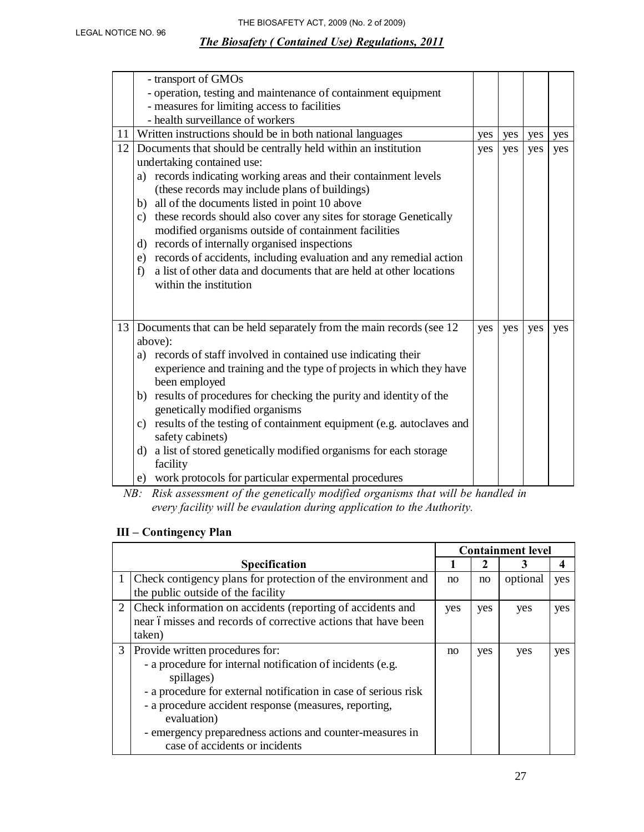|    | - transport of GMOs<br>- operation, testing and maintenance of containment equipment                                                         |     |     |     |     |
|----|----------------------------------------------------------------------------------------------------------------------------------------------|-----|-----|-----|-----|
|    | - measures for limiting access to facilities                                                                                                 |     |     |     |     |
|    | - health surveillance of workers                                                                                                             |     |     |     |     |
|    | 11 Written instructions should be in both national languages                                                                                 | yes | yes | yes | yes |
| 12 | Documents that should be centrally held within an institution                                                                                | yes | yes | yes | yes |
|    | undertaking contained use:                                                                                                                   |     |     |     |     |
|    | a) records indicating working areas and their containment levels<br>(these records may include plans of buildings)                           |     |     |     |     |
|    | b) all of the documents listed in point 10 above                                                                                             |     |     |     |     |
|    | c) these records should also cover any sites for storage Genetically                                                                         |     |     |     |     |
|    | modified organisms outside of containment facilities                                                                                         |     |     |     |     |
|    | d) records of internally organised inspections                                                                                               |     |     |     |     |
|    | e) records of accidents, including evaluation and any remedial action<br>a list of other data and documents that are held at other locations |     |     |     |     |
|    | f)<br>within the institution                                                                                                                 |     |     |     |     |
|    |                                                                                                                                              |     |     |     |     |
|    |                                                                                                                                              |     |     |     |     |
| 13 | Documents that can be held separately from the main records (see 12)                                                                         | yes | yes | yes | yes |
|    | above):                                                                                                                                      |     |     |     |     |
|    | a) records of staff involved in contained use indicating their                                                                               |     |     |     |     |
|    | experience and training and the type of projects in which they have                                                                          |     |     |     |     |
|    | been employed                                                                                                                                |     |     |     |     |
|    | b) results of procedures for checking the purity and identity of the                                                                         |     |     |     |     |
|    | genetically modified organisms                                                                                                               |     |     |     |     |
|    | c) results of the testing of containment equipment (e.g. autoclaves and                                                                      |     |     |     |     |
|    | safety cabinets)                                                                                                                             |     |     |     |     |
|    | a list of stored genetically modified organisms for each storage<br>$\rm d$                                                                  |     |     |     |     |
|    | facility                                                                                                                                     |     |     |     |     |
|    | work protocols for particular expermental procedures<br>e)                                                                                   |     |     |     |     |

*NB: Risk assessment of the genetically modified organisms that will be handled in every facility will be evaulation during application to the Authority.* 

# **III – Contingency Plan**

|   |                                                                                                                                                                                                                                                                                                                                                      |     |     | <b>Containment level</b> |     |
|---|------------------------------------------------------------------------------------------------------------------------------------------------------------------------------------------------------------------------------------------------------------------------------------------------------------------------------------------------------|-----|-----|--------------------------|-----|
|   | <b>Specification</b>                                                                                                                                                                                                                                                                                                                                 |     | 2   |                          |     |
|   | Check contigency plans for protection of the environment and<br>the public outside of the facility                                                                                                                                                                                                                                                   | no  | no  | optional                 | yes |
|   | 2 Check information on accidents (reporting of accidents and<br>near ómisses and records of corrective actions that have been<br>taken)                                                                                                                                                                                                              | yes | yes | yes                      | yes |
| 3 | Provide written procedures for:<br>- a procedure for internal notification of incidents (e.g.<br>spillages)<br>- a procedure for external notification in case of serious risk<br>- a procedure accident response (measures, reporting,<br>evaluation)<br>- emergency preparedness actions and counter-measures in<br>case of accidents or incidents | no  | yes | yes                      | yes |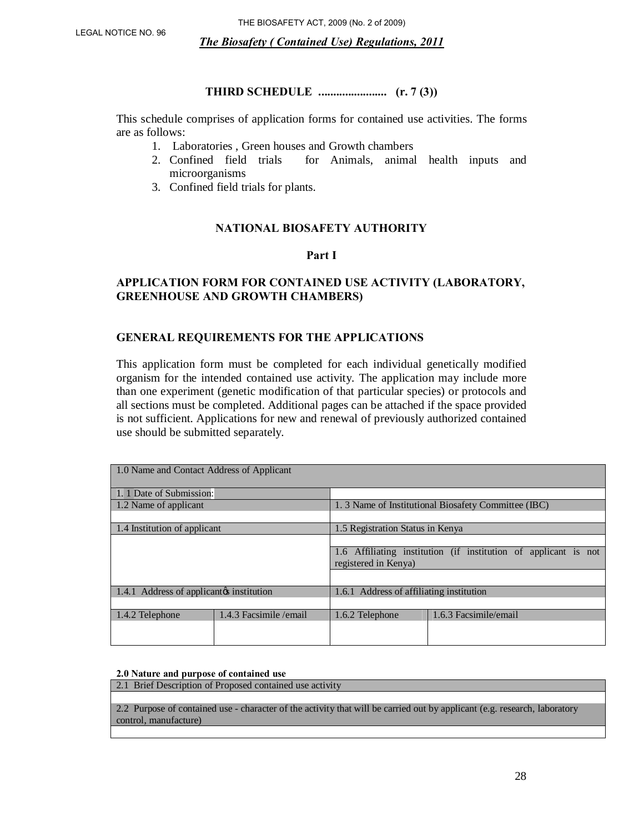#### **THIRD SCHEDULE ....................... (r. 7 (3))**

This schedule comprises of application forms for contained use activities. The forms are as follows:

- 1. Laboratories , Green houses and Growth chambers
- 2. Confined field trials for Animals, animal health inputs and microorganisms
- 3. Confined field trials for plants.

#### **NATIONAL BIOSAFETY AUTHORITY**

#### **Part I**

#### **APPLICATION FORM FOR CONTAINED USE ACTIVITY (LABORATORY, GREENHOUSE AND GROWTH CHAMBERS)**

#### **GENERAL REQUIREMENTS FOR THE APPLICATIONS**

This application form must be completed for each individual genetically modified organism for the intended contained use activity. The application may include more than one experiment (genetic modification of that particular species) or protocols and all sections must be completed. Additional pages can be attached if the space provided is not sufficient. Applications for new and renewal of previously authorized contained use should be submitted separately.

| 1.0 Name and Contact Address of Applicant |                         |                                          |                                                                 |
|-------------------------------------------|-------------------------|------------------------------------------|-----------------------------------------------------------------|
| 1. 1 Date of Submission:                  |                         |                                          |                                                                 |
| 1.2 Name of applicant                     |                         |                                          | 1.3 Name of Institutional Biosafety Committee (IBC)             |
|                                           |                         |                                          |                                                                 |
| 1.4 Institution of applicant              |                         | 1.5 Registration Status in Kenya         |                                                                 |
|                                           |                         |                                          |                                                                 |
|                                           |                         |                                          | 1.6 Affiliating institution (if institution of applicant is not |
|                                           |                         | registered in Kenya)                     |                                                                 |
|                                           |                         |                                          |                                                                 |
| 1.4.1 Address of applicant institution    |                         | 1.6.1 Address of affiliating institution |                                                                 |
|                                           |                         |                                          |                                                                 |
| 1.4.2 Telephone                           | 1.4.3 Facsimile / email | 1.6.2 Telephone                          | 1.6.3 Facsimile/email                                           |
|                                           |                         |                                          |                                                                 |
|                                           |                         |                                          |                                                                 |

**2.0 Nature and purpose of contained use** 

2.1 Brief Description of Proposed contained use activity 2.2 Purpose of contained use - character of the activity that will be carried out by applicant (e.g. research, laboratory control, manufacture)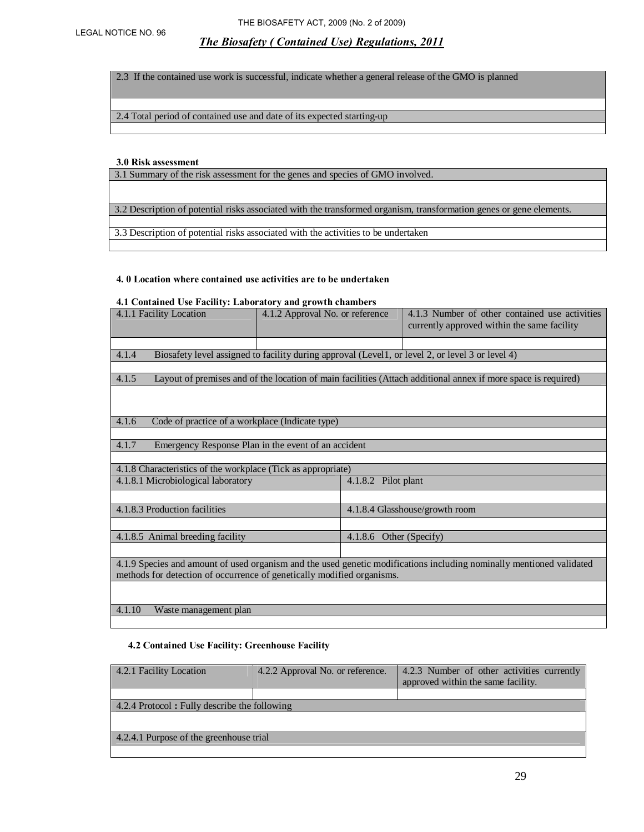2.3 If the contained use work is successful, indicate whether a general release of the GMO is planned

2.4 Total period of contained use and date of its expected starting-up

#### **3.0 Risk assessment**

3.1 Summary of the risk assessment for the genes and species of GMO involved.

3.2 Description of potential risks associated with the transformed organism, transformation genes or gene elements.

3.3 Description of potential risks associated with the activities to be undertaken

#### **4. 0 Location where contained use activities are to be undertaken**

#### **4.1 Contained Use Facility: Laboratory and growth chambers**

| 4.1.1 Facility Location                                                                                              | 4.1.2 Approval No. or reference |                     | 4.1.3 Number of other contained use activities<br>currently approved within the same facility                 |  |
|----------------------------------------------------------------------------------------------------------------------|---------------------------------|---------------------|---------------------------------------------------------------------------------------------------------------|--|
|                                                                                                                      |                                 |                     |                                                                                                               |  |
|                                                                                                                      |                                 |                     |                                                                                                               |  |
| 4.1.4                                                                                                                |                                 |                     | Biosafety level assigned to facility during approval (Level1, or level 2, or level 3 or level 4)              |  |
|                                                                                                                      |                                 |                     |                                                                                                               |  |
| 4.1.5                                                                                                                |                                 |                     | Layout of premises and of the location of main facilities (Attach additional annex if more space is required) |  |
|                                                                                                                      |                                 |                     |                                                                                                               |  |
|                                                                                                                      |                                 |                     |                                                                                                               |  |
| 4.1.6<br>Code of practice of a workplace (Indicate type)                                                             |                                 |                     |                                                                                                               |  |
|                                                                                                                      |                                 |                     |                                                                                                               |  |
| Emergency Response Plan in the event of an accident<br>4.1.7                                                         |                                 |                     |                                                                                                               |  |
|                                                                                                                      |                                 |                     |                                                                                                               |  |
| 4.1.8 Characteristics of the workplace (Tick as appropriate)                                                         |                                 |                     |                                                                                                               |  |
| 4.1.8.1 Microbiological laboratory                                                                                   |                                 | 4.1.8.2 Pilot plant |                                                                                                               |  |
|                                                                                                                      |                                 |                     |                                                                                                               |  |
| 4.1.8.3 Production facilities                                                                                        |                                 |                     | 4.1.8.4 Glasshouse/growth room                                                                                |  |
|                                                                                                                      |                                 |                     |                                                                                                               |  |
| 4.1.8.5 Animal breeding facility                                                                                     | Other (Specify)<br>4.1.8.6      |                     |                                                                                                               |  |
|                                                                                                                      |                                 |                     |                                                                                                               |  |
| 4.1.9 Species and amount of used organism and the used genetic modifications including nominally mentioned validated |                                 |                     |                                                                                                               |  |
| methods for detection of occurrence of genetically modified organisms.                                               |                                 |                     |                                                                                                               |  |
|                                                                                                                      |                                 |                     |                                                                                                               |  |
|                                                                                                                      |                                 |                     |                                                                                                               |  |
| 4.1.10<br>Waste management plan                                                                                      |                                 |                     |                                                                                                               |  |
|                                                                                                                      |                                 |                     |                                                                                                               |  |

#### **4.2 Contained Use Facility: Greenhouse Facility**

| 4.2.1 Facility Location                      | 4.2.2 Approval No. or reference. | 4.2.3 Number of other activities currently<br>approved within the same facility. |  |  |
|----------------------------------------------|----------------------------------|----------------------------------------------------------------------------------|--|--|
|                                              |                                  |                                                                                  |  |  |
| 4.2.4 Protocol: Fully describe the following |                                  |                                                                                  |  |  |
|                                              |                                  |                                                                                  |  |  |
|                                              |                                  |                                                                                  |  |  |
| 4.2.4.1 Purpose of the greenhouse trial      |                                  |                                                                                  |  |  |
|                                              |                                  |                                                                                  |  |  |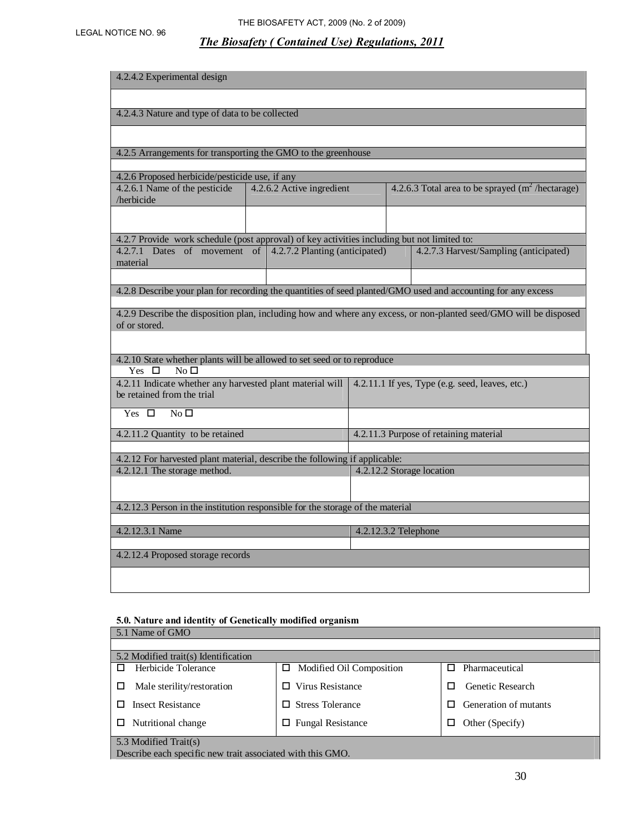# LEGAL NOTICE NO. 96 THE BIOSAFETY ACT, 2009 (No. 2 of 2009)

# *The Biosafety ( Contained Use) Regulations, 2011*

| 4.2.4.2 Experimental design                                                                                                                |  |                                |                      |  |                                                                                                                   |
|--------------------------------------------------------------------------------------------------------------------------------------------|--|--------------------------------|----------------------|--|-------------------------------------------------------------------------------------------------------------------|
|                                                                                                                                            |  |                                |                      |  |                                                                                                                   |
| 4.2.4.3 Nature and type of data to be collected                                                                                            |  |                                |                      |  |                                                                                                                   |
|                                                                                                                                            |  |                                |                      |  |                                                                                                                   |
| 4.2.5 Arrangements for transporting the GMO to the greenhouse                                                                              |  |                                |                      |  |                                                                                                                   |
| 4.2.6 Proposed herbicide/pesticide use, if any                                                                                             |  |                                |                      |  |                                                                                                                   |
| 4.2.6.1 Name of the pesticide<br>/herbicide                                                                                                |  | 4.2.6.2 Active ingredient      |                      |  | 4.2.6.3 Total area to be sprayed $(m^2/h$ ectarage)                                                               |
|                                                                                                                                            |  |                                |                      |  |                                                                                                                   |
| 4.2.7 Provide work schedule (post approval) of key activities including but not limited to:                                                |  |                                |                      |  |                                                                                                                   |
| 4.2.7.1 Dates of movement of<br>material                                                                                                   |  | 4.2.7.2 Planting (anticipated) |                      |  | 4.2.7.3 Harvest/Sampling (anticipated)                                                                            |
|                                                                                                                                            |  |                                |                      |  |                                                                                                                   |
|                                                                                                                                            |  |                                |                      |  | 4.2.8 Describe your plan for recording the quantities of seed planted/GMO used and accounting for any excess      |
| of or stored.                                                                                                                              |  |                                |                      |  | 4.2.9 Describe the disposition plan, including how and where any excess, or non-planted seed/GMO will be disposed |
|                                                                                                                                            |  |                                |                      |  |                                                                                                                   |
| 4.2.10 State whether plants will be allowed to set seed or to reproduce<br>Yes $\Box$<br>No <sub>1</sub>                                   |  |                                |                      |  |                                                                                                                   |
| 4.2.11.1 If yes, Type (e.g. seed, leaves, etc.)<br>4.2.11 Indicate whether any harvested plant material will<br>be retained from the trial |  |                                |                      |  |                                                                                                                   |
| Yes $\Box$<br>No <sub>D</sub>                                                                                                              |  |                                |                      |  |                                                                                                                   |
| 4.2.11.2 Quantity to be retained                                                                                                           |  |                                |                      |  | 4.2.11.3 Purpose of retaining material                                                                            |
|                                                                                                                                            |  |                                |                      |  |                                                                                                                   |
| 4.2.12 For harvested plant material, describe the following if applicable:<br>4.2.12.2 Storage location<br>4.2.12.1 The storage method.    |  |                                |                      |  |                                                                                                                   |
|                                                                                                                                            |  |                                |                      |  |                                                                                                                   |
| 4.2.12.3 Person in the institution responsible for the storage of the material                                                             |  |                                |                      |  |                                                                                                                   |
|                                                                                                                                            |  |                                |                      |  |                                                                                                                   |
| 4.2.12.3.1 Name                                                                                                                            |  |                                | 4.2.12.3.2 Telephone |  |                                                                                                                   |
| 4.2.12.4 Proposed storage records                                                                                                          |  |                                |                      |  |                                                                                                                   |
|                                                                                                                                            |  |                                |                      |  |                                                                                                                   |
|                                                                                                                                            |  |                                |                      |  |                                                                                                                   |

# **5.0. Nature and identity of Genetically modified organism**

| 5.1 Name of GMO                                                             |                          |                            |  |  |
|-----------------------------------------------------------------------------|--------------------------|----------------------------|--|--|
|                                                                             |                          |                            |  |  |
| 5.2 Modified trait(s) Identification                                        |                          |                            |  |  |
| Herbicide Tolerance<br>п                                                    | Modified Oil Composition | Pharmaceutical<br>п        |  |  |
| Male sterility/restoration<br>□                                             | Virus Resistance<br>П.   | Genetic Research<br>п      |  |  |
| <b>Insect Resistance</b>                                                    | $\Box$ Stress Tolerance  | Generation of mutants<br>П |  |  |
| $\Box$ Fungal Resistance<br>Nutritional change<br>Other (Specify)<br>□<br>□ |                          |                            |  |  |
| 5.3 Modified Trait(s)                                                       |                          |                            |  |  |
| Describe each specific new trait associated with this GMO.                  |                          |                            |  |  |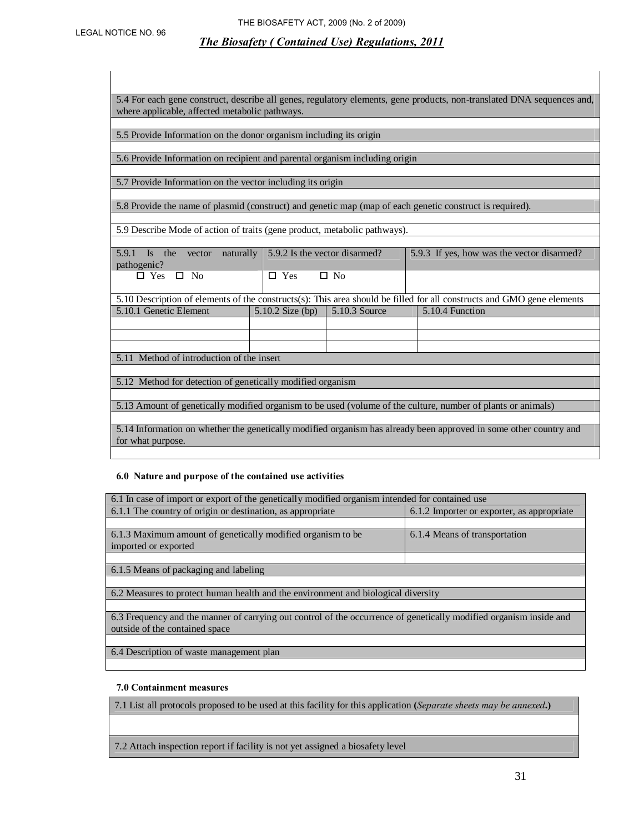5.4 For each gene construct, describe all genes, regulatory elements, gene products, non-translated DNA sequences and, where applicable, affected metabolic pathways.

5.5 Provide Information on the donor organism including its origin

5.6 Provide Information on recipient and parental organism including origin

5.7 Provide Information on the vector including its origin

5.8 Provide the name of plasmid (construct) and genetic map (map of each genetic construct is required).

5.9 Describe Mode of action of traits (gene product, metabolic pathways).

| 5.9.1 Is the vector naturally 5.9.2 Is the vector disarmed? |                         | 5.9.3 If yes, how was the vector disarmed? |
|-------------------------------------------------------------|-------------------------|--------------------------------------------|
| pathogenic?                                                 |                         |                                            |
| $\Box$ Yes $\Box$ No                                        | $\Box$ Yes<br>$\Box$ No |                                            |

5.10 Description of elements of the constructs(s): This area should be filled for all constructs and GMO gene elements 5.10.1 Genetic Element 5.10.2 Size (bp) 5.10.3 Source 5.10.4 Function

5.11 Method of introduction of the insert

5.12 Method for detection of genetically modified organism

5.13 Amount of genetically modified organism to be used (volume of the culture, number of plants or animals)

5.14 Information on whether the genetically modified organism has already been approved in some other country and for what purpose.

#### **6.0 Nature and purpose of the contained use activities**

| 6.1 In case of import or export of the genetically modified organism intended for contained use                    |                                            |  |  |  |
|--------------------------------------------------------------------------------------------------------------------|--------------------------------------------|--|--|--|
| 6.1.1 The country of origin or destination, as appropriate                                                         | 6.1.2 Importer or exporter, as appropriate |  |  |  |
|                                                                                                                    |                                            |  |  |  |
| 6.1.3 Maximum amount of genetically modified organism to be                                                        | 6.1.4 Means of transportation              |  |  |  |
| imported or exported                                                                                               |                                            |  |  |  |
|                                                                                                                    |                                            |  |  |  |
| 6.1.5 Means of packaging and labeling                                                                              |                                            |  |  |  |
|                                                                                                                    |                                            |  |  |  |
| 6.2 Measures to protect human health and the environment and biological diversity                                  |                                            |  |  |  |
|                                                                                                                    |                                            |  |  |  |
| 6.3 Frequency and the manner of carrying out control of the occurrence of genetically modified organism inside and |                                            |  |  |  |
| outside of the contained space                                                                                     |                                            |  |  |  |
|                                                                                                                    |                                            |  |  |  |
| 6.4 Description of waste management plan                                                                           |                                            |  |  |  |

#### **7.0 Containment measures**

7.1 List all protocols proposed to be used at this facility for this application **(***Separate sheets may be annexed***.)** 

7.2 Attach inspection report if facility is not yet assigned a biosafety level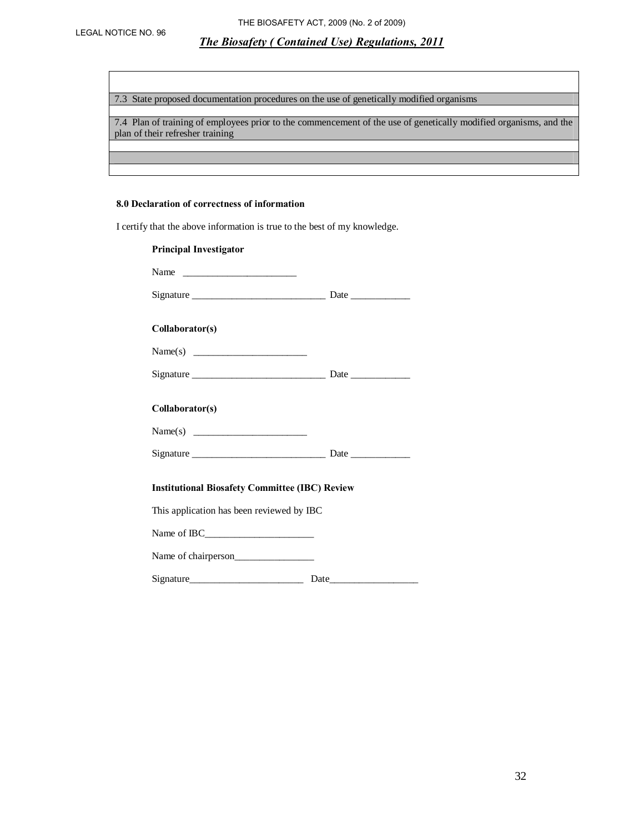7.3 State proposed documentation procedures on the use of genetically modified organisms

7.4 Plan of training of employees prior to the commencement of the use of genetically modified organisms, and the plan of their refresher training

#### **8.0 Declaration of correctness of information**

I certify that the above information is true to the best of my knowledge.

| <b>Principal Investigator</b>                         |  |
|-------------------------------------------------------|--|
|                                                       |  |
|                                                       |  |
| Collaborator(s)                                       |  |
|                                                       |  |
|                                                       |  |
| Collaborator(s)                                       |  |
|                                                       |  |
|                                                       |  |
| <b>Institutional Biosafety Committee (IBC) Review</b> |  |
| This application has been reviewed by IBC             |  |
|                                                       |  |
| Name of chairperson                                   |  |
|                                                       |  |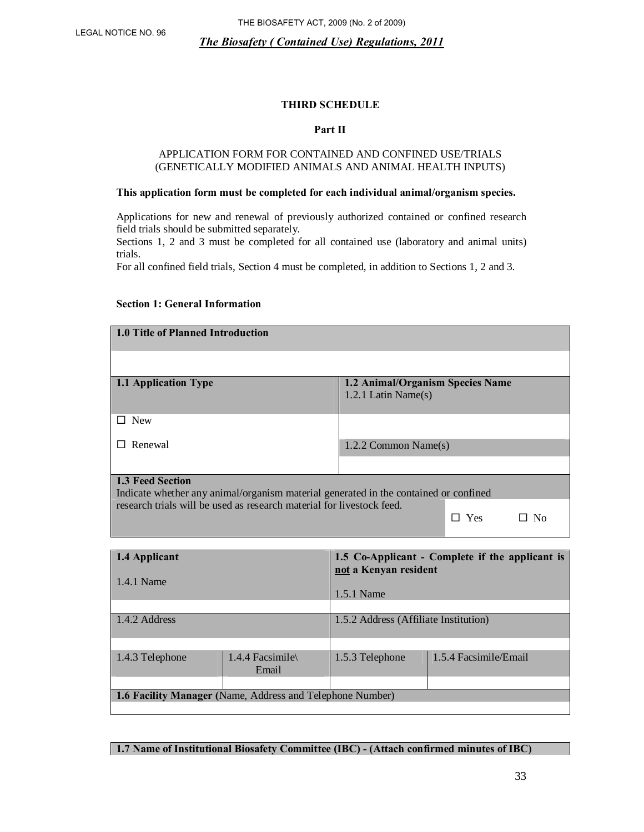#### **THIRD SCHEDULE**

#### **Part II**

#### APPLICATION FORM FOR CONTAINED AND CONFINED USE/TRIALS (GENETICALLY MODIFIED ANIMALS AND ANIMAL HEALTH INPUTS)

#### **This application form must be completed for each individual animal/organism species.**

Applications for new and renewal of previously authorized contained or confined research field trials should be submitted separately.

Sections 1, 2 and 3 must be completed for all contained use (laboratory and animal units) trials.

For all confined field trials, Section 4 must be completed, in addition to Sections 1, 2 and 3.

#### **Section 1: General Information**

| 1.0 Title of Planned Introduction                                                                               |                                                            |
|-----------------------------------------------------------------------------------------------------------------|------------------------------------------------------------|
|                                                                                                                 |                                                            |
| 1.1 Application Type                                                                                            | 1.2 Animal/Organism Species Name<br>1.2.1 Latin Name $(s)$ |
| <b>New</b>                                                                                                      |                                                            |
| Renewal                                                                                                         | 1.2.2 Common Name $(s)$                                    |
|                                                                                                                 |                                                            |
| <b>1.3 Feed Section</b><br>Indicate whether any animal/organism material generated in the contained or confined |                                                            |
| research trials will be used as research material for livestock feed.                                           | Yes.                                                       |

| 1.4 Applicant<br>1.4.1 Name                                      |  | 1.5 Co-Applicant - Complete if the applicant is<br>not a Kenyan resident |                       |  |
|------------------------------------------------------------------|--|--------------------------------------------------------------------------|-----------------------|--|
|                                                                  |  | 1.5.1 Name                                                               |                       |  |
|                                                                  |  |                                                                          |                       |  |
| 1.4.2 Address                                                    |  | 1.5.2 Address (Affiliate Institution)                                    |                       |  |
|                                                                  |  |                                                                          |                       |  |
| 1.4.3 Telephone<br>1.4.4 Facsimile<br>Email                      |  | 1.5.3 Telephone                                                          | 1.5.4 Facsimile/Email |  |
|                                                                  |  |                                                                          |                       |  |
| <b>1.6 Facility Manager (Name, Address and Telephone Number)</b> |  |                                                                          |                       |  |
|                                                                  |  |                                                                          |                       |  |

**1.7 Name of Institutional Biosafety Committee (IBC) - (Attach confirmed minutes of IBC)**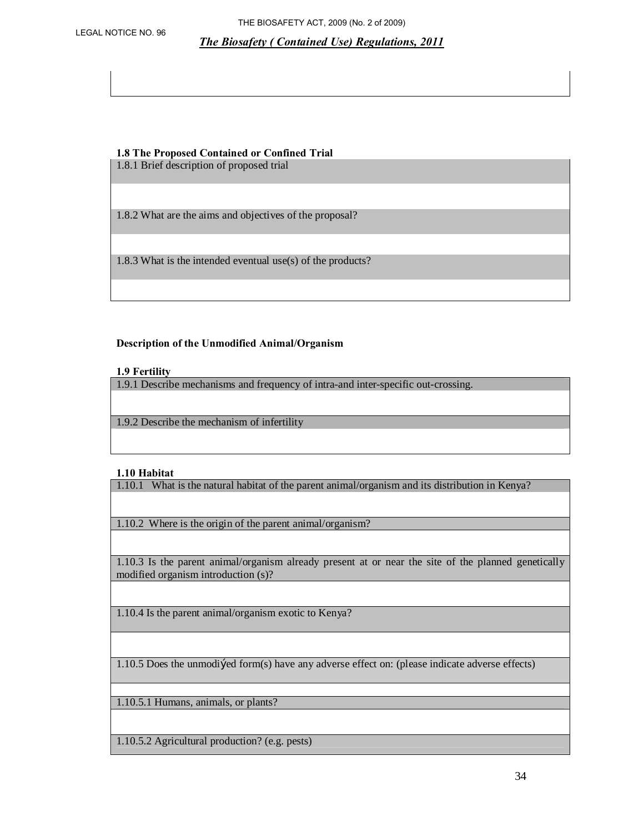#### **1.8 The Proposed Contained or Confined Trial**

1.8.1 Brief description of proposed trial

1.8.2 What are the aims and objectives of the proposal?

1.8.3 What is the intended eventual use(s) of the products?

#### **Description of the Unmodified Animal/Organism**

#### **1.9 Fertility**

1.9.1 Describe mechanisms and frequency of intra-and inter-specific out-crossing.

1.9.2 Describe the mechanism of infertility

#### **1.10 Habitat**

1.10.1 What is the natural habitat of the parent animal/organism and its distribution in Kenya?

1.10.2 Where is the origin of the parent animal/organism?

1.10.3 Is the parent animal/organism already present at or near the site of the planned genetically modified organism introduction (s)?

1.10.4 Is the parent animal/organism exotic to Kenya?

1.10.5 Does the unmodified form(s) have any adverse effect on: (please indicate adverse effects)

1.10.5.1 Humans, animals, or plants?

1.10.5.2 Agricultural production? (e.g. pests)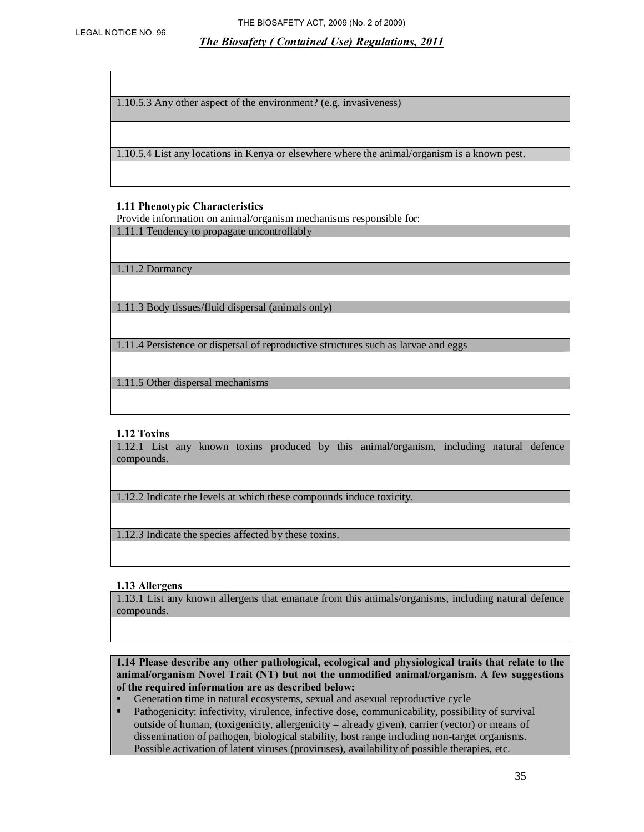1.10.5.3 Any other aspect of the environment? (e.g. invasiveness)

1.10.5.4 List any locations in Kenya or elsewhere where the animal/organism is a known pest.

#### **1.11 Phenotypic Characteristics**

Provide information on animal/organism mechanisms responsible for: 1.11.1 Tendency to propagate uncontrollably

1.11.2 Dormancy

1.11.3 Body tissues/fluid dispersal (animals only)

1.11.4 Persistence or dispersal of reproductive structures such as larvae and eggs

1.11.5 Other dispersal mechanisms

#### **1.12 Toxins**

1.12.1 List any known toxins produced by this animal/organism, including natural defence compounds.

1.12.2 Indicate the levels at which these compounds induce toxicity.

1.12.3 Indicate the species affected by these toxins.

#### **1.13 Allergens**

1.13.1 List any known allergens that emanate from this animals/organisms, including natural defence compounds.

**1.14 Please describe any other pathological, ecological and physiological traits that relate to the animal/organism Novel Trait (NT) but not the unmodified animal/organism. A few suggestions of the required information are as described below:** 

- Generation time in natural ecosystems, sexual and asexual reproductive cycle Pathogenicity: infectivity, virulence, infective dose, communicability, possibi
- ß Pathogenicity: infectivity, virulence, infective dose, communicability, possibility of survival outside of human, (toxigenicity, allergenicity = already given), carrier (vector) or means of dissemination of pathogen, biological stability, host range including non-target organisms. Possible activation of latent viruses (proviruses), availability of possible therapies, etc.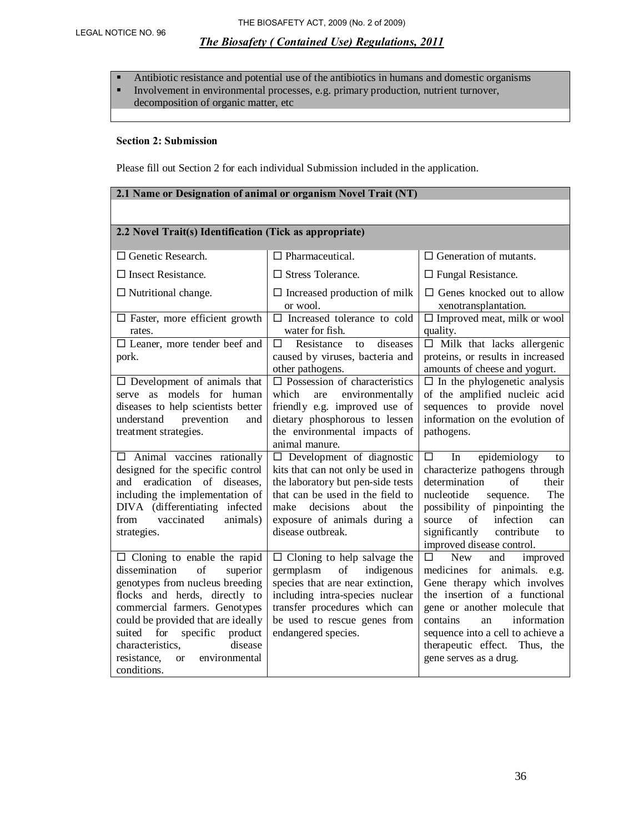• Antibiotic resistance and potential use of the antibiotics in humans and domestic organisms **Involvement in environmental processes, e.g. primary production, nutrient turnover,** decomposition of organic matter, etc

#### **Section 2: Submission**

Please fill out Section 2 for each individual Submission included in the application.

| 2.1 Name or Designation of animal or organism Novel Trait (NT)                                                                                                                                                                                                                                                                                      |                                                                                                                                                                                                                                          |                                                                                                                                                                                                                                                                                                     |  |  |  |
|-----------------------------------------------------------------------------------------------------------------------------------------------------------------------------------------------------------------------------------------------------------------------------------------------------------------------------------------------------|------------------------------------------------------------------------------------------------------------------------------------------------------------------------------------------------------------------------------------------|-----------------------------------------------------------------------------------------------------------------------------------------------------------------------------------------------------------------------------------------------------------------------------------------------------|--|--|--|
|                                                                                                                                                                                                                                                                                                                                                     |                                                                                                                                                                                                                                          |                                                                                                                                                                                                                                                                                                     |  |  |  |
| 2.2 Novel Trait(s) Identification (Tick as appropriate)                                                                                                                                                                                                                                                                                             |                                                                                                                                                                                                                                          |                                                                                                                                                                                                                                                                                                     |  |  |  |
| $\Box$ Genetic Research.                                                                                                                                                                                                                                                                                                                            | $\Box$ Pharmaceutical.                                                                                                                                                                                                                   | $\Box$ Generation of mutants.                                                                                                                                                                                                                                                                       |  |  |  |
| $\square$ Insect Resistance.                                                                                                                                                                                                                                                                                                                        | $\Box$ Stress Tolerance.                                                                                                                                                                                                                 | $\Box$ Fungal Resistance.                                                                                                                                                                                                                                                                           |  |  |  |
| $\Box$ Nutritional change.                                                                                                                                                                                                                                                                                                                          | $\Box$ Increased production of milk<br>or wool.                                                                                                                                                                                          | $\Box$ Genes knocked out to allow<br>xenotransplantation.                                                                                                                                                                                                                                           |  |  |  |
| $\Box$ Faster, more efficient growth<br>rates.                                                                                                                                                                                                                                                                                                      | $\square$ Increased tolerance to cold<br>water for fish.                                                                                                                                                                                 | $\Box$ Improved meat, milk or wool<br>quality.                                                                                                                                                                                                                                                      |  |  |  |
| $\Box$ Leaner, more tender beef and<br>pork.                                                                                                                                                                                                                                                                                                        | П<br>Resistance<br>diseases<br>to<br>caused by viruses, bacteria and<br>other pathogens.                                                                                                                                                 | $\Box$ Milk that lacks allergenic<br>proteins, or results in increased<br>amounts of cheese and yogurt.                                                                                                                                                                                             |  |  |  |
| $\square$ Development of animals that<br>serve as models for human<br>diseases to help scientists better<br>understand<br>prevention<br>and<br>treatment strategies.                                                                                                                                                                                | $\Box$ Possession of characteristics<br>which<br>environmentally<br>are<br>friendly e.g. improved use of<br>dietary phosphorous to lessen<br>the environmental impacts of<br>animal manure.                                              | $\Box$ In the phylogenetic analysis<br>of the amplified nucleic acid<br>sequences to provide novel<br>information on the evolution of<br>pathogens.                                                                                                                                                 |  |  |  |
| $\Box$ Animal vaccines rationally<br>designed for the specific control<br>eradication of diseases,<br>and<br>including the implementation of<br>DIVA (differentiating infected<br>vaccinated<br>animals)<br>from<br>strategies.                                                                                                                     | $\Box$ Development of diagnostic<br>kits that can not only be used in<br>the laboratory but pen-side tests<br>that can be used in the field to<br>make<br>decisions<br>about<br>the<br>exposure of animals during a<br>disease outbreak. | epidemiology<br>□<br>In<br>to<br>characterize pathogens through<br>determination<br>of<br>their<br>nucleotide<br>The<br>sequence.<br>possibility of pinpointing the<br>infection<br>of<br>source<br>can<br>significantly<br>contribute<br>to<br>improved disease control.                           |  |  |  |
| $\Box$ Cloning to enable the rapid<br>dissemination<br>of<br>superior<br>genotypes from nucleus breeding<br>flocks and herds, directly to<br>commercial farmers. Genotypes<br>could be provided that are ideally<br>suited<br>for<br>specific<br>product<br>disease<br>characteristics,<br>resistance.<br>environmental<br><b>or</b><br>conditions. | $\Box$ Cloning to help salvage the<br>germplasm<br>indigenous<br>of<br>species that are near extinction,<br>including intra-species nuclear<br>transfer procedures which can<br>be used to rescue genes from<br>endangered species.      | <b>New</b><br>improved<br>□<br>and<br>medicines for animals. e.g.<br>Gene therapy which involves<br>the insertion of a functional<br>gene or another molecule that<br>information<br>contains<br>an<br>sequence into a cell to achieve a<br>therapeutic effect. Thus, the<br>gene serves as a drug. |  |  |  |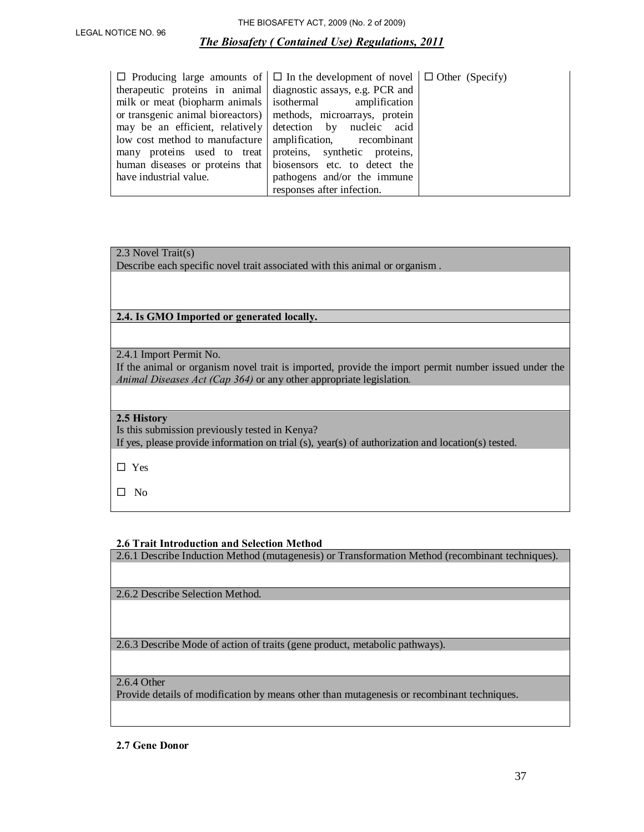| $\Box$ Producing large amounts of $\Box$ In the development of novel $\Box$ Other (Specify) |                             |  |
|---------------------------------------------------------------------------------------------|-----------------------------|--|
| therapeutic proteins in animal diagnostic assays, e.g. PCR and                              |                             |  |
| milk or meat (biopharm animals isothermal amplification                                     |                             |  |
| or transgenic animal bioreactors) methods, microarrays, protein                             |                             |  |
| may be an efficient, relatively detection by nucleic acid                                   |                             |  |
| low cost method to manufacture   amplification, recombinant                                 |                             |  |
| many proteins used to treat proteins, synthetic proteins,                                   |                             |  |
| human diseases or proteins that biosensors etc. to detect the                               |                             |  |
| have industrial value.                                                                      | pathogens and/or the immune |  |
|                                                                                             | responses after infection.  |  |

#### 2.3 Novel Trait(s)

Describe each specific novel trait associated with this animal or organism .

#### **2.4. Is GMO Imported or generated locally.**

2.4.1 Import Permit No.

If the animal or organism novel trait is imported, provide the import permit number issued under the *Animal Diseases Act (Cap 364)* or any other appropriate legislation*.*

#### **2.5 History**

Is this submission previously tested in Kenya? If yes, please provide information on trial (s), year(s) of authorization and location(s) tested.

®Yes

®No

#### **2.6 Trait Introduction and Selection Method**

2.6.1 Describe Induction Method (mutagenesis) or Transformation Method (recombinant techniques).

2.6.2 Describe Selection Method.

2.6.3 Describe Mode of action of traits (gene product, metabolic pathways).

# 2.6.4 Other

Provide details of modification by means other than mutagenesis or recombinant techniques.

**2.7 Gene Donor**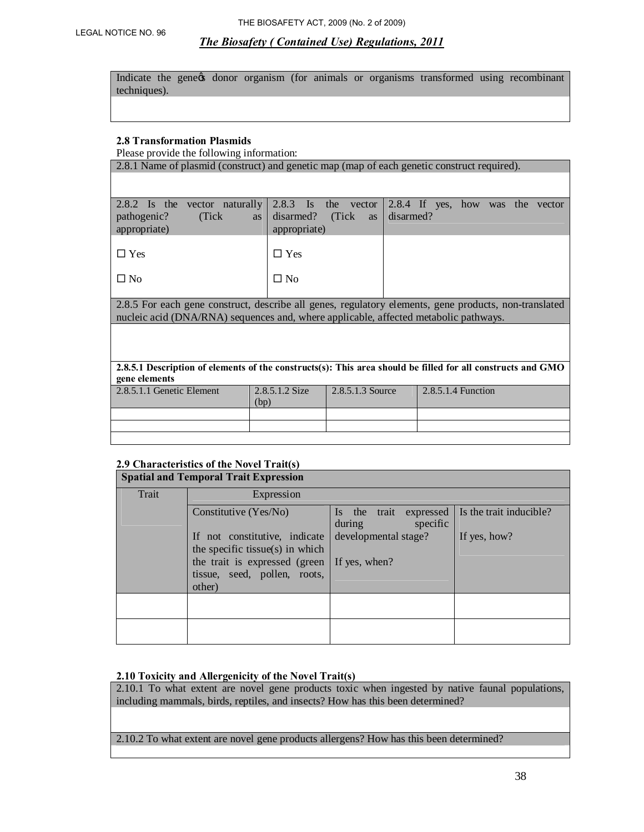Indicate the gene of donor organism (for animals or organisms transformed using recombinant techniques).

#### **2.8 Transformation Plasmids**

Please provide the following information:

| 2.8.1 Name of plasmid (construct) and genetic map (map of each genetic construct required).                                                                                                   |                                                      |                            |           |                                  |  |  |
|-----------------------------------------------------------------------------------------------------------------------------------------------------------------------------------------------|------------------------------------------------------|----------------------------|-----------|----------------------------------|--|--|
|                                                                                                                                                                                               |                                                      |                            |           |                                  |  |  |
| 2.8.2 Is the vector naturally<br>(Tick)<br>pathogenic?<br>appropriate)                                                                                                                        | $2.8.3$ Is<br>disarmed?<br><b>as</b><br>appropriate) | the vector<br>(Tick)<br>as | disarmed? | 2.8.4 If yes, how was the vector |  |  |
| $\Box$ Yes                                                                                                                                                                                    | $\Box$ Yes                                           |                            |           |                                  |  |  |
| $\square$ No                                                                                                                                                                                  | $\Box$ No                                            |                            |           |                                  |  |  |
| 2.8.5 For each gene construct, describe all genes, regulatory elements, gene products, non-translated<br>nucleic acid (DNA/RNA) sequences and, where applicable, affected metabolic pathways. |                                                      |                            |           |                                  |  |  |
|                                                                                                                                                                                               |                                                      |                            |           |                                  |  |  |
| 2.8.5.1 Description of elements of the constructs(s): This area should be filled for all constructs and GMO<br>gene elements                                                                  |                                                      |                            |           |                                  |  |  |
| 2.8.5.1.1 Genetic Element                                                                                                                                                                     | 2.8.5.1.2 Size<br>(bp)                               | 2.8.5.1.3 Source           |           | 2.8.5.1.4 Function               |  |  |
|                                                                                                                                                                                               |                                                      |                            |           |                                  |  |  |
|                                                                                                                                                                                               |                                                      |                            |           |                                  |  |  |
|                                                                                                                                                                                               |                                                      |                            |           |                                  |  |  |

# **2.9 Characteristics of the Novel Trait(s)**

| <b>Spatial and Temporal Trait Expression</b> |                                                                         |                                              |                         |
|----------------------------------------------|-------------------------------------------------------------------------|----------------------------------------------|-------------------------|
| Trait                                        | Expression                                                              |                                              |                         |
|                                              | Constitutive $(Yes/No)$                                                 | Is the trait expressed<br>during<br>specific | Is the trait inducible? |
|                                              | If not constitutive, indicate<br>the specific tissue(s) in which        | developmental stage?                         | If yes, how?            |
|                                              | the trait is expressed (green<br>tissue, seed, pollen, roots,<br>other) | If yes, when?                                |                         |
|                                              |                                                                         |                                              |                         |
|                                              |                                                                         |                                              |                         |
|                                              |                                                                         |                                              |                         |

#### **2.10 Toxicity and Allergenicity of the Novel Trait(s)**

2.10.1 To what extent are novel gene products toxic when ingested by native faunal populations, including mammals, birds, reptiles, and insects? How has this been determined?

2.10.2 To what extent are novel gene products allergens? How has this been determined?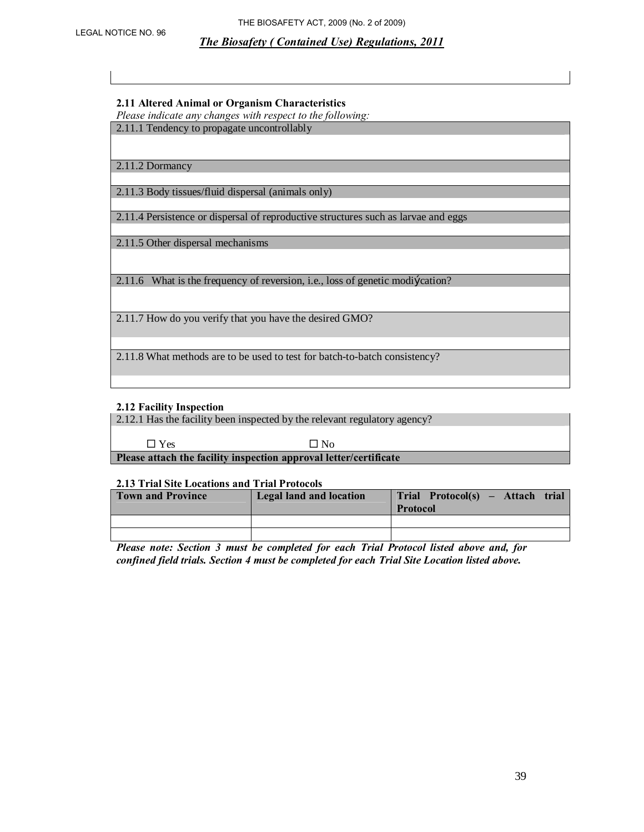#### **2.11 Altered Animal or Organism Characteristics**

*Please indicate any changes with respect to the following:*

2.11.1 Tendency to propagate uncontrollably

2.11.2 Dormancy

2.11.3 Body tissues/fluid dispersal (animals only)

2.11.4 Persistence or dispersal of reproductive structures such as larvae and eggs

2.11.5 Other dispersal mechanisms

2.11.6 What is the frequency of reversion, i.e., loss of genetic modi£cation?

2.11.7 How do you verify that you have the desired GMO?

2.11.8 What methods are to be used to test for batch-to-batch consistency?

#### **2.12 Facility Inspection**

2.12.1 Has the facility been inspected by the relevant regulatory agency?

 $\square$  Yes  $\square$  No

**Please attach the facility inspection approval letter/certificate** 

#### **2.13 Trial Site Locations and Trial Protocols**

| <b>Town and Province</b> | <b>Legal land and location</b> | Trial Protocol(s) – Attach<br>trial<br><b>Protocol</b> |
|--------------------------|--------------------------------|--------------------------------------------------------|
|                          |                                |                                                        |
|                          |                                |                                                        |

*Please note: Section 3 must be completed for each Trial Protocol listed above and, for confined field trials. Section 4 must be completed for each Trial Site Location listed above.*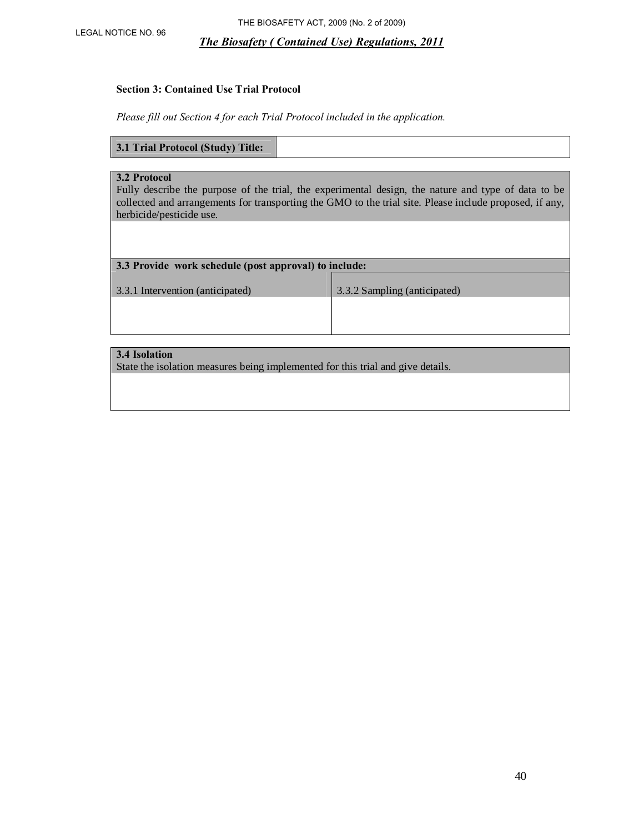#### **Section 3: Contained Use Trial Protocol**

*Please fill out Section 4 for each Trial Protocol included in the application.* 

#### **3.1 Trial Protocol (Study) Title:**

#### **3.2 Protocol**

Fully describe the purpose of the trial, the experimental design, the nature and type of data to be collected and arrangements for transporting the GMO to the trial site. Please include proposed, if any, herbicide/pesticide use.

| 3.3 Provide work schedule (post approval) to include: |                              |  |
|-------------------------------------------------------|------------------------------|--|
| 3.3.1 Intervention (anticipated)                      | 3.3.2 Sampling (anticipated) |  |
|                                                       |                              |  |
|                                                       |                              |  |

## **3.4 Isolation**

State the isolation measures being implemented for this trial and give details.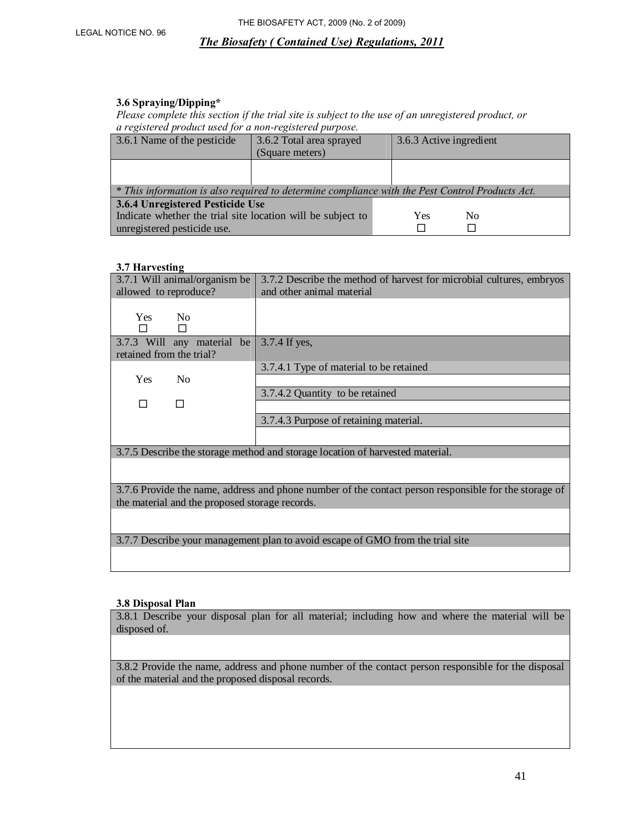#### **3.6 Spraying/Dipping\***

*Please complete this section if the trial site is subject to the use of an unregistered product, or a registered product used for a non-registered purpose.* 

| 3.6.1 Name of the pesticide                                                                     | 3.6.2 Total area sprayed | 3.6.3 Active ingredient |
|-------------------------------------------------------------------------------------------------|--------------------------|-------------------------|
|                                                                                                 | (Square meters)          |                         |
|                                                                                                 |                          |                         |
|                                                                                                 |                          |                         |
| * This information is also required to determine compliance with the Pest Control Products Act. |                          |                         |
| 3.6.4 Unregistered Pesticide Use                                                                |                          |                         |
| Indicate whether the trial site location will be subject to                                     |                          | Yes<br>N <sub>0</sub>   |
| unregistered pesticide use.                                                                     |                          |                         |

#### **3.7 Harvesting**

| 3.7.1 Will animal/organism be | 3.7.2 Describe the method of harvest for microbial cultures, embryos          |
|-------------------------------|-------------------------------------------------------------------------------|
| allowed to reproduce?         | and other animal material                                                     |
|                               |                                                                               |
| <b>Yes</b><br>N <sub>0</sub>  |                                                                               |
|                               |                                                                               |
| 3.7.3 Will any material be    | 3.7.4 If yes,                                                                 |
| retained from the trial?      |                                                                               |
|                               | 3.7.4.1 Type of material to be retained                                       |
| <b>Yes</b><br>N <sub>0</sub>  |                                                                               |
|                               | 3.7.4.2 Quantity to be retained                                               |
|                               |                                                                               |
|                               | 3.7.4.3 Purpose of retaining material.                                        |
|                               |                                                                               |
|                               | 3.7.5 Describe the storage method and storage location of harvested material. |
|                               |                                                                               |
|                               |                                                                               |
|                               | $277$ $-11$ $11$ $11$ $-1$ $-1$ $-1$<br>$211 \quad C \quad 11 \quad 1$        |

3.7.6 Provide the name, address and phone number of the contact person responsible for the storage of the material and the proposed storage records.

3.7.7 Describe your management plan to avoid escape of GMO from the trial site

#### **3.8 Disposal Plan**

3.8.1 Describe your disposal plan for all material; including how and where the material will be disposed of.

3.8.2 Provide the name, address and phone number of the contact person responsible for the disposal of the material and the proposed disposal records.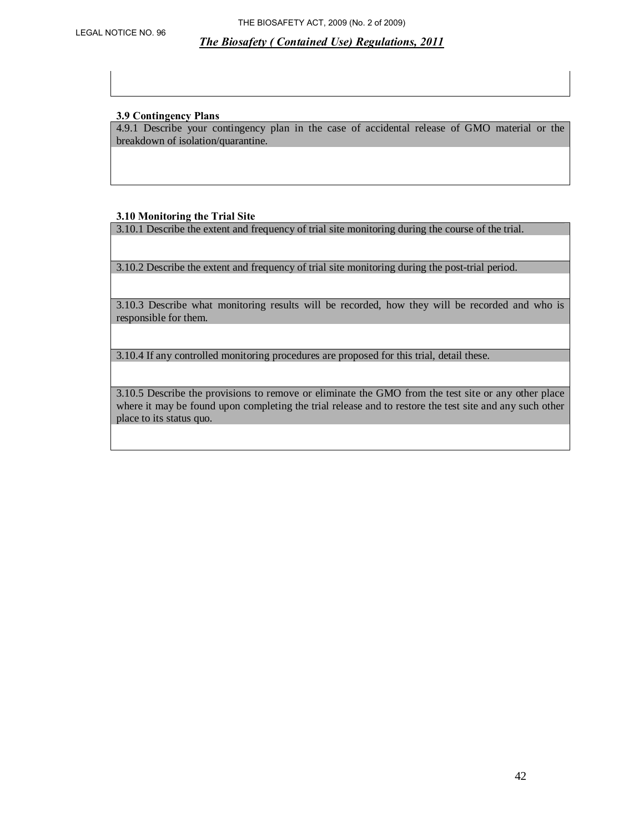#### **3.9 Contingency Plans**

4.9.1 Describe your contingency plan in the case of accidental release of GMO material or the breakdown of isolation/quarantine.

#### **3.10 Monitoring the Trial Site**

3.10.1 Describe the extent and frequency of trial site monitoring during the course of the trial.

3.10.2 Describe the extent and frequency of trial site monitoring during the post-trial period.

3.10.3 Describe what monitoring results will be recorded, how they will be recorded and who is responsible for them.

3.10.4 If any controlled monitoring procedures are proposed for this trial, detail these.

3.10.5 Describe the provisions to remove or eliminate the GMO from the test site or any other place where it may be found upon completing the trial release and to restore the test site and any such other place to its status quo.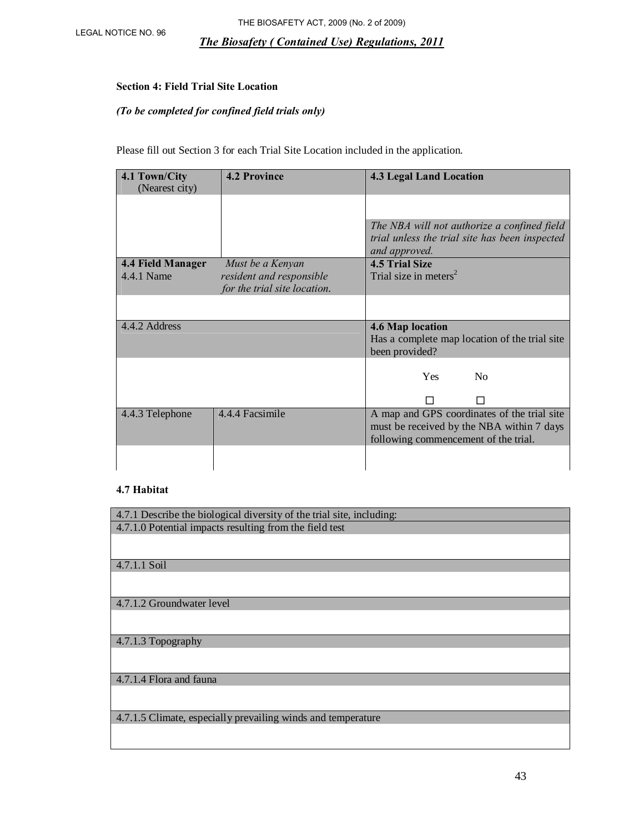#### **Section 4: Field Trial Site Location**

#### *(To be completed for confined field trials only)*

Please fill out Section 3 for each Trial Site Location included in the application.

| 4.1 Town/City     | <b>4.2 Province</b>          | <b>4.3 Legal Land Location</b>                 |
|-------------------|------------------------------|------------------------------------------------|
| (Nearest city)    |                              |                                                |
|                   |                              |                                                |
|                   |                              | The NBA will not authorize a confined field    |
|                   |                              | trial unless the trial site has been inspected |
|                   |                              | and approved.                                  |
| 4.4 Field Manager | Must be a Kenyan             | <b>4.5 Trial Size</b>                          |
| 4.4.1 Name        | resident and responsible     | Trial size in meters <sup>2</sup>              |
|                   | for the trial site location. |                                                |
|                   |                              |                                                |
| 4.4.2 Address     |                              |                                                |
|                   |                              | <b>4.6 Map location</b>                        |
|                   |                              | Has a complete map location of the trial site  |
|                   |                              | been provided?                                 |
|                   |                              |                                                |
|                   |                              | No<br><b>Yes</b>                               |
|                   |                              |                                                |
| 4.4.3 Telephone   | 4.4.4 Facsimile              | A map and GPS coordinates of the trial site    |
|                   |                              | must be received by the NBA within 7 days      |
|                   |                              | following commencement of the trial.           |
|                   |                              |                                                |

#### **4.7 Habitat**

| 4.7.1 Describe the biological diversity of the trial site, including: |
|-----------------------------------------------------------------------|
| 4.7.1.0 Potential impacts resulting from the field test               |
|                                                                       |
|                                                                       |
|                                                                       |
| 4.7.1.1 Soil                                                          |
|                                                                       |
|                                                                       |
| $\vert$ 4.7.1.2 Groundwater level                                     |
|                                                                       |
|                                                                       |
|                                                                       |
| 4.7.1.3 Topography                                                    |
|                                                                       |
|                                                                       |
|                                                                       |
| 4.7.1.4 Flora and fauna                                               |
|                                                                       |
|                                                                       |
| 4.7.1.5 Climate, especially prevailing winds and temperature          |
|                                                                       |
|                                                                       |
|                                                                       |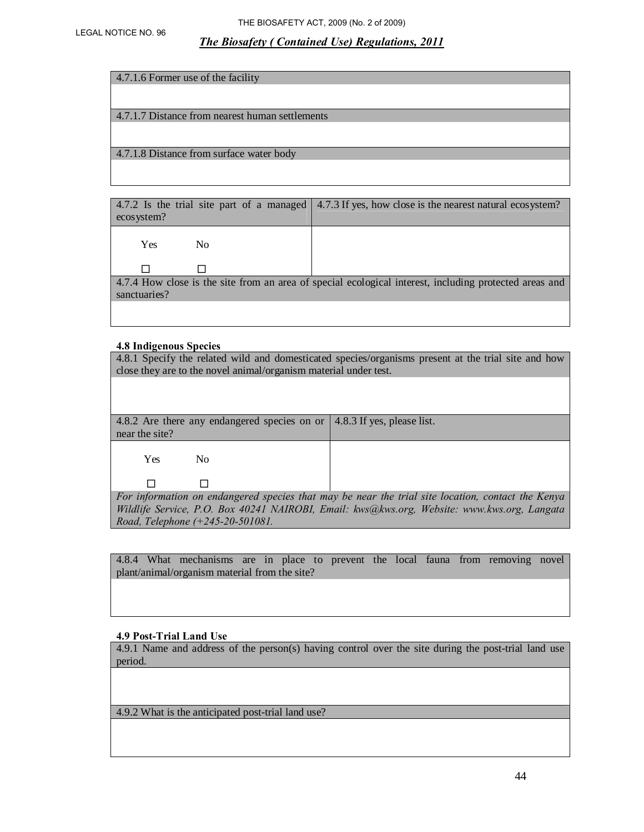| 4.7.1.6 Former use of the facility              |
|-------------------------------------------------|
|                                                 |
|                                                 |
| 4.7.1.7 Distance from nearest human settlements |
|                                                 |
| 4.7.1.8 Distance from surface water body        |
|                                                 |
|                                                 |

| ecosystem?                   | 4.7.2 Is the trial site part of a managed 4.7.3 If yes, how close is the nearest natural ecosystem?    |
|------------------------------|--------------------------------------------------------------------------------------------------------|
| N <sub>0</sub><br><b>Yes</b> |                                                                                                        |
|                              |                                                                                                        |
| sanctuaries?                 | 4.7.4 How close is the site from an area of special ecological interest, including protected areas and |
|                              |                                                                                                        |

#### **4.8 Indigenous Species**

 $\Box$   $\Box$ 

4.8.1 Specify the related wild and domesticated species/organisms present at the trial site and how close they are to the novel animal/organism material under test.

|                | 4.8.2 Are there any endangered species on or $\vert$ 4.8.3 If yes, please list. |  |
|----------------|---------------------------------------------------------------------------------|--|
| near the site? |                                                                                 |  |
| Yes.           | No.                                                                             |  |
|                |                                                                                 |  |

*For information on endangered species that may be near the trial site location, contact the Kenya Wildlife Service, P.O. Box 40241 NAIROBI, Email: kws@kws.org, Website: www.kws.org, Langata Road, Telephone (+245-20-501081.* 

4.8.4 What mechanisms are in place to prevent the local fauna from removing novel plant/animal/organism material from the site?

#### **4.9 Post-Trial Land Use**

4.9.1 Name and address of the person(s) having control over the site during the post-trial land use period.

4.9.2 What is the anticipated post-trial land use?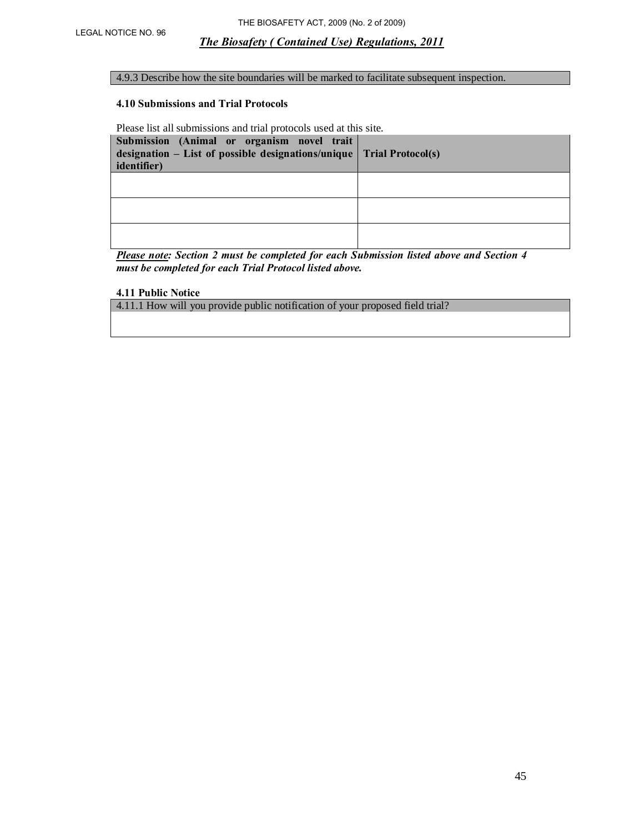#### 4.9.3 Describe how the site boundaries will be marked to facilitate subsequent inspection.

#### **4.10 Submissions and Trial Protocols**

Please list all submissions and trial protocols used at this site.

| Submission (Animal or organism novel trait<br>designation – List of possible designations/unique $\vert$ Trial Protocol(s)<br><i>identifier</i> ) |  |
|---------------------------------------------------------------------------------------------------------------------------------------------------|--|
|                                                                                                                                                   |  |
|                                                                                                                                                   |  |
|                                                                                                                                                   |  |

*Please note: Section 2 must be completed for each Submission listed above and Section 4 must be completed for each Trial Protocol listed above.*

#### **4.11 Public Notice**

4.11.1 How will you provide public notification of your proposed field trial?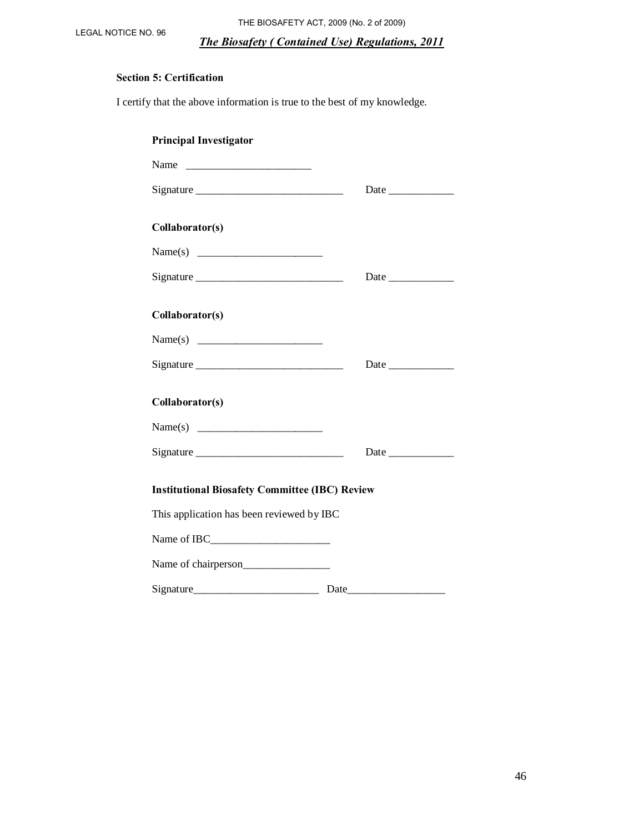LEGAL NOTICE NO. 96 THE BIOSAFETY ACT, 2009 (No. 2 of 2009)

#### *The Biosafety ( Contained Use) Regulations, 2011*

# **Section 5: Certification**

I certify that the above information is true to the best of my knowledge.

| <b>Principal Investigator</b>                         |      |
|-------------------------------------------------------|------|
|                                                       |      |
|                                                       |      |
| Collaborator(s)                                       |      |
|                                                       |      |
|                                                       | Date |
| Collaborator(s)                                       |      |
|                                                       |      |
|                                                       |      |
| Collaborator(s)                                       |      |
| Name(s)                                               |      |
| $Sigma_{\_$                                           |      |
| <b>Institutional Biosafety Committee (IBC) Review</b> |      |
| This application has been reviewed by IBC             |      |
|                                                       |      |
| Name of chairperson                                   |      |
|                                                       |      |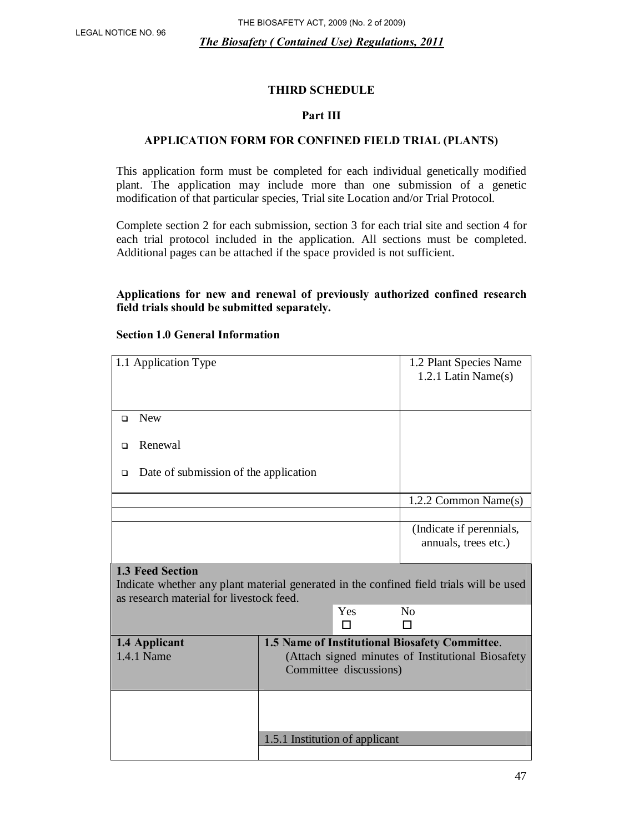# **THIRD SCHEDULE**

## **Part III**

# **APPLICATION FORM FOR CONFINED FIELD TRIAL (PLANTS)**

This application form must be completed for each individual genetically modified plant. The application may include more than one submission of a genetic modification of that particular species, Trial site Location and/or Trial Protocol.

Complete section 2 for each submission, section 3 for each trial site and section 4 for each trial protocol included in the application. All sections must be completed. Additional pages can be attached if the space provided is not sufficient.

## **Applications for new and renewal of previously authorized confined research field trials should be submitted separately.**

| 1.1 Application Type                                                                                                                                           |                                                                          | 1.2 Plant Species Name<br>1.2.1 Latin Name(s)     |
|----------------------------------------------------------------------------------------------------------------------------------------------------------------|--------------------------------------------------------------------------|---------------------------------------------------|
| <b>New</b><br>$\Box$                                                                                                                                           |                                                                          |                                                   |
| Renewal<br>□                                                                                                                                                   |                                                                          |                                                   |
| Date of submission of the application<br>$\Box$                                                                                                                |                                                                          |                                                   |
|                                                                                                                                                                |                                                                          | 1.2.2 Common Name(s)                              |
|                                                                                                                                                                |                                                                          |                                                   |
|                                                                                                                                                                |                                                                          | (Indicate if perennials,<br>annuals, trees etc.)  |
| <b>1.3 Feed Section</b><br>Indicate whether any plant material generated in the confined field trials will be used<br>as research material for livestock feed. |                                                                          |                                                   |
|                                                                                                                                                                | Yes                                                                      | $\rm No$                                          |
|                                                                                                                                                                |                                                                          | П                                                 |
| 1.4 Applicant<br>1.4.1 Name                                                                                                                                    | 1.5 Name of Institutional Biosafety Committee.<br>Committee discussions) | (Attach signed minutes of Institutional Biosafety |
|                                                                                                                                                                |                                                                          |                                                   |
|                                                                                                                                                                | 1.5.1 Institution of applicant                                           |                                                   |
|                                                                                                                                                                |                                                                          |                                                   |

#### **Section 1.0 General Information**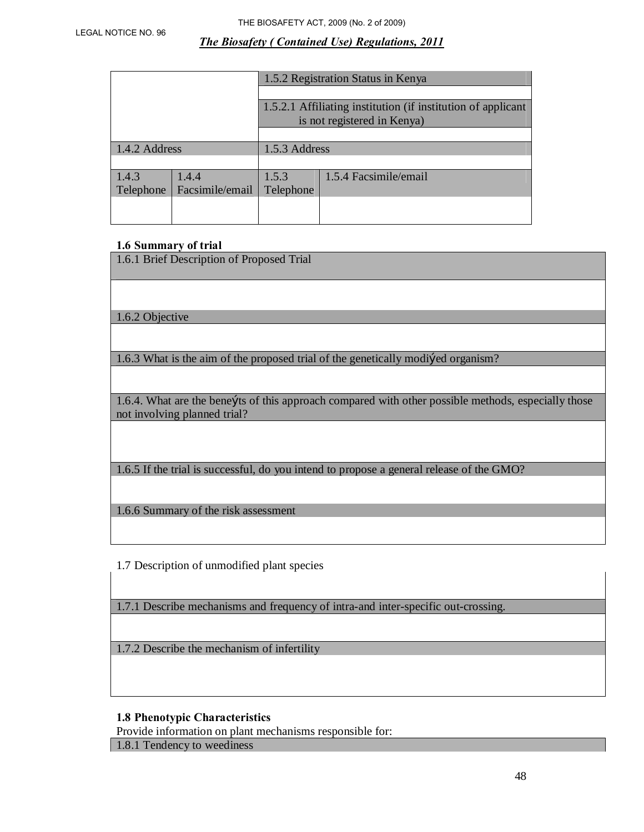|               |                 | 1.5.2 Registration Status in Kenya                           |                             |  |  |
|---------------|-----------------|--------------------------------------------------------------|-----------------------------|--|--|
|               |                 |                                                              |                             |  |  |
|               |                 | 1.5.2.1 Affiliating institution (if institution of applicant |                             |  |  |
|               |                 |                                                              | is not registered in Kenya) |  |  |
|               |                 |                                                              |                             |  |  |
| 1.4.2 Address |                 | 1.5.3 Address                                                |                             |  |  |
|               |                 |                                                              |                             |  |  |
| 1.4.3         | 1.4.4           | 1.5.3                                                        | 1.5.4 Facsimile/email       |  |  |
| Telephone     | Facsimile/email | Telephone                                                    |                             |  |  |
|               |                 |                                                              |                             |  |  |
|               |                 |                                                              |                             |  |  |

#### **1.6 Summary of trial**

| 1.6.1 Brief Description of Proposed Trial                                                                                            |
|--------------------------------------------------------------------------------------------------------------------------------------|
|                                                                                                                                      |
| 1.6.2 Objective                                                                                                                      |
|                                                                                                                                      |
| 1.6.3 What is the aim of the proposed trial of the genetically modiked organism?                                                     |
|                                                                                                                                      |
| 1.6.4. What are the benefits of this approach compared with other possible methods, especially those<br>not involving planned trial? |
|                                                                                                                                      |
|                                                                                                                                      |
| 1.6.5 If the trial is successful, do you intend to propose a general release of the GMO?                                             |
|                                                                                                                                      |
| 1.6.6 Summary of the risk assessment                                                                                                 |

1.7 Description of unmodified plant species

1.7.1 Describe mechanisms and frequency of intra-and inter-specific out-crossing.

1.7.2 Describe the mechanism of infertility

## **1.8 Phenotypic Characteristics**

Provide information on plant mechanisms responsible for:

1.8.1 Tendency to weediness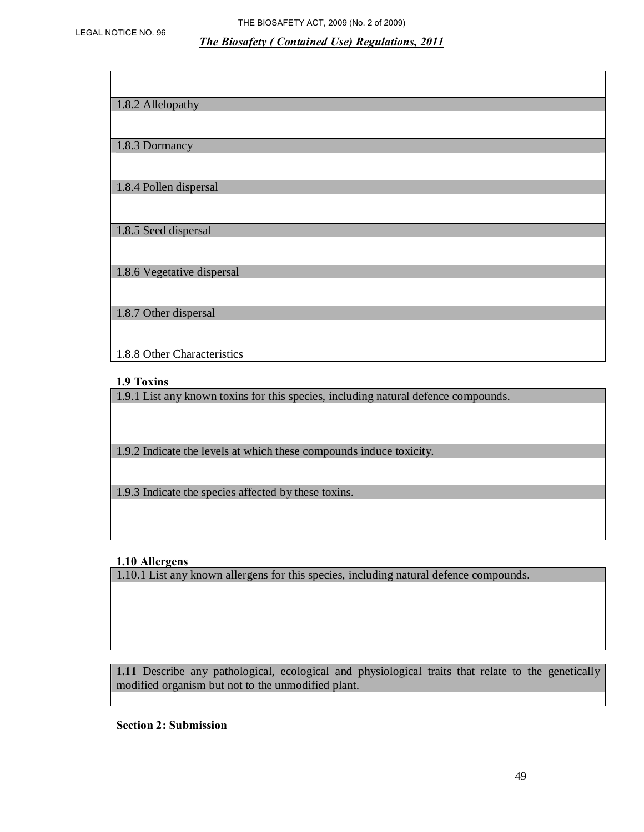| 1.8.2 Allelopathy           |
|-----------------------------|
|                             |
| 1.8.3 Dormancy              |
|                             |
| 1.8.4 Pollen dispersal      |
|                             |
| 1.8.5 Seed dispersal        |
|                             |
| 1.8.6 Vegetative dispersal  |
|                             |
| 1.8.7 Other dispersal       |
|                             |
| 1.8.8 Other Characteristics |

#### **1.9 Toxins**

1.9.1 List any known toxins for this species, including natural defence compounds.

1.9.2 Indicate the levels at which these compounds induce toxicity.

1.9.3 Indicate the species affected by these toxins.

#### **1.10 Allergens**

1.10.1 List any known allergens for this species, including natural defence compounds.

**1.11** Describe any pathological, ecological and physiological traits that relate to the genetically modified organism but not to the unmodified plant.

**Section 2: Submission**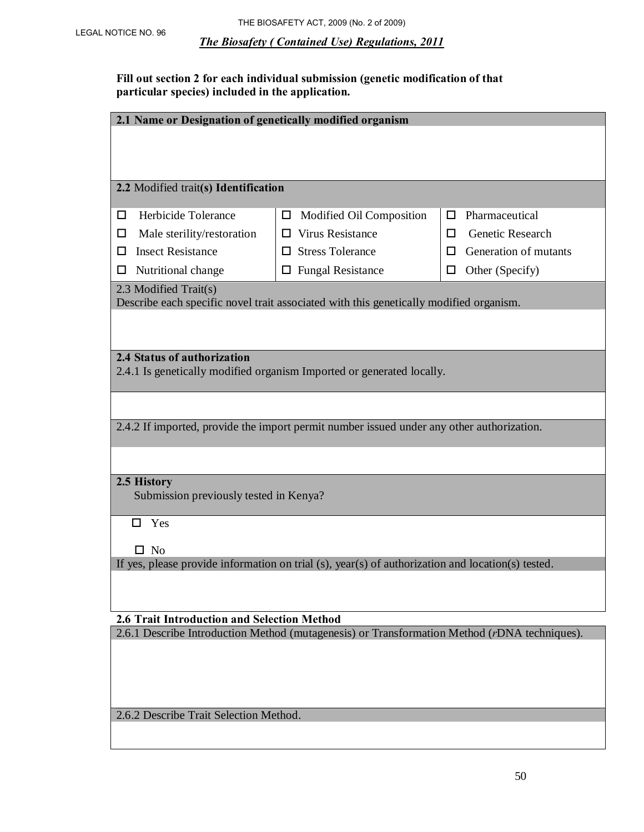**Fill out section 2 for each individual submission (genetic modification of that particular species) included in the application.** 

| 2.1 Name or Designation of genetically modified organism                                          |                                                                                           |                            |  |  |  |
|---------------------------------------------------------------------------------------------------|-------------------------------------------------------------------------------------------|----------------------------|--|--|--|
|                                                                                                   |                                                                                           |                            |  |  |  |
|                                                                                                   |                                                                                           |                            |  |  |  |
| 2.2 Modified trait(s) Identification                                                              |                                                                                           |                            |  |  |  |
|                                                                                                   |                                                                                           |                            |  |  |  |
| Herbicide Tolerance<br>ш                                                                          | Modified Oil Composition<br>$\Box$                                                        | Pharmaceutical<br>ш        |  |  |  |
| Male sterility/restoration<br>ப                                                                   | <b>Virus Resistance</b><br>$\Box$                                                         | Genetic Research<br>□      |  |  |  |
| <b>Insect Resistance</b><br>П                                                                     | <b>Stress Tolerance</b><br>П                                                              | Generation of mutants<br>П |  |  |  |
| Nutritional change<br>ப                                                                           | $\Box$ Fungal Resistance                                                                  | Other (Specify)<br>$\Box$  |  |  |  |
| 2.3 Modified Trait(s)                                                                             |                                                                                           |                            |  |  |  |
|                                                                                                   | Describe each specific novel trait associated with this genetically modified organism.    |                            |  |  |  |
|                                                                                                   |                                                                                           |                            |  |  |  |
| 2.4 Status of authorization                                                                       |                                                                                           |                            |  |  |  |
|                                                                                                   | 2.4.1 Is genetically modified organism Imported or generated locally.                     |                            |  |  |  |
|                                                                                                   |                                                                                           |                            |  |  |  |
|                                                                                                   |                                                                                           |                            |  |  |  |
|                                                                                                   | 2.4.2 If imported, provide the import permit number issued under any other authorization. |                            |  |  |  |
|                                                                                                   |                                                                                           |                            |  |  |  |
|                                                                                                   |                                                                                           |                            |  |  |  |
| 2.5 History                                                                                       |                                                                                           |                            |  |  |  |
| Submission previously tested in Kenya?                                                            |                                                                                           |                            |  |  |  |
| Yes<br>П.                                                                                         |                                                                                           |                            |  |  |  |
|                                                                                                   |                                                                                           |                            |  |  |  |
| $\square$ No                                                                                      |                                                                                           |                            |  |  |  |
| If yes, please provide information on trial (s), year(s) of authorization and location(s) tested. |                                                                                           |                            |  |  |  |
|                                                                                                   |                                                                                           |                            |  |  |  |
|                                                                                                   |                                                                                           |                            |  |  |  |
| <b>2.6 Trait Introduction and Selection Method</b>                                                |                                                                                           |                            |  |  |  |
| 2.6.1 Describe Introduction Method (mutagenesis) or Transformation Method (rDNA techniques).      |                                                                                           |                            |  |  |  |
|                                                                                                   |                                                                                           |                            |  |  |  |
|                                                                                                   |                                                                                           |                            |  |  |  |
|                                                                                                   |                                                                                           |                            |  |  |  |

2.6.2 Describe Trait Selection Method.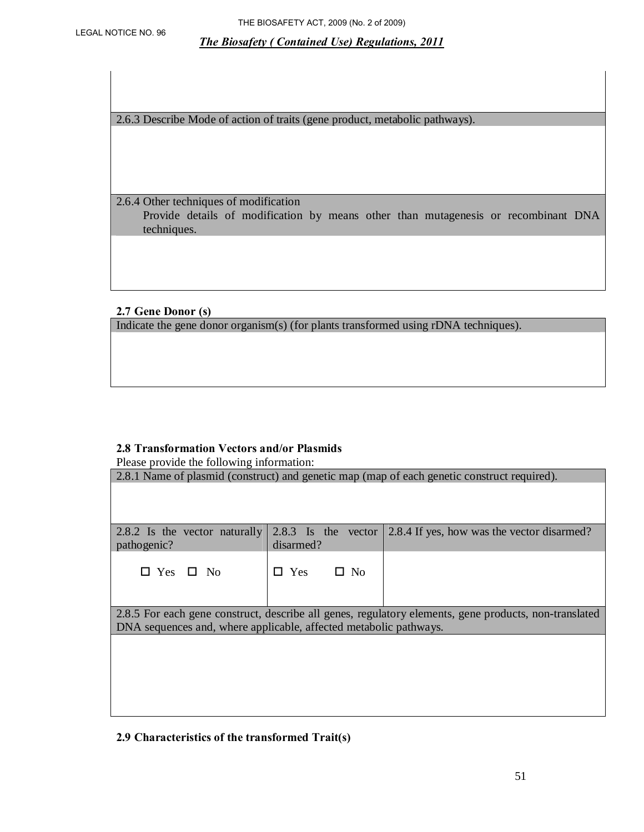2.6.3 Describe Mode of action of traits (gene product, metabolic pathways).

2.6.4 Other techniques of modification Provide details of modification by means other than mutagenesis or recombinant DNA techniques.

## **2.7 Gene Donor (s)**

Indicate the gene donor organism(s) (for plants transformed using rDNA techniques).

#### **2.8 Transformation Vectors and/or Plasmids**

Please provide the following information:

| I icase provide the following imormation.                                                   |                               |                                                                                                       |  |  |
|---------------------------------------------------------------------------------------------|-------------------------------|-------------------------------------------------------------------------------------------------------|--|--|
| 2.8.1 Name of plasmid (construct) and genetic map (map of each genetic construct required). |                               |                                                                                                       |  |  |
|                                                                                             |                               |                                                                                                       |  |  |
|                                                                                             |                               |                                                                                                       |  |  |
|                                                                                             |                               |                                                                                                       |  |  |
| 2.8.2 Is the vector naturally                                                               | $2.8.3$ Is the vector         | 2.8.4 If yes, how was the vector disarmed?                                                            |  |  |
| pathogenic?                                                                                 | disarmed?                     |                                                                                                       |  |  |
|                                                                                             |                               |                                                                                                       |  |  |
| Yes $\Box$ No                                                                               | Yes<br>$\square$ No<br>$\Box$ |                                                                                                       |  |  |
|                                                                                             |                               |                                                                                                       |  |  |
|                                                                                             |                               |                                                                                                       |  |  |
|                                                                                             |                               | 2.8.5 For each gene construct, describe all genes, regulatory elements, gene products, non-translated |  |  |
| DNA sequences and, where applicable, affected metabolic pathways.                           |                               |                                                                                                       |  |  |
|                                                                                             |                               |                                                                                                       |  |  |
|                                                                                             |                               |                                                                                                       |  |  |
|                                                                                             |                               |                                                                                                       |  |  |
|                                                                                             |                               |                                                                                                       |  |  |
|                                                                                             |                               |                                                                                                       |  |  |
|                                                                                             |                               |                                                                                                       |  |  |

#### **2.9 Characteristics of the transformed Trait(s)**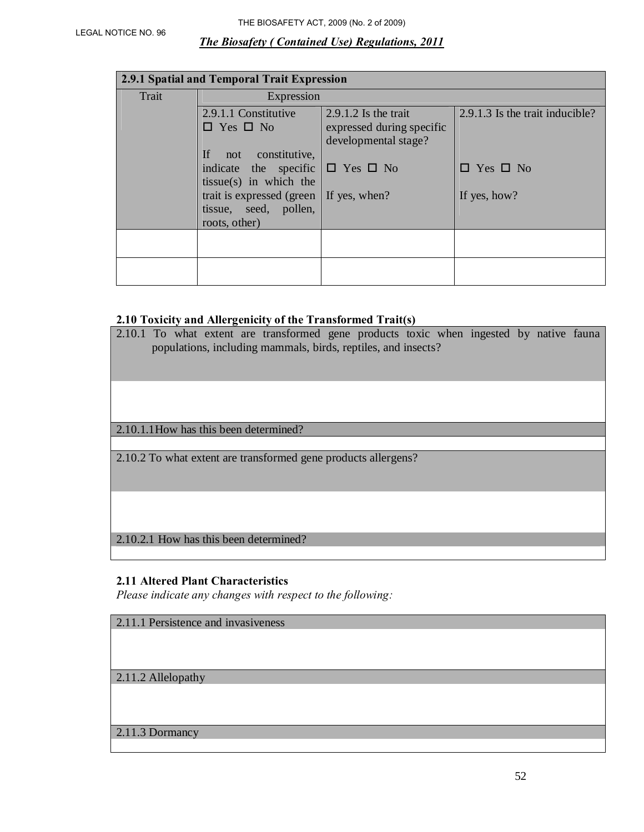| 2.9.1 Spatial and Temporal Trait Expression |                                                                                                    |                                                                             |                                 |  |
|---------------------------------------------|----------------------------------------------------------------------------------------------------|-----------------------------------------------------------------------------|---------------------------------|--|
| Trait                                       | Expression                                                                                         |                                                                             |                                 |  |
|                                             | 2.9.1.1 Constitutive<br>$\Box$ Yes $\Box$ No                                                       | $2.9.1.2$ Is the trait<br>expressed during specific<br>developmental stage? | 2.9.1.3 Is the trait inducible? |  |
|                                             | If.<br>not constitutive,<br>indicate the specific $\Box$ Yes $\Box$ No<br>$tissue(s)$ in which the |                                                                             | $\Box$ Yes $\Box$ No            |  |
|                                             | trait is expressed (green $\vert$ If yes, when?<br>tissue, seed, pollen,<br>roots, other)          |                                                                             | If yes, how?                    |  |
|                                             |                                                                                                    |                                                                             |                                 |  |
|                                             |                                                                                                    |                                                                             |                                 |  |

## **2.10 Toxicity and Allergenicity of the Transformed Trait(s)**

| 2.10.1 To what extent are transformed gene products toxic when ingested by native fauna<br>populations, including mammals, birds, reptiles, and insects? |  |
|----------------------------------------------------------------------------------------------------------------------------------------------------------|--|
|                                                                                                                                                          |  |
| 2.10.1.1 How has this been determined?                                                                                                                   |  |
|                                                                                                                                                          |  |
| 2.10.2 To what extent are transformed gene products allergens?                                                                                           |  |
|                                                                                                                                                          |  |
| 2.10.2.1 How has this been determined?                                                                                                                   |  |

# **2.11 Altered Plant Characteristics**

*Please indicate any changes with respect to the following:* 

|  | 2.11.1 Persistence and invasiveness |  |
|--|-------------------------------------|--|
|  |                                     |  |

2.11.2 Allelopathy

2.11.3 Dormancy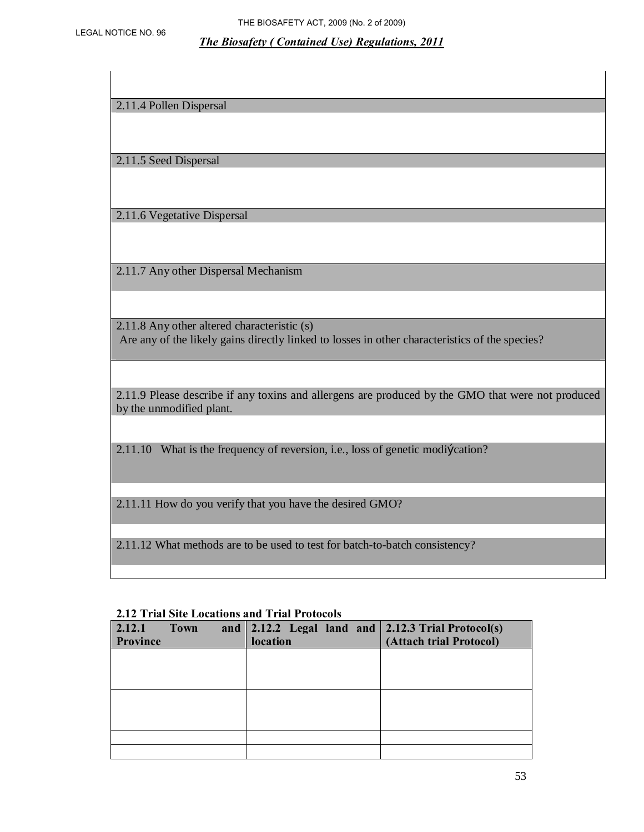2.11.4 Pollen Dispersal

2.11.5 Seed Dispersal

2.11.6 Vegetative Dispersal

2.11.7 Any other Dispersal Mechanism

2.11.8 Any other altered characteristic (s) Are any of the likely gains directly linked to losses in other characteristics of the species?

2.11.9 Please describe if any toxins and allergens are produced by the GMO that were not produced by the unmodified plant.

2.11.10 What is the frequency of reversion, i.e., loss of genetic modi*Ecation*?

2.11.11 How do you verify that you have the desired GMO?

2.11.12 What methods are to be used to test for batch-to-batch consistency?

| <b>2.12 Trial Site Locations and Trial Protocols</b> |             |  |          |  |  |                                                                    |
|------------------------------------------------------|-------------|--|----------|--|--|--------------------------------------------------------------------|
| 2.12.1                                               | <b>Town</b> |  |          |  |  | and $\vert$ 2.12.2 Legal land and $\vert$ 2.12.3 Trial Protocol(s) |
| Province                                             |             |  | location |  |  | (Attach trial Protocol)                                            |
|                                                      |             |  |          |  |  |                                                                    |
|                                                      |             |  |          |  |  |                                                                    |
|                                                      |             |  |          |  |  |                                                                    |
|                                                      |             |  |          |  |  |                                                                    |
|                                                      |             |  |          |  |  |                                                                    |
|                                                      |             |  |          |  |  |                                                                    |
|                                                      |             |  |          |  |  |                                                                    |
|                                                      |             |  |          |  |  |                                                                    |

#### **2.12 Trial Site Locations and Trial Protocols**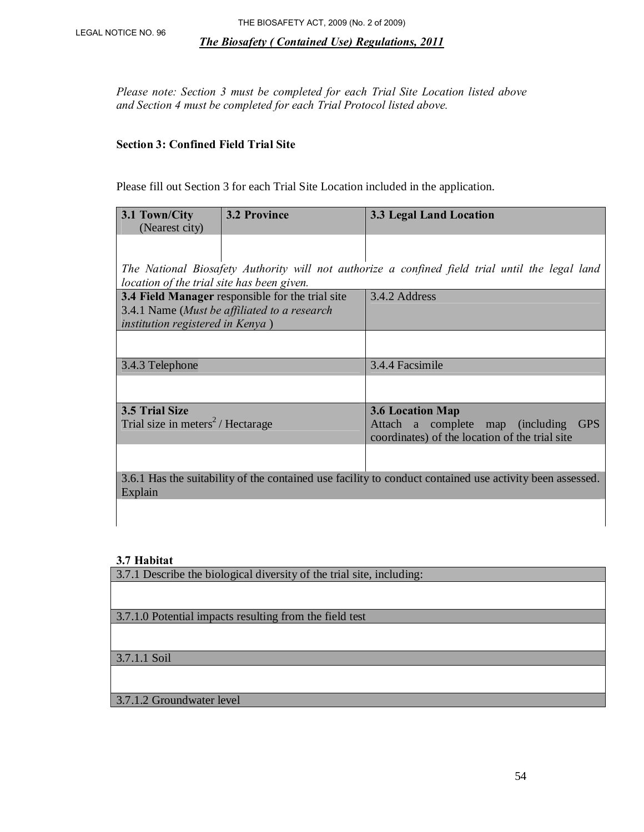*Please note: Section 3 must be completed for each Trial Site Location listed above and Section 4 must be completed for each Trial Protocol listed above.* 

## **Section 3: Confined Field Trial Site**

Please fill out Section 3 for each Trial Site Location included in the application.

| 3.1 Town/City<br>(Nearest city)              | <b>3.2 Province</b>                              | 3.3 Legal Land Location                                                                                  |  |  |
|----------------------------------------------|--------------------------------------------------|----------------------------------------------------------------------------------------------------------|--|--|
|                                              |                                                  |                                                                                                          |  |  |
| location of the trial site has been given.   |                                                  | The National Biosafety Authority will not authorize a confined field trial until the legal land          |  |  |
|                                              | 3.4 Field Manager responsible for the trial site | 3.4.2 Address                                                                                            |  |  |
|                                              | 3.4.1 Name (Must be affiliated to a research     |                                                                                                          |  |  |
| <i>institution registered in Kenya</i> )     |                                                  |                                                                                                          |  |  |
|                                              |                                                  |                                                                                                          |  |  |
| 3.4.3 Telephone                              |                                                  | 3.4.4 Facsimile                                                                                          |  |  |
|                                              |                                                  |                                                                                                          |  |  |
| 3.5 Trial Size                               |                                                  | <b>3.6 Location Map</b>                                                                                  |  |  |
| Trial size in meters <sup>2</sup> /Hectarage |                                                  | <b>GPS</b><br>Attach a complete map (including<br>coordinates) of the location of the trial site         |  |  |
|                                              |                                                  |                                                                                                          |  |  |
| Explain                                      |                                                  | 3.6.1 Has the suitability of the contained use facility to conduct contained use activity been assessed. |  |  |

#### **3.7 Habitat**

3.7.1 Describe the biological diversity of the trial site, including:

3.7.1.0 Potential impacts resulting from the field test

3.7.1.1 Soil

3.7.1.2 Groundwater level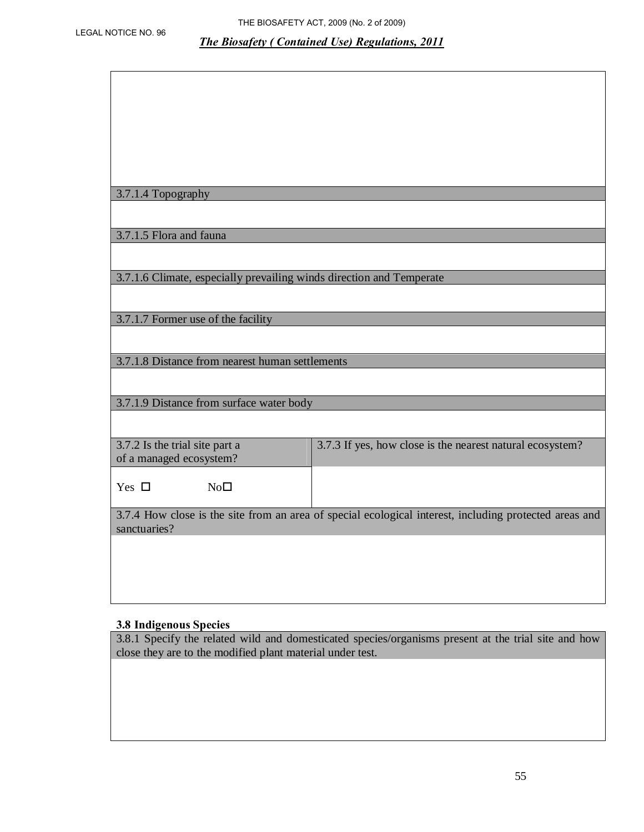|  |  | 3.7.1.4 Topography |  |
|--|--|--------------------|--|
|--|--|--------------------|--|

3.7.1.5 Flora and fauna

3.7.1.6 Climate, especially prevailing winds direction and Temperate

3.7.1.7 Former use of the facility

3.7.1.8 Distance from nearest human settlements

3.7.1.9 Distance from surface water body

| 3.7.2 Is the trial site part a<br>of a managed ecosystem? | 3.7.3 If yes, how close is the nearest natural ecosystem? |
|-----------------------------------------------------------|-----------------------------------------------------------|
| Yes<br>No⊡                                                |                                                           |

3.7.4 How close is the site from an area of special ecological interest, including protected areas and sanctuaries?

#### **3.8 Indigenous Species**

3.8.1 Specify the related wild and domesticated species/organisms present at the trial site and how close they are to the modified plant material under test.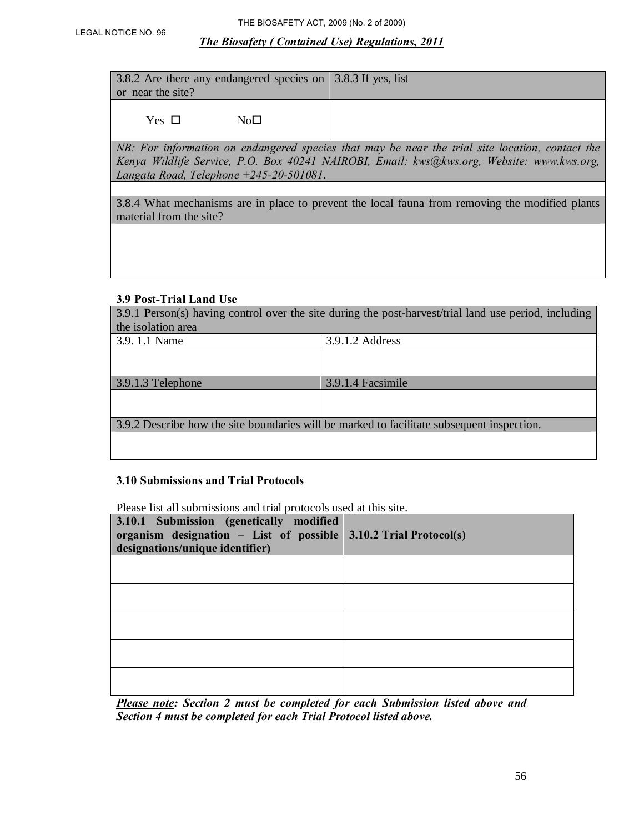3.8.2 Are there any endangered species on 3.8.3 If yes, list or near the site?

 $Yes \Box$   $No \Box$ 

*NB: For information on endangered species that may be near the trial site location, contact the Kenya Wildlife Service, P.O. Box 40241 NAIROBI, Email: kws@kws.org, Website: www.kws.org, Langata Road, Telephone +245-20-501081*.

3.8.4 What mechanisms are in place to prevent the local fauna from removing the modified plants material from the site?

#### **3.9 Post-Trial Land Use**

| 3.9.1 Person(s) having control over the site during the post-harvest/trial land use period, including |                   |  |  |  |
|-------------------------------------------------------------------------------------------------------|-------------------|--|--|--|
| the isolation area                                                                                    |                   |  |  |  |
| 3.9.1.1 Name                                                                                          | 3.9.1.2 Address   |  |  |  |
|                                                                                                       |                   |  |  |  |
|                                                                                                       |                   |  |  |  |
| 3.9.1.3 Telephone                                                                                     | 3.9.1.4 Facsimile |  |  |  |
|                                                                                                       |                   |  |  |  |
|                                                                                                       |                   |  |  |  |
| 3.9.2 Describe how the site boundaries will be marked to facilitate subsequent inspection.            |                   |  |  |  |
|                                                                                                       |                   |  |  |  |
|                                                                                                       |                   |  |  |  |

#### **3.10 Submissions and Trial Protocols**

Please list all submissions and trial protocols used at this site.

| 3.10.1 Submission (genetically modified<br>organism designation – List of possible $\vert 3.10.2$ Trial Protocol(s)<br>designations/unique identifier) |  |
|--------------------------------------------------------------------------------------------------------------------------------------------------------|--|
|                                                                                                                                                        |  |
|                                                                                                                                                        |  |
|                                                                                                                                                        |  |
|                                                                                                                                                        |  |
|                                                                                                                                                        |  |

*Please note: Section 2 must be completed for each Submission listed above and Section 4 must be completed for each Trial Protocol listed above.*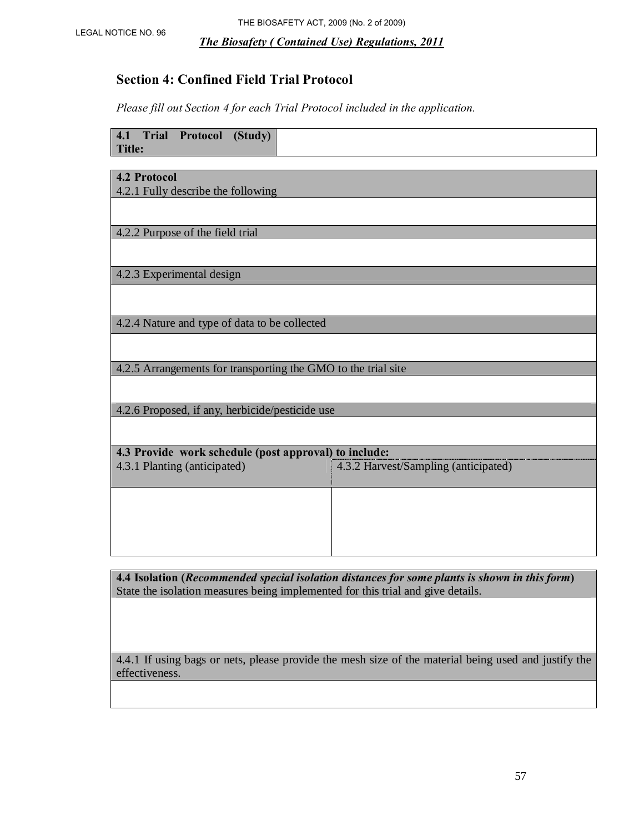# **Section 4: Confined Field Trial Protocol**

*Please fill out Section 4 for each Trial Protocol included in the application.* 

| <b>4.1 Trial Protocol</b><br>(Study)<br><b>Title:</b>         |                                      |  |  |
|---------------------------------------------------------------|--------------------------------------|--|--|
|                                                               |                                      |  |  |
| <b>4.2 Protocol</b>                                           |                                      |  |  |
| 4.2.1 Fully describe the following                            |                                      |  |  |
|                                                               |                                      |  |  |
|                                                               |                                      |  |  |
| 4.2.2 Purpose of the field trial                              |                                      |  |  |
|                                                               |                                      |  |  |
|                                                               |                                      |  |  |
| 4.2.3 Experimental design                                     |                                      |  |  |
|                                                               |                                      |  |  |
|                                                               |                                      |  |  |
|                                                               |                                      |  |  |
| 4.2.4 Nature and type of data to be collected                 |                                      |  |  |
|                                                               |                                      |  |  |
|                                                               |                                      |  |  |
| 4.2.5 Arrangements for transporting the GMO to the trial site |                                      |  |  |
|                                                               |                                      |  |  |
|                                                               |                                      |  |  |
| 4.2.6 Proposed, if any, herbicide/pesticide use               |                                      |  |  |
|                                                               |                                      |  |  |
|                                                               |                                      |  |  |
| 4.3 Provide work schedule (post approval) to include:         |                                      |  |  |
| 4.3.1 Planting (anticipated)                                  | 4.3.2 Harvest/Sampling (anticipated) |  |  |
|                                                               |                                      |  |  |
|                                                               |                                      |  |  |
|                                                               |                                      |  |  |
|                                                               |                                      |  |  |
|                                                               |                                      |  |  |
|                                                               |                                      |  |  |

**4.4 Isolation (***Recommended special isolation distances for some plants is shown in this form***)**  State the isolation measures being implemented for this trial and give details.

4.4.1 If using bags or nets, please provide the mesh size of the material being used and justify the effectiveness.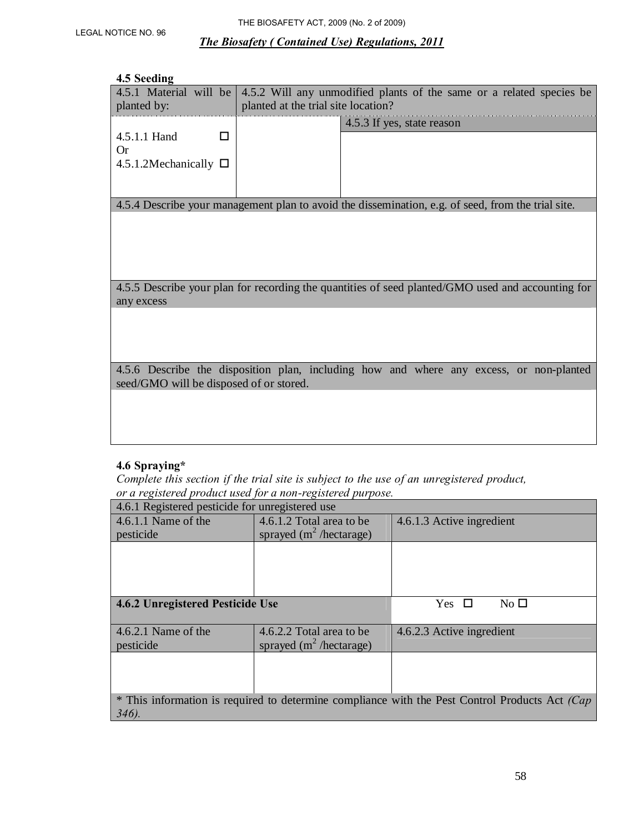#### **4.5 Seeding**

| 4.5.1 Material will be<br>planted by:                    | 4.5.2 Will any unmodified plants of the same or a related species be<br>planted at the trial site location? |                                                                                                    |  |
|----------------------------------------------------------|-------------------------------------------------------------------------------------------------------------|----------------------------------------------------------------------------------------------------|--|
| 4.5.1.1 Hand<br>П<br>Or<br>4.5.1.2Mechanically $\square$ |                                                                                                             | 4.5.3 If yes, state reason                                                                         |  |
|                                                          |                                                                                                             | 4.5.4 Describe your management plan to avoid the dissemination, e.g. of seed, from the trial site. |  |
|                                                          |                                                                                                             |                                                                                                    |  |
| any excess                                               |                                                                                                             | 4.5.5 Describe your plan for recording the quantities of seed planted/GMO used and accounting for  |  |
|                                                          |                                                                                                             |                                                                                                    |  |
| seed/GMO will be disposed of or stored.                  |                                                                                                             | 4.5.6 Describe the disposition plan, including how and where any excess, or non-planted            |  |
|                                                          |                                                                                                             |                                                                                                    |  |

# **4.6 Spraying\***

*Complete this section if the trial site is subject to the use of an unregistered product, or a registered product used for a non-registered purpose.* 

| 4.6.1 Registered pesticide for unregistered use                                                |                            |                                          |  |  |  |
|------------------------------------------------------------------------------------------------|----------------------------|------------------------------------------|--|--|--|
| 4.6.1.1 Name of the                                                                            | 4.6.1.2 Total area to be   | 4.6.1.3 Active ingredient                |  |  |  |
| pesticide                                                                                      | sprayed $(m^2/h$ ectarage) |                                          |  |  |  |
|                                                                                                |                            |                                          |  |  |  |
|                                                                                                |                            |                                          |  |  |  |
|                                                                                                |                            |                                          |  |  |  |
|                                                                                                |                            |                                          |  |  |  |
| 4.6.2 Unregistered Pesticide Use                                                               |                            | No <sub>1</sub><br><b>Yes</b><br>$\perp$ |  |  |  |
|                                                                                                |                            |                                          |  |  |  |
| $\vert$ 4.6.2.1 Name of the                                                                    | 4.6.2.2 Total area to be   | 4.6.2.3 Active ingredient                |  |  |  |
| pesticide                                                                                      | sprayed $(m^2/h$ ectarage) |                                          |  |  |  |
|                                                                                                |                            |                                          |  |  |  |
|                                                                                                |                            |                                          |  |  |  |
|                                                                                                |                            |                                          |  |  |  |
| * This information is required to determine compliance with the Pest Control Products Act (Cap |                            |                                          |  |  |  |
| $346$ .                                                                                        |                            |                                          |  |  |  |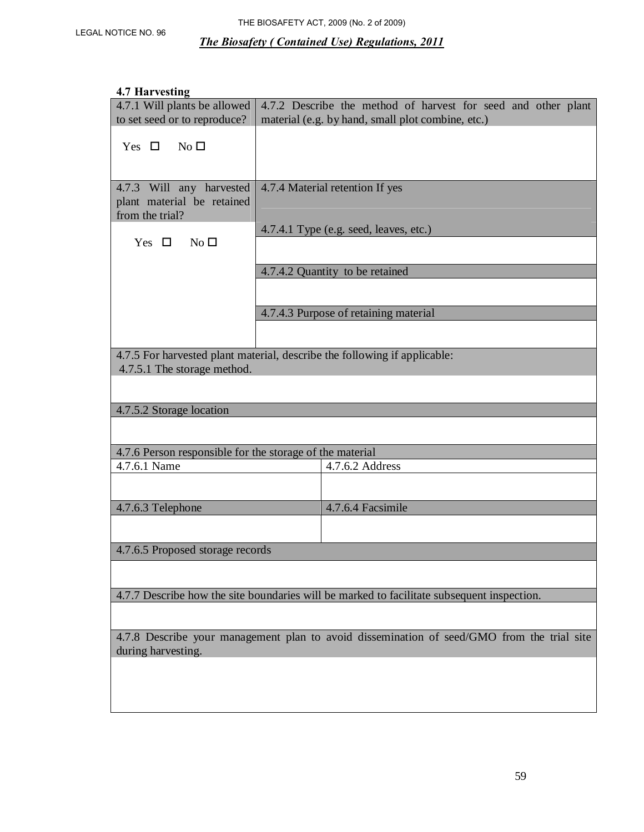#### **4.7 Harvesting**

| 4.7.1 Will plants be allowed<br>to set seed or to reproduce?                               |  | 4.7.2 Describe the method of harvest for seed and other plant |  |  |
|--------------------------------------------------------------------------------------------|--|---------------------------------------------------------------|--|--|
|                                                                                            |  | material (e.g. by hand, small plot combine, etc.)             |  |  |
| Yes $\Box$<br>No <sub>l</sub>                                                              |  |                                                               |  |  |
|                                                                                            |  |                                                               |  |  |
| 4.7.3 Will any harvested<br>plant material be retained<br>from the trial?                  |  | 4.7.4 Material retention If yes                               |  |  |
| No <sub>1</sub><br>Yes $\Box$                                                              |  | 4.7.4.1 Type (e.g. seed, leaves, etc.)                        |  |  |
|                                                                                            |  |                                                               |  |  |
|                                                                                            |  | 4.7.4.2 Quantity to be retained                               |  |  |
|                                                                                            |  |                                                               |  |  |
|                                                                                            |  | 4.7.4.3 Purpose of retaining material                         |  |  |
|                                                                                            |  |                                                               |  |  |
| 4.7.5 For harvested plant material, describe the following if applicable:                  |  |                                                               |  |  |
| 4.7.5.1 The storage method.                                                                |  |                                                               |  |  |
|                                                                                            |  |                                                               |  |  |
|                                                                                            |  |                                                               |  |  |
| 4.7.5.2 Storage location                                                                   |  |                                                               |  |  |
|                                                                                            |  |                                                               |  |  |
| 4.7.6 Person responsible for the storage of the material                                   |  |                                                               |  |  |
| 4.7.6.1 Name                                                                               |  | 4.7.6.2 Address                                               |  |  |
|                                                                                            |  |                                                               |  |  |
| 4.7.6.3 Telephone                                                                          |  | 4.7.6.4 Facsimile                                             |  |  |
|                                                                                            |  |                                                               |  |  |
| 4.7.6.5 Proposed storage records                                                           |  |                                                               |  |  |
|                                                                                            |  |                                                               |  |  |
|                                                                                            |  |                                                               |  |  |
| 4.7.7 Describe how the site boundaries will be marked to facilitate subsequent inspection. |  |                                                               |  |  |
|                                                                                            |  |                                                               |  |  |
| 4.7.8 Describe your management plan to avoid dissemination of seed/GMO from the trial site |  |                                                               |  |  |
| during harvesting.                                                                         |  |                                                               |  |  |
|                                                                                            |  |                                                               |  |  |
|                                                                                            |  |                                                               |  |  |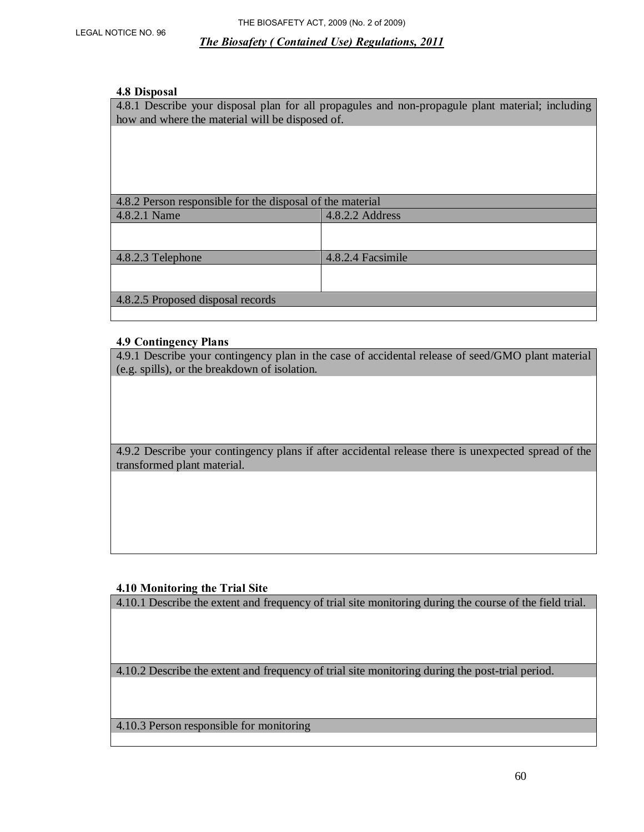#### **4.8 Disposal**

4.8.1 Describe your disposal plan for all propagules and non-propagule plant material; including how and where the material will be disposed of.

| 4.8.2 Person responsible for the disposal of the material |                   |  |  |
|-----------------------------------------------------------|-------------------|--|--|
| 4.8.2.2 Address<br>4.8.2.1 Name                           |                   |  |  |
|                                                           |                   |  |  |
|                                                           |                   |  |  |
| 4.8.2.3 Telephone                                         | 4.8.2.4 Facsimile |  |  |
|                                                           |                   |  |  |
|                                                           |                   |  |  |
| 4.8.2.5 Proposed disposal records                         |                   |  |  |
|                                                           |                   |  |  |

#### **4.9 Contingency Plans**

4.9.1 Describe your contingency plan in the case of accidental release of seed/GMO plant material (e.g. spills), or the breakdown of isolation.

4.9.2 Describe your contingency plans if after accidental release there is unexpected spread of the transformed plant material.

#### **4.10 Monitoring the Trial Site**

4.10.1 Describe the extent and frequency of trial site monitoring during the course of the field trial.

4.10.2 Describe the extent and frequency of trial site monitoring during the post-trial period.

4.10.3 Person responsible for monitoring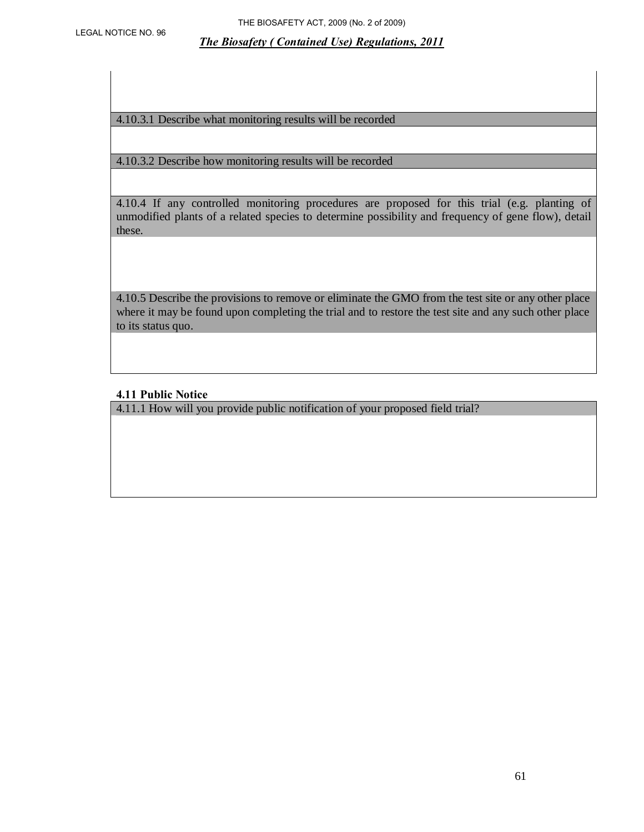4.10.3.1 Describe what monitoring results will be recorded

4.10.3.2 Describe how monitoring results will be recorded

4.10.4 If any controlled monitoring procedures are proposed for this trial (e.g. planting of unmodified plants of a related species to determine possibility and frequency of gene flow), detail these.

4.10.5 Describe the provisions to remove or eliminate the GMO from the test site or any other place where it may be found upon completing the trial and to restore the test site and any such other place to its status quo.

#### **4.11 Public Notice**

4.11.1 How will you provide public notification of your proposed field trial?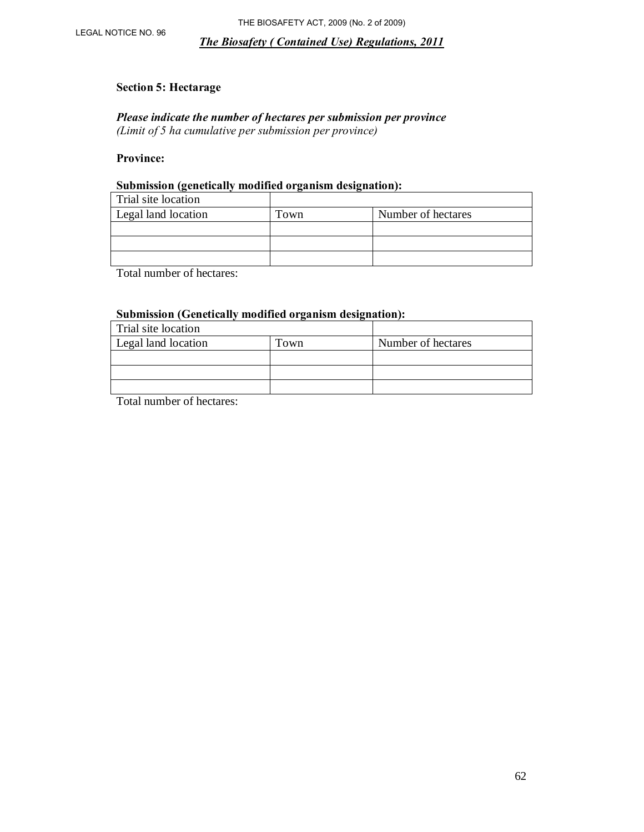#### **Section 5: Hectarage**

*Please indicate the number of hectares per submission per province (Limit of 5 ha cumulative per submission per province)* 

## **Province:**

# **Submission (genetically modified organism designation):**

| Trial site location |      |                    |
|---------------------|------|--------------------|
| Legal land location | Town | Number of hectares |
|                     |      |                    |
|                     |      |                    |
|                     |      |                    |

Total number of hectares:

#### **Submission (Genetically modified organism designation):**

| Trial site location |      |                    |
|---------------------|------|--------------------|
| Legal land location | Town | Number of hectares |
|                     |      |                    |
|                     |      |                    |
|                     |      |                    |

Total number of hectares: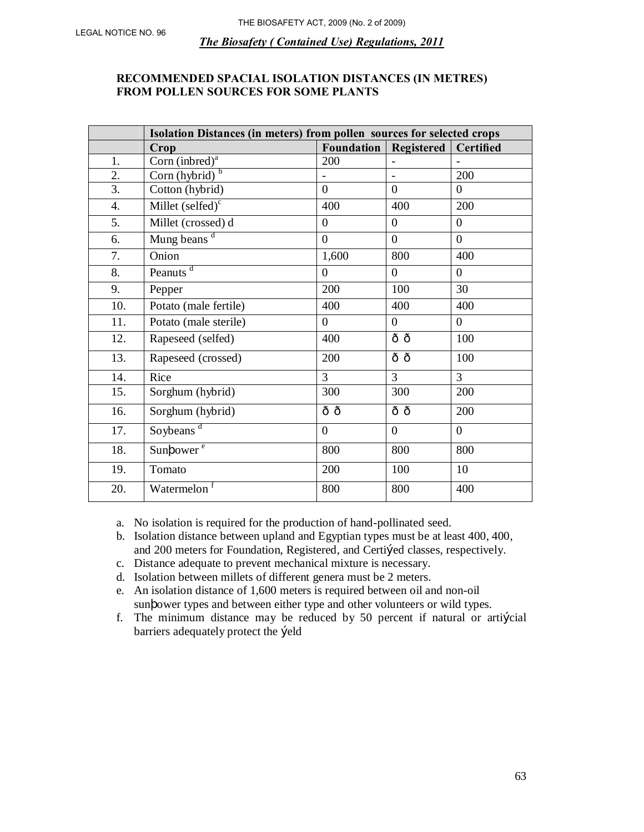## **RECOMMENDED SPACIAL ISOLATION DISTANCES (IN METRES) FROM POLLEN SOURCES FOR SOME PLANTS**

|     | Isolation Distances (in meters) from pollen sources for selected crops |                |                          |                |  |  |
|-----|------------------------------------------------------------------------|----------------|--------------------------|----------------|--|--|
|     | <b>Foundation</b><br><b>Registered</b><br><b>Certified</b><br>Crop     |                |                          |                |  |  |
| 1.  | Corn (inbred) $a$                                                      | 200            |                          |                |  |  |
| 2.  | $\overline{\text{Corn (hybrid)}^b}$                                    |                | $\overline{\phantom{0}}$ | 200            |  |  |
| 3.  | Cotton (hybrid)                                                        | $\overline{0}$ | $\overline{0}$           | $\theta$       |  |  |
| 4.  | Millet $(selfed)^c$                                                    | 400            | 400                      | 200            |  |  |
| 5.  | Millet (crossed) d                                                     | $\theta$       | $\overline{0}$           | $\theta$       |  |  |
| 6.  | Mung beans <sup>d</sup>                                                | $\overline{0}$ | $\overline{0}$           | $\overline{0}$ |  |  |
| 7.  | Onion                                                                  | 1,600          | 800                      | 400            |  |  |
| 8.  | Peanuts <sup>d</sup>                                                   | $\Omega$       | $\overline{0}$           | $\overline{0}$ |  |  |
| 9.  | Pepper                                                                 | 200            | 100                      | 30             |  |  |
| 10. | Potato (male fertile)                                                  | 400            | 400                      | 400            |  |  |
| 11. | Potato (male sterile)                                                  | $\Omega$       | $\overline{0}$           | $\overline{0}$ |  |  |
| 12. | Rapeseed (selfed)                                                      | 400            | ôô                       | 100            |  |  |
| 13. | Rapeseed (crossed)                                                     | 200            | ôô                       | 100            |  |  |
| 14. | Rice                                                                   | $\overline{3}$ | $\overline{3}$           | $\overline{3}$ |  |  |
| 15. | Sorghum (hybrid)                                                       | 300            | 300                      | 200            |  |  |
| 16. | Sorghum (hybrid)                                                       | ô ô            | ô ô                      | 200            |  |  |
| 17. | Soybeans <sup>d</sup>                                                  | $\theta$       | $\overline{0}$           | $\overline{0}$ |  |  |
| 18. | Sunt ower <sup>e</sup>                                                 | 800            | 800                      | 800            |  |  |
| 19. | Tomato                                                                 | 200            | 100                      | 10             |  |  |
| 20. | Watermelon <sup>f</sup>                                                | 800            | 800                      | 400            |  |  |

a. No isolation is required for the production of hand-pollinated seed.

- b. Isolation distance between upland and Egyptian types must be at least 400, 400, and 200 meters for Foundation, Registered, and Certiked classes, respectively.
- c. Distance adequate to prevent mechanical mixture is necessary.
- d. Isolation between millets of different genera must be 2 meters.
- e. An isolation distance of 1,600 meters is required between oil and non-oil sunf ower types and between either type and other volunteers or wild types.
- f. The minimum distance may be reduced by 50 percent if natural or artikingleright. barriers adequately protect the Łeld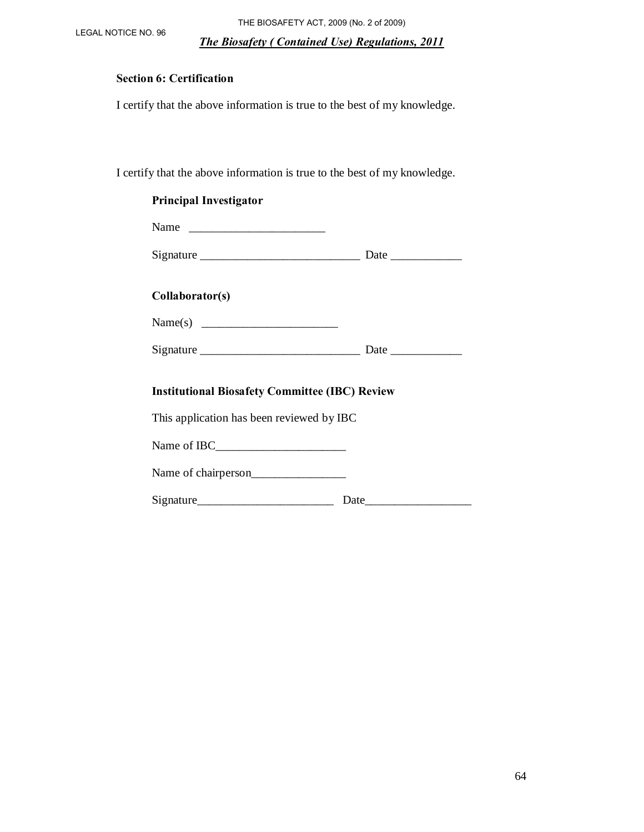LEGAL NOTICE NO. 96 THE BIOSAFETY ACT, 2009 (No. 2 of 2009)

*The Biosafety ( Contained Use) Regulations, 2011*

## **Section 6: Certification**

I certify that the above information is true to the best of my knowledge.

I certify that the above information is true to the best of my knowledge.

| <b>Principal Investigator</b>                                                                                                                                                                                                                                                                                                                                                                                 |  |
|---------------------------------------------------------------------------------------------------------------------------------------------------------------------------------------------------------------------------------------------------------------------------------------------------------------------------------------------------------------------------------------------------------------|--|
| Name $\frac{1}{\sqrt{1-\frac{1}{2}}\sqrt{1-\frac{1}{2}}\sqrt{1-\frac{1}{2}}\sqrt{1-\frac{1}{2}}\sqrt{1-\frac{1}{2}}\sqrt{1-\frac{1}{2}}\sqrt{1-\frac{1}{2}}\sqrt{1-\frac{1}{2}}\sqrt{1-\frac{1}{2}}\sqrt{1-\frac{1}{2}}\sqrt{1-\frac{1}{2}}\sqrt{1-\frac{1}{2}}\sqrt{1-\frac{1}{2}}\sqrt{1-\frac{1}{2}}\sqrt{1-\frac{1}{2}}\sqrt{1-\frac{1}{2}}\sqrt{1-\frac{1}{2}}\sqrt{1-\frac{1}{2}}\sqrt{1-\frac{1}{2}}\$ |  |
|                                                                                                                                                                                                                                                                                                                                                                                                               |  |
| Collaborator(s)                                                                                                                                                                                                                                                                                                                                                                                               |  |
|                                                                                                                                                                                                                                                                                                                                                                                                               |  |
|                                                                                                                                                                                                                                                                                                                                                                                                               |  |
| <b>Institutional Biosafety Committee (IBC) Review</b>                                                                                                                                                                                                                                                                                                                                                         |  |
| This application has been reviewed by IBC                                                                                                                                                                                                                                                                                                                                                                     |  |
|                                                                                                                                                                                                                                                                                                                                                                                                               |  |
| Name of chairperson                                                                                                                                                                                                                                                                                                                                                                                           |  |
|                                                                                                                                                                                                                                                                                                                                                                                                               |  |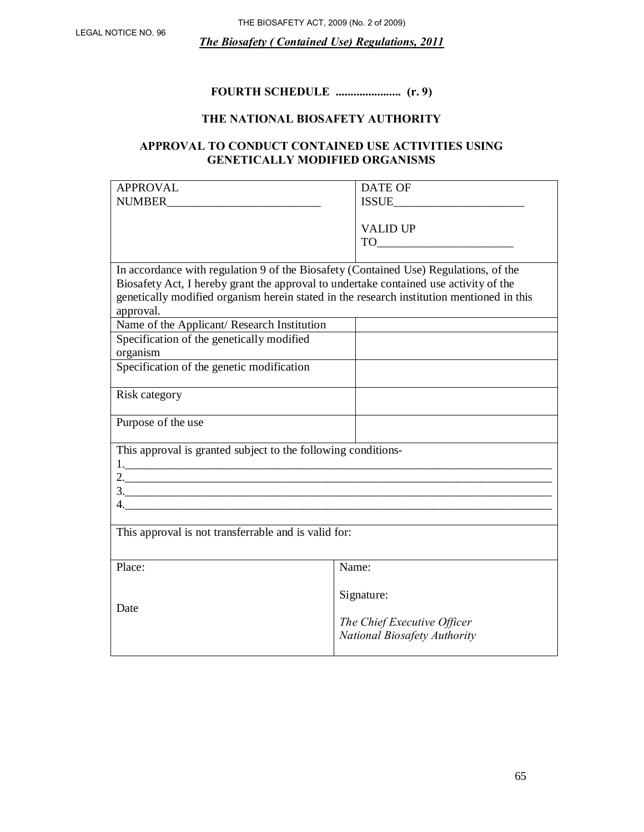# **FOURTH SCHEDULE ...................... (r. 9)**

# **THE NATIONAL BIOSAFETY AUTHORITY**

# **APPROVAL TO CONDUCT CONTAINED USE ACTIVITIES USING GENETICALLY MODIFIED ORGANISMS**

| <b>APPROVAL</b>                                                                           | <b>DATE OF</b>               |  |
|-------------------------------------------------------------------------------------------|------------------------------|--|
| <b>NUMBER</b>                                                                             | <b>ISSUE</b>                 |  |
|                                                                                           |                              |  |
|                                                                                           | <b>VALID UP</b>              |  |
|                                                                                           |                              |  |
|                                                                                           |                              |  |
| In accordance with regulation 9 of the Biosafety (Contained Use) Regulations, of the      |                              |  |
| Biosafety Act, I hereby grant the approval to undertake contained use activity of the     |                              |  |
| genetically modified organism herein stated in the research institution mentioned in this |                              |  |
| approval.                                                                                 |                              |  |
|                                                                                           |                              |  |
| Name of the Applicant/ Research Institution                                               |                              |  |
| Specification of the genetically modified                                                 |                              |  |
| organism                                                                                  |                              |  |
| Specification of the genetic modification                                                 |                              |  |
|                                                                                           |                              |  |
| Risk category                                                                             |                              |  |
|                                                                                           |                              |  |
| Purpose of the use                                                                        |                              |  |
|                                                                                           |                              |  |
| This approval is granted subject to the following conditions-                             |                              |  |
|                                                                                           |                              |  |
|                                                                                           |                              |  |
|                                                                                           |                              |  |
|                                                                                           |                              |  |
|                                                                                           |                              |  |
| This approval is not transferrable and is valid for:                                      |                              |  |
|                                                                                           |                              |  |
|                                                                                           |                              |  |
| Place:                                                                                    | Name:                        |  |
|                                                                                           |                              |  |
|                                                                                           | Signature:                   |  |
| Date                                                                                      |                              |  |
|                                                                                           | The Chief Executive Officer  |  |
|                                                                                           | National Biosafety Authority |  |
|                                                                                           |                              |  |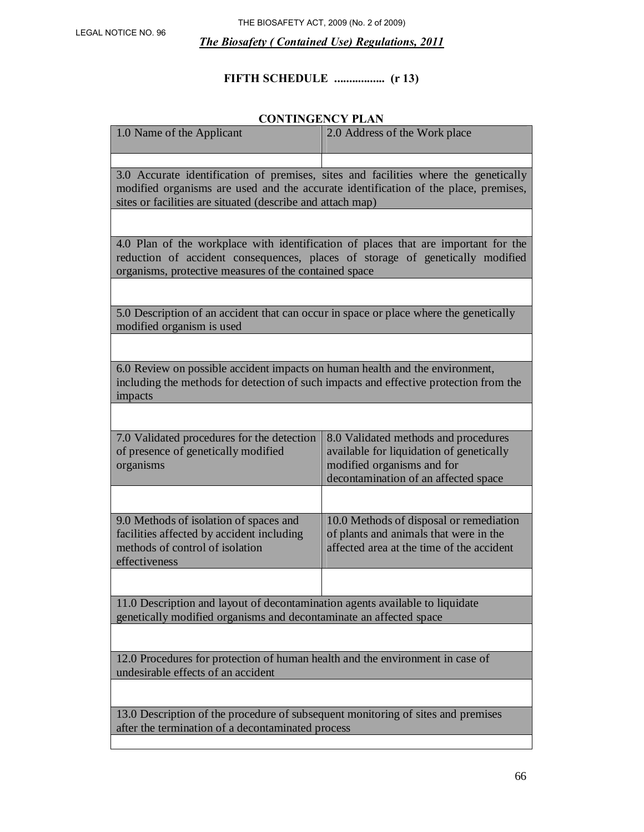# **FIFTH SCHEDULE ................. (r 13)**

# **CONTINGENCY PLAN**

| 1.0 Name of the Applicant                                                                                                                                                                                                                | 2.0 Address of the Work place                                                                                                                          |  |  |  |
|------------------------------------------------------------------------------------------------------------------------------------------------------------------------------------------------------------------------------------------|--------------------------------------------------------------------------------------------------------------------------------------------------------|--|--|--|
|                                                                                                                                                                                                                                          |                                                                                                                                                        |  |  |  |
| 3.0 Accurate identification of premises, sites and facilities where the genetically<br>modified organisms are used and the accurate identification of the place, premises,<br>sites or facilities are situated (describe and attach map) |                                                                                                                                                        |  |  |  |
|                                                                                                                                                                                                                                          |                                                                                                                                                        |  |  |  |
| 4.0 Plan of the workplace with identification of places that are important for the<br>reduction of accident consequences, places of storage of genetically modified<br>organisms, protective measures of the contained space             |                                                                                                                                                        |  |  |  |
|                                                                                                                                                                                                                                          |                                                                                                                                                        |  |  |  |
| 5.0 Description of an accident that can occur in space or place where the genetically<br>modified organism is used                                                                                                                       |                                                                                                                                                        |  |  |  |
|                                                                                                                                                                                                                                          |                                                                                                                                                        |  |  |  |
| 6.0 Review on possible accident impacts on human health and the environment,<br>including the methods for detection of such impacts and effective protection from the<br>impacts                                                         |                                                                                                                                                        |  |  |  |
|                                                                                                                                                                                                                                          |                                                                                                                                                        |  |  |  |
| 7.0 Validated procedures for the detection<br>of presence of genetically modified<br>organisms                                                                                                                                           | 8.0 Validated methods and procedures<br>available for liquidation of genetically<br>modified organisms and for<br>decontamination of an affected space |  |  |  |
|                                                                                                                                                                                                                                          |                                                                                                                                                        |  |  |  |
| 9.0 Methods of isolation of spaces and<br>facilities affected by accident including<br>methods of control of isolation<br>effectiveness                                                                                                  | 10.0 Methods of disposal or remediation<br>of plants and animals that were in the<br>affected area at the time of the accident                         |  |  |  |
|                                                                                                                                                                                                                                          |                                                                                                                                                        |  |  |  |
| 11.0 Description and layout of decontamination agents available to liquidate<br>genetically modified organisms and decontaminate an affected space                                                                                       |                                                                                                                                                        |  |  |  |
|                                                                                                                                                                                                                                          |                                                                                                                                                        |  |  |  |
| 12.0 Procedures for protection of human health and the environment in case of<br>undesirable effects of an accident                                                                                                                      |                                                                                                                                                        |  |  |  |
|                                                                                                                                                                                                                                          |                                                                                                                                                        |  |  |  |
| 13.0 Description of the procedure of subsequent monitoring of sites and premises<br>after the termination of a decontaminated process                                                                                                    |                                                                                                                                                        |  |  |  |
|                                                                                                                                                                                                                                          |                                                                                                                                                        |  |  |  |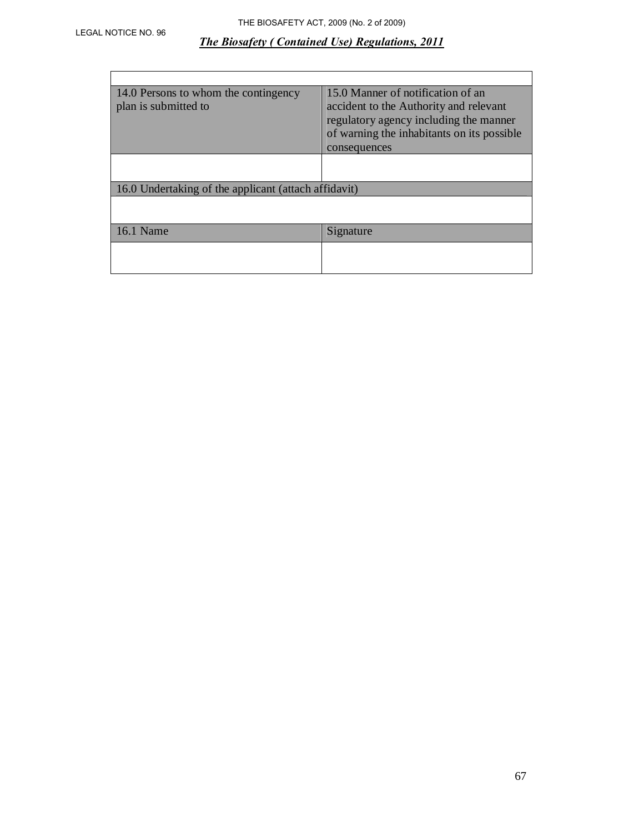| 14.0 Persons to whom the contingency<br>plan is submitted to | 15.0 Manner of notification of an<br>accident to the Authority and relevant<br>regulatory agency including the manner<br>of warning the inhabitants on its possible<br>consequences |  |
|--------------------------------------------------------------|-------------------------------------------------------------------------------------------------------------------------------------------------------------------------------------|--|
|                                                              |                                                                                                                                                                                     |  |
| 16.0 Undertaking of the applicant (attach affidavit)         |                                                                                                                                                                                     |  |
|                                                              |                                                                                                                                                                                     |  |
| 16.1 Name                                                    | Signature                                                                                                                                                                           |  |
|                                                              |                                                                                                                                                                                     |  |